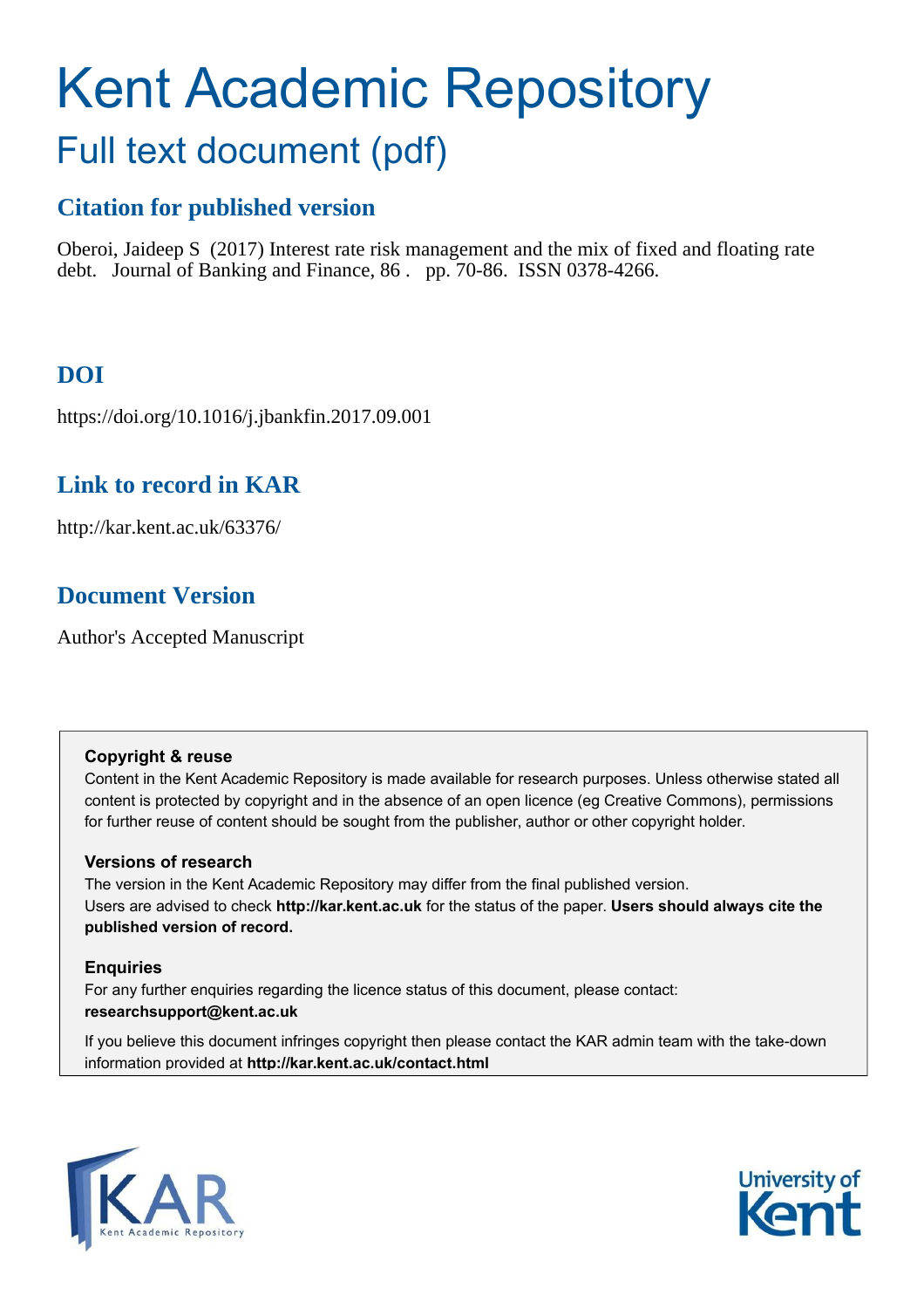# Kent Academic Repository Full text document (pdf)

# **Citation for published version**

Oberoi, Jaideep S (2017) Interest rate risk management and the mix of fixed and floating rate debt. Journal of Banking and Finance, 86 . pp. 70-86. ISSN 0378-4266.

# **DOI**

https://doi.org/10.1016/j.jbankfin.2017.09.001

# **Link to record in KAR**

http://kar.kent.ac.uk/63376/

# **Document Version**

Author's Accepted Manuscript

## **Copyright & reuse**

Content in the Kent Academic Repository is made available for research purposes. Unless otherwise stated all content is protected by copyright and in the absence of an open licence (eg Creative Commons), permissions for further reuse of content should be sought from the publisher, author or other copyright holder.

# **Versions of research**

The version in the Kent Academic Repository may differ from the final published version. Users are advised to check **http://kar.kent.ac.uk** for the status of the paper. **Users should always cite the published version of record.**

# **Enquiries**

For any further enquiries regarding the licence status of this document, please contact: **researchsupport@kent.ac.uk**

If you believe this document infringes copyright then please contact the KAR admin team with the take-down information provided at **http://kar.kent.ac.uk/contact.html**



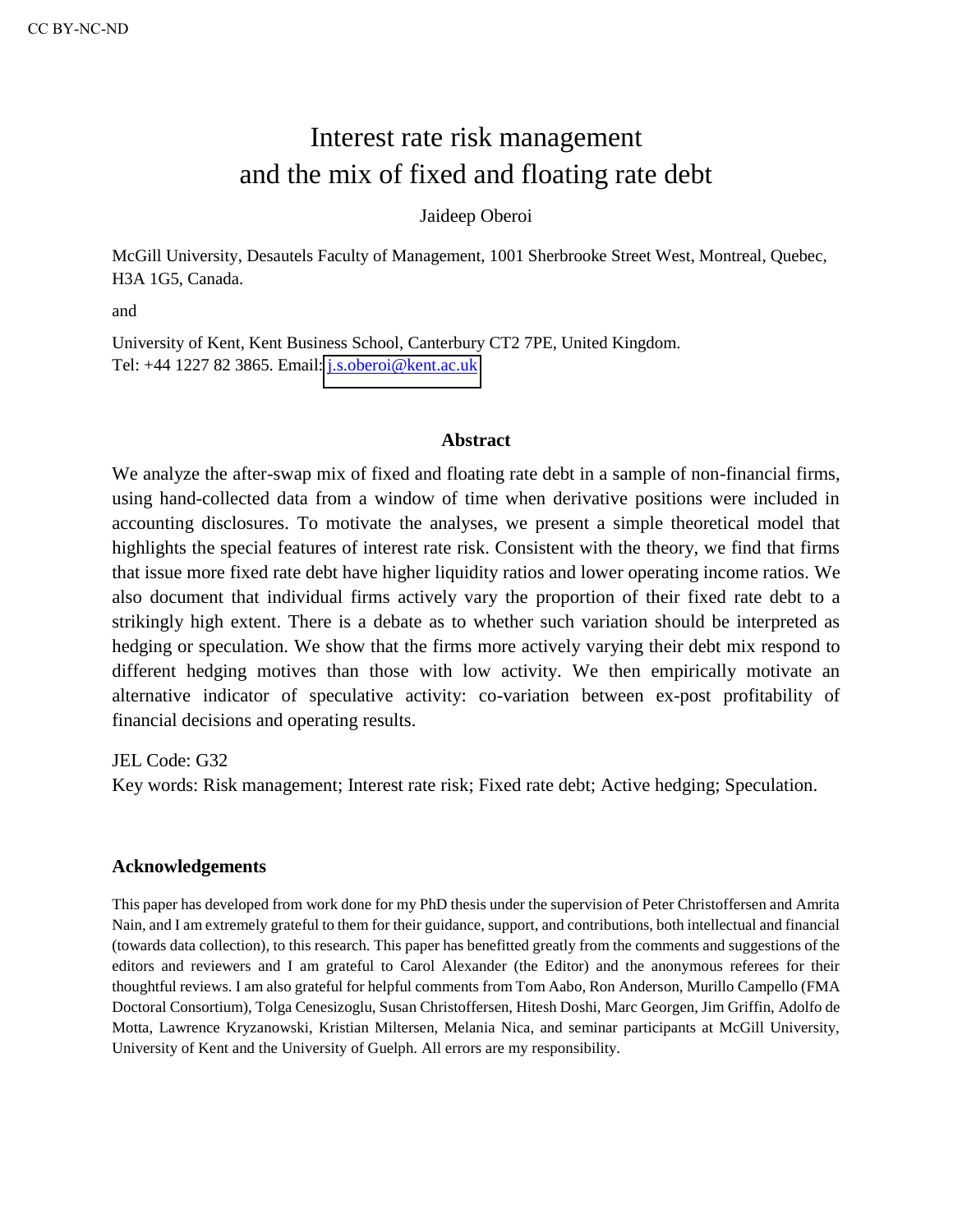# Interest rate risk management and the mix of fixed and floating rate debt

## Jaideep Oberoi

McGill University, Desautels Faculty of Management, 1001 Sherbrooke Street West, Montreal, Quebec, H3A 1G5, Canada.

and

University of Kent, Kent Business School, Canterbury CT2 7PE, United Kingdom. Tel: +44 1227 82 3865. Email: [j.s.oberoi@kent.ac.uk](mailto:j.s.oberoi@kent.ac.uk)

#### **Abstract**

We analyze the after-swap mix of fixed and floating rate debt in a sample of non-financial firms, using hand-collected data from a window of time when derivative positions were included in accounting disclosures. To motivate the analyses, we present a simple theoretical model that highlights the special features of interest rate risk. Consistent with the theory, we find that firms that issue more fixed rate debt have higher liquidity ratios and lower operating income ratios. We also document that individual firms actively vary the proportion of their fixed rate debt to a strikingly high extent. There is a debate as to whether such variation should be interpreted as hedging or speculation. We show that the firms more actively varying their debt mix respond to different hedging motives than those with low activity. We then empirically motivate an alternative indicator of speculative activity: co-variation between ex-post profitability of financial decisions and operating results.

JEL Code: G32

Key words: Risk management; Interest rate risk; Fixed rate debt; Active hedging; Speculation.

#### **Acknowledgements**

This paper has developed from work done for my PhD thesis under the supervision of Peter Christoffersen and Amrita Nain, and I am extremely grateful to them for their guidance, support, and contributions, both intellectual and financial (towards data collection), to this research. This paper has benefitted greatly from the comments and suggestions of the editors and reviewers and I am grateful to Carol Alexander (the Editor) and the anonymous referees for their thoughtful reviews. I am also grateful for helpful comments from Tom Aabo, Ron Anderson, Murillo Campello (FMA Doctoral Consortium), Tolga Cenesizoglu, Susan Christoffersen, Hitesh Doshi, Marc Georgen, Jim Griffin, Adolfo de Motta, Lawrence Kryzanowski, Kristian Miltersen, Melania Nica, and seminar participants at McGill University, University of Kent and the University of Guelph. All errors are my responsibility.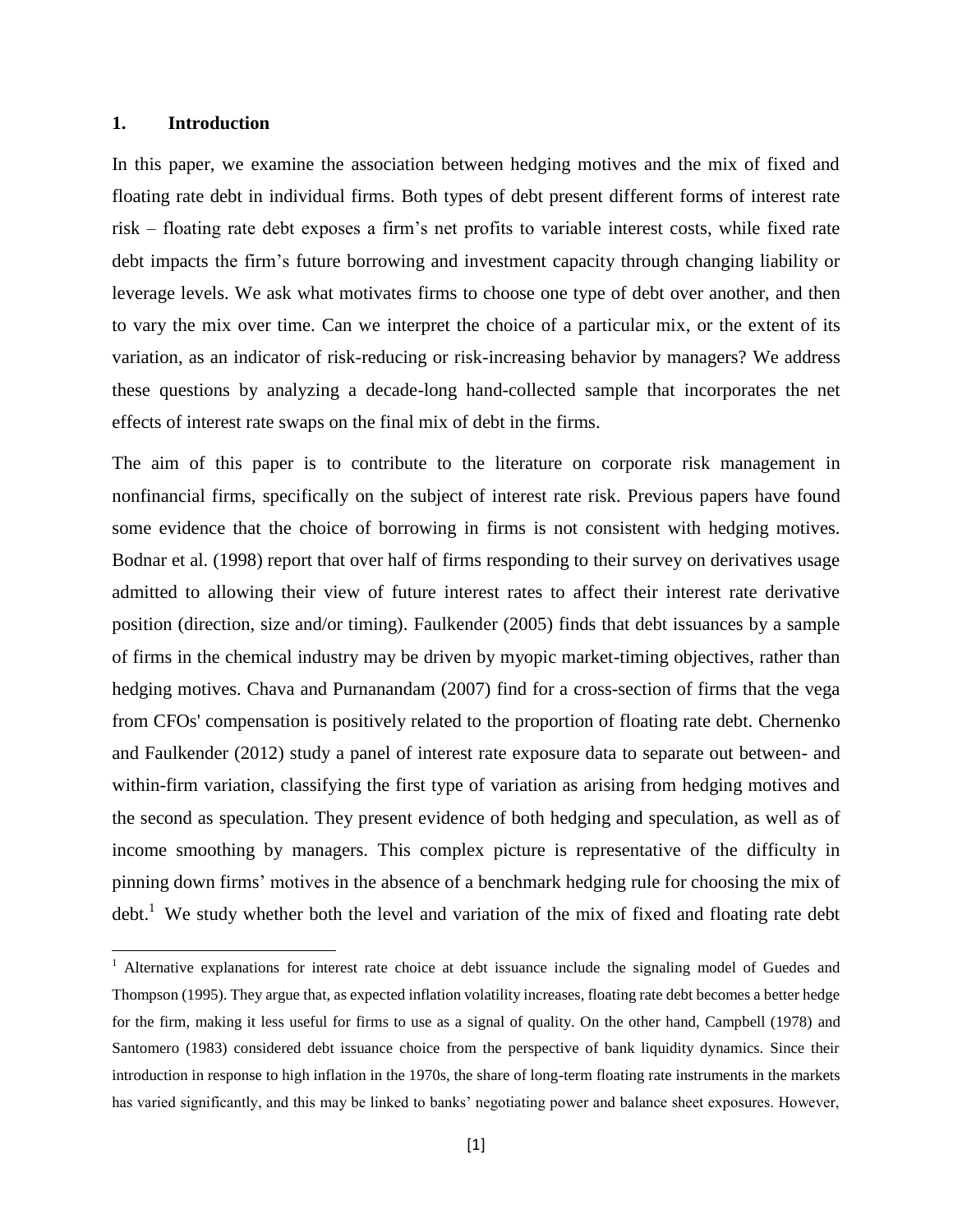#### **1. Introduction**

l

In this paper, we examine the association between hedging motives and the mix of fixed and floating rate debt in individual firms. Both types of debt present different forms of interest rate risk – floating rate debt exposes a firm's net profits to variable interest costs, while fixed rate debt impacts the firm's future borrowing and investment capacity through changing liability or leverage levels. We ask what motivates firms to choose one type of debt over another, and then to vary the mix over time. Can we interpret the choice of a particular mix, or the extent of its variation, as an indicator of risk-reducing or risk-increasing behavior by managers? We address these questions by analyzing a decade-long hand-collected sample that incorporates the net effects of interest rate swaps on the final mix of debt in the firms.

The aim of this paper is to contribute to the literature on corporate risk management in nonfinancial firms, specifically on the subject of interest rate risk. Previous papers have found some evidence that the choice of borrowing in firms is not consistent with hedging motives. Bodnar et al. (1998) report that over half of firms responding to their survey on derivatives usage admitted to allowing their view of future interest rates to affect their interest rate derivative position (direction, size and/or timing). Faulkender (2005) finds that debt issuances by a sample of firms in the chemical industry may be driven by myopic market-timing objectives, rather than hedging motives. Chava and Purnanandam (2007) find for a cross-section of firms that the vega from CFOs' compensation is positively related to the proportion of floating rate debt. Chernenko and Faulkender (2012) study a panel of interest rate exposure data to separate out between- and within-firm variation, classifying the first type of variation as arising from hedging motives and the second as speculation. They present evidence of both hedging and speculation, as well as of income smoothing by managers. This complex picture is representative of the difficulty in pinning down firms' motives in the absence of a benchmark hedging rule for choosing the mix of  $\text{debt}$ <sup>1</sup>. We study whether both the level and variation of the mix of fixed and floating rate debt

<sup>&</sup>lt;sup>1</sup> Alternative explanations for interest rate choice at debt issuance include the signaling model of Guedes and Thompson (1995). They argue that, as expected inflation volatility increases, floating rate debt becomes a better hedge for the firm, making it less useful for firms to use as a signal of quality. On the other hand, Campbell (1978) and Santomero (1983) considered debt issuance choice from the perspective of bank liquidity dynamics. Since their introduction in response to high inflation in the 1970s, the share of long-term floating rate instruments in the markets has varied significantly, and this may be linked to banks' negotiating power and balance sheet exposures. However,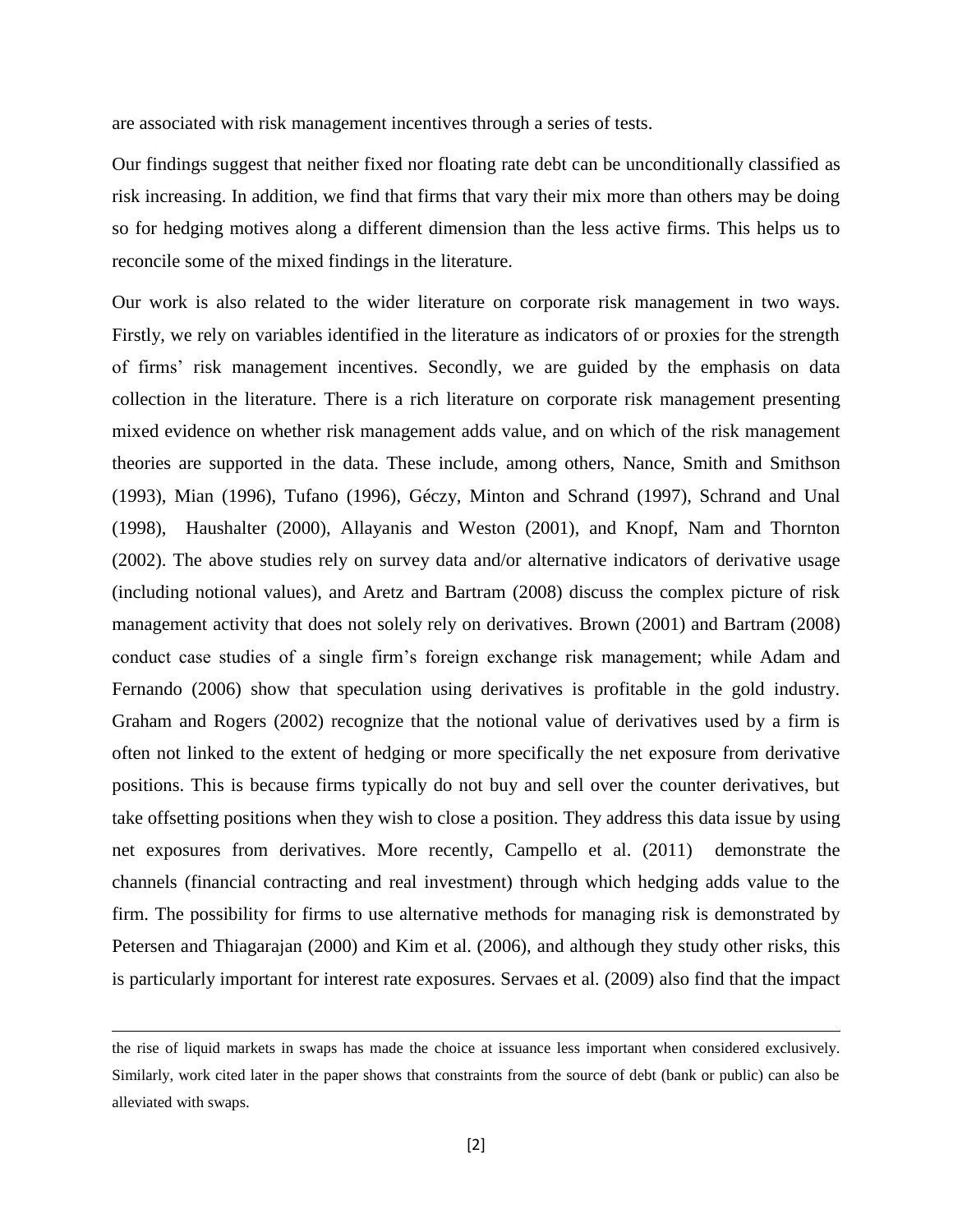are associated with risk management incentives through a series of tests.

Our findings suggest that neither fixed nor floating rate debt can be unconditionally classified as risk increasing. In addition, we find that firms that vary their mix more than others may be doing so for hedging motives along a different dimension than the less active firms. This helps us to reconcile some of the mixed findings in the literature.

Our work is also related to the wider literature on corporate risk management in two ways. Firstly, we rely on variables identified in the literature as indicators of or proxies for the strength of firms' risk management incentives. Secondly, we are guided by the emphasis on data collection in the literature. There is a rich literature on corporate risk management presenting mixed evidence on whether risk management adds value, and on which of the risk management theories are supported in the data. These include, among others, Nance, Smith and Smithson (1993), Mian (1996), Tufano (1996), Géczy, Minton and Schrand (1997), Schrand and Unal (1998), Haushalter (2000), Allayanis and Weston (2001), and Knopf, Nam and Thornton (2002). The above studies rely on survey data and/or alternative indicators of derivative usage (including notional values), and Aretz and Bartram (2008) discuss the complex picture of risk management activity that does not solely rely on derivatives. Brown (2001) and Bartram (2008) conduct case studies of a single firm's foreign exchange risk management; while Adam and Fernando (2006) show that speculation using derivatives is profitable in the gold industry. Graham and Rogers (2002) recognize that the notional value of derivatives used by a firm is often not linked to the extent of hedging or more specifically the net exposure from derivative positions. This is because firms typically do not buy and sell over the counter derivatives, but take offsetting positions when they wish to close a position. They address this data issue by using net exposures from derivatives. More recently, Campello et al. (2011) demonstrate the channels (financial contracting and real investment) through which hedging adds value to the firm. The possibility for firms to use alternative methods for managing risk is demonstrated by Petersen and Thiagarajan (2000) and Kim et al. (2006), and although they study other risks, this is particularly important for interest rate exposures. Servaes et al. (2009) also find that the impact

l

the rise of liquid markets in swaps has made the choice at issuance less important when considered exclusively. Similarly, work cited later in the paper shows that constraints from the source of debt (bank or public) can also be alleviated with swaps.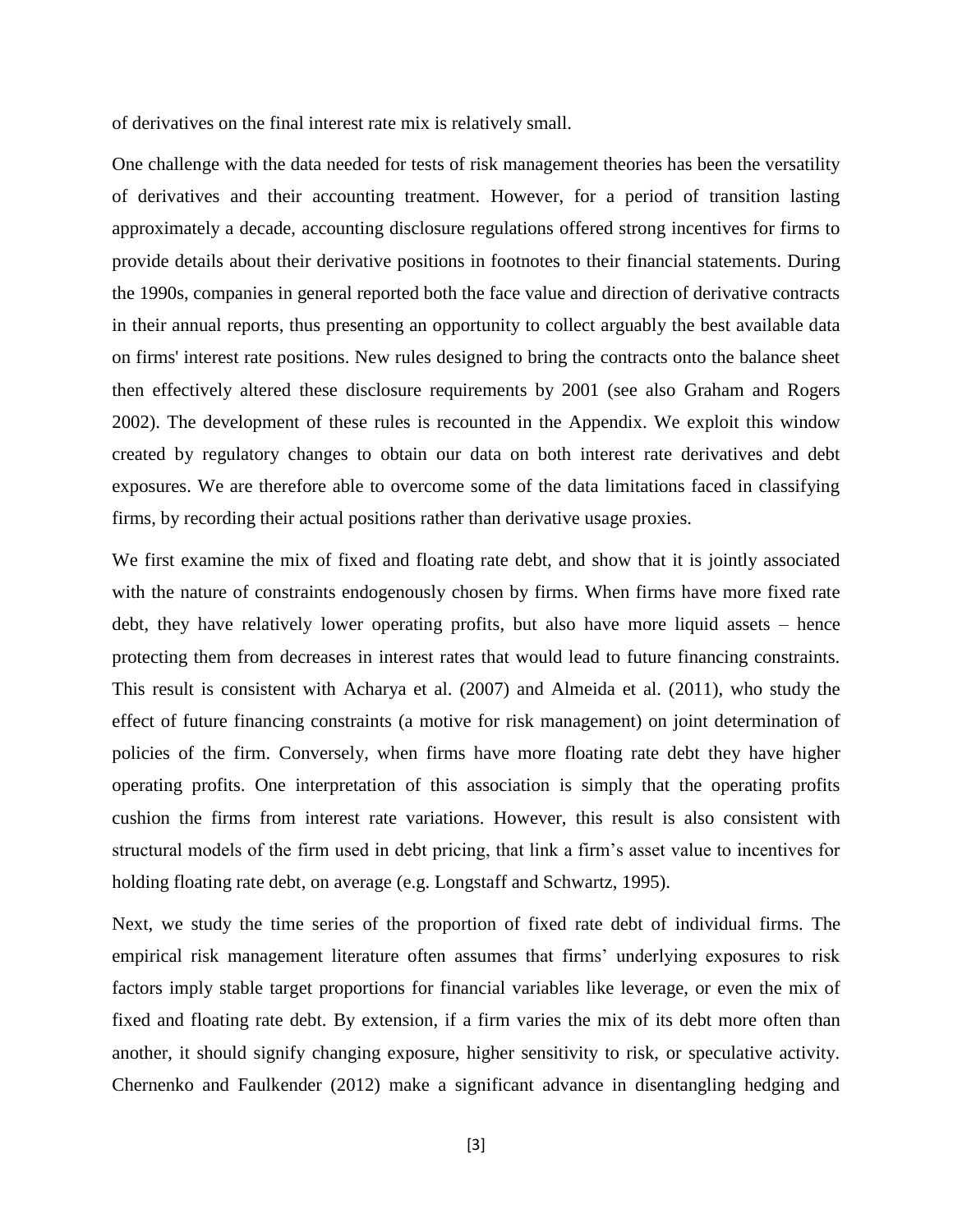of derivatives on the final interest rate mix is relatively small.

One challenge with the data needed for tests of risk management theories has been the versatility of derivatives and their accounting treatment. However, for a period of transition lasting approximately a decade, accounting disclosure regulations offered strong incentives for firms to provide details about their derivative positions in footnotes to their financial statements. During the 1990s, companies in general reported both the face value and direction of derivative contracts in their annual reports, thus presenting an opportunity to collect arguably the best available data on firms' interest rate positions. New rules designed to bring the contracts onto the balance sheet then effectively altered these disclosure requirements by 2001 (see also Graham and Rogers 2002). The development of these rules is recounted in the Appendix. We exploit this window created by regulatory changes to obtain our data on both interest rate derivatives and debt exposures. We are therefore able to overcome some of the data limitations faced in classifying firms, by recording their actual positions rather than derivative usage proxies.

We first examine the mix of fixed and floating rate debt, and show that it is jointly associated with the nature of constraints endogenously chosen by firms. When firms have more fixed rate debt, they have relatively lower operating profits, but also have more liquid assets – hence protecting them from decreases in interest rates that would lead to future financing constraints. This result is consistent with Acharya et al. (2007) and Almeida et al. (2011), who study the effect of future financing constraints (a motive for risk management) on joint determination of policies of the firm. Conversely, when firms have more floating rate debt they have higher operating profits. One interpretation of this association is simply that the operating profits cushion the firms from interest rate variations. However, this result is also consistent with structural models of the firm used in debt pricing, that link a firm's asset value to incentives for holding floating rate debt, on average (e.g. Longstaff and Schwartz, 1995).

Next, we study the time series of the proportion of fixed rate debt of individual firms. The empirical risk management literature often assumes that firms' underlying exposures to risk factors imply stable target proportions for financial variables like leverage, or even the mix of fixed and floating rate debt. By extension, if a firm varies the mix of its debt more often than another, it should signify changing exposure, higher sensitivity to risk, or speculative activity. Chernenko and Faulkender (2012) make a significant advance in disentangling hedging and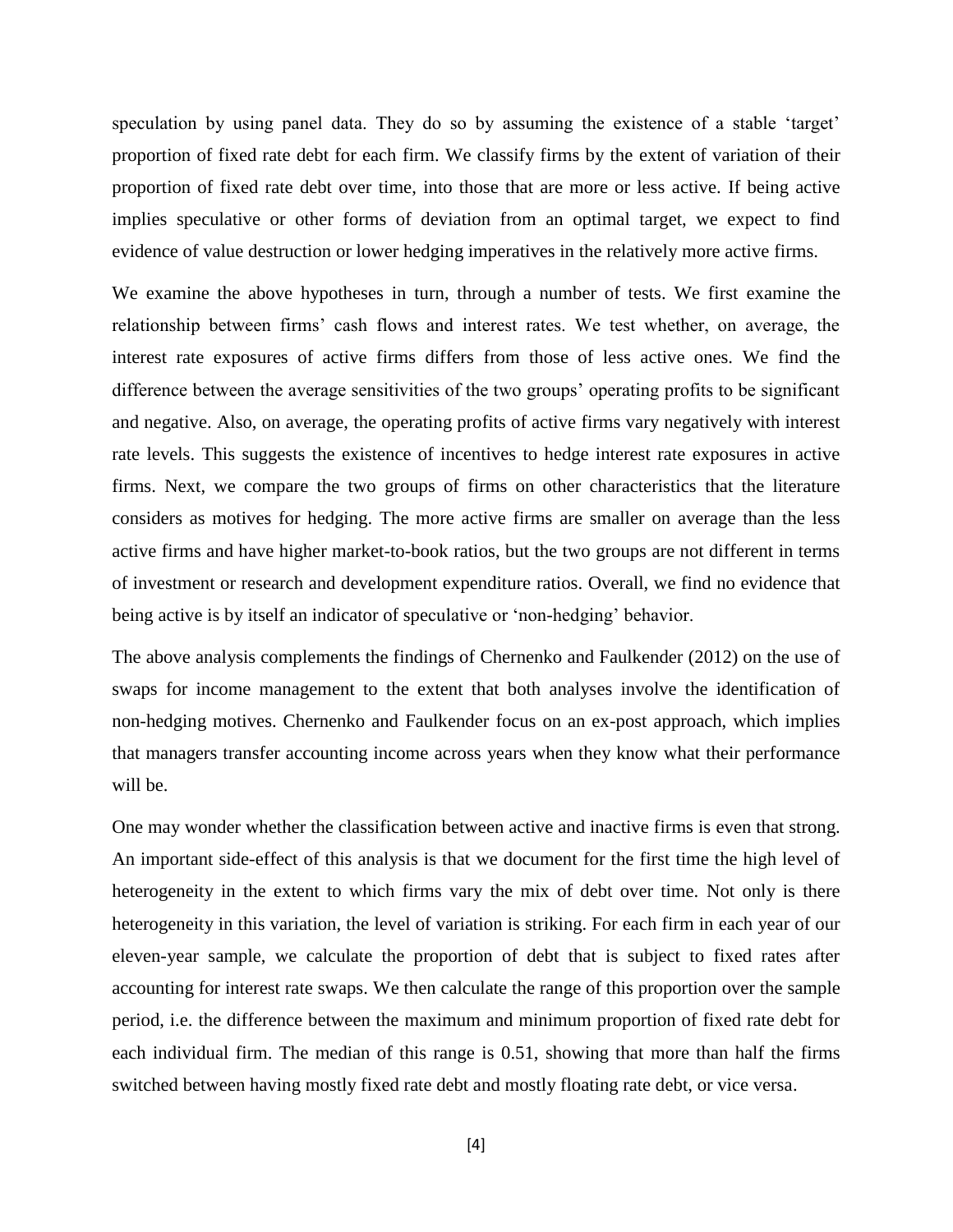speculation by using panel data. They do so by assuming the existence of a stable 'target' proportion of fixed rate debt for each firm. We classify firms by the extent of variation of their proportion of fixed rate debt over time, into those that are more or less active. If being active implies speculative or other forms of deviation from an optimal target, we expect to find evidence of value destruction or lower hedging imperatives in the relatively more active firms.

We examine the above hypotheses in turn, through a number of tests. We first examine the relationship between firms' cash flows and interest rates. We test whether, on average, the interest rate exposures of active firms differs from those of less active ones. We find the difference between the average sensitivities of the two groups' operating profits to be significant and negative. Also, on average, the operating profits of active firms vary negatively with interest rate levels. This suggests the existence of incentives to hedge interest rate exposures in active firms. Next, we compare the two groups of firms on other characteristics that the literature considers as motives for hedging. The more active firms are smaller on average than the less active firms and have higher market-to-book ratios, but the two groups are not different in terms of investment or research and development expenditure ratios. Overall, we find no evidence that being active is by itself an indicator of speculative or 'non-hedging' behavior.

The above analysis complements the findings of Chernenko and Faulkender (2012) on the use of swaps for income management to the extent that both analyses involve the identification of non-hedging motives. Chernenko and Faulkender focus on an ex-post approach, which implies that managers transfer accounting income across years when they know what their performance will be.

One may wonder whether the classification between active and inactive firms is even that strong. An important side-effect of this analysis is that we document for the first time the high level of heterogeneity in the extent to which firms vary the mix of debt over time. Not only is there heterogeneity in this variation, the level of variation is striking. For each firm in each year of our eleven-year sample, we calculate the proportion of debt that is subject to fixed rates after accounting for interest rate swaps. We then calculate the range of this proportion over the sample period, i.e. the difference between the maximum and minimum proportion of fixed rate debt for each individual firm. The median of this range is 0.51, showing that more than half the firms switched between having mostly fixed rate debt and mostly floating rate debt, or vice versa.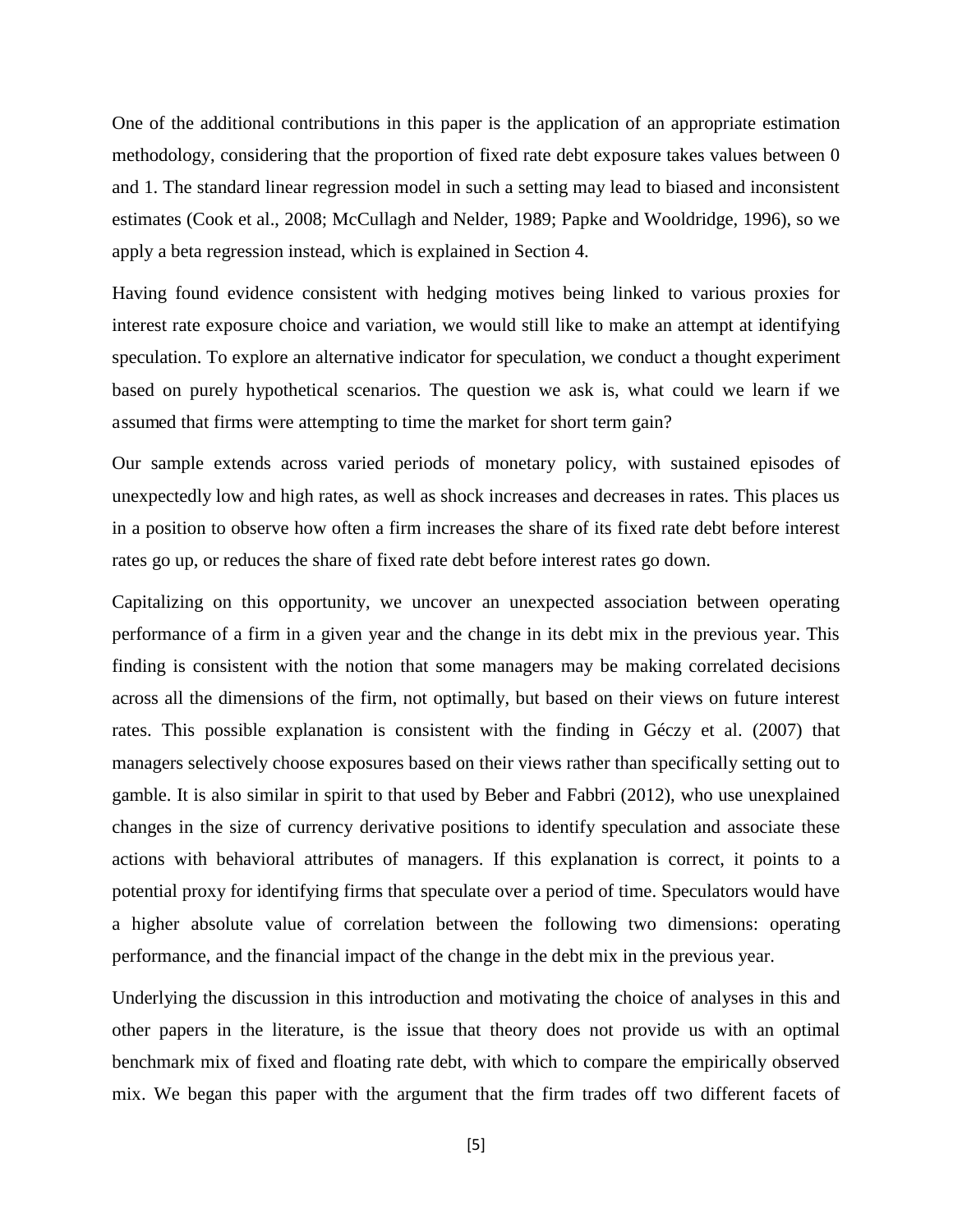One of the additional contributions in this paper is the application of an appropriate estimation methodology, considering that the proportion of fixed rate debt exposure takes values between 0 and 1. The standard linear regression model in such a setting may lead to biased and inconsistent estimates (Cook et al., 2008; McCullagh and Nelder, 1989; Papke and Wooldridge, 1996), so we apply a beta regression instead, which is explained in Section 4.

Having found evidence consistent with hedging motives being linked to various proxies for interest rate exposure choice and variation, we would still like to make an attempt at identifying speculation. To explore an alternative indicator for speculation, we conduct a thought experiment based on purely hypothetical scenarios. The question we ask is, what could we learn if we assumed that firms were attempting to time the market for short term gain?

Our sample extends across varied periods of monetary policy, with sustained episodes of unexpectedly low and high rates, as well as shock increases and decreases in rates. This places us in a position to observe how often a firm increases the share of its fixed rate debt before interest rates go up, or reduces the share of fixed rate debt before interest rates go down.

Capitalizing on this opportunity, we uncover an unexpected association between operating performance of a firm in a given year and the change in its debt mix in the previous year. This finding is consistent with the notion that some managers may be making correlated decisions across all the dimensions of the firm, not optimally, but based on their views on future interest rates. This possible explanation is consistent with the finding in Géczy et al. (2007) that managers selectively choose exposures based on their views rather than specifically setting out to gamble. It is also similar in spirit to that used by Beber and Fabbri (2012), who use unexplained changes in the size of currency derivative positions to identify speculation and associate these actions with behavioral attributes of managers. If this explanation is correct, it points to a potential proxy for identifying firms that speculate over a period of time. Speculators would have a higher absolute value of correlation between the following two dimensions: operating performance, and the financial impact of the change in the debt mix in the previous year.

Underlying the discussion in this introduction and motivating the choice of analyses in this and other papers in the literature, is the issue that theory does not provide us with an optimal benchmark mix of fixed and floating rate debt, with which to compare the empirically observed mix. We began this paper with the argument that the firm trades off two different facets of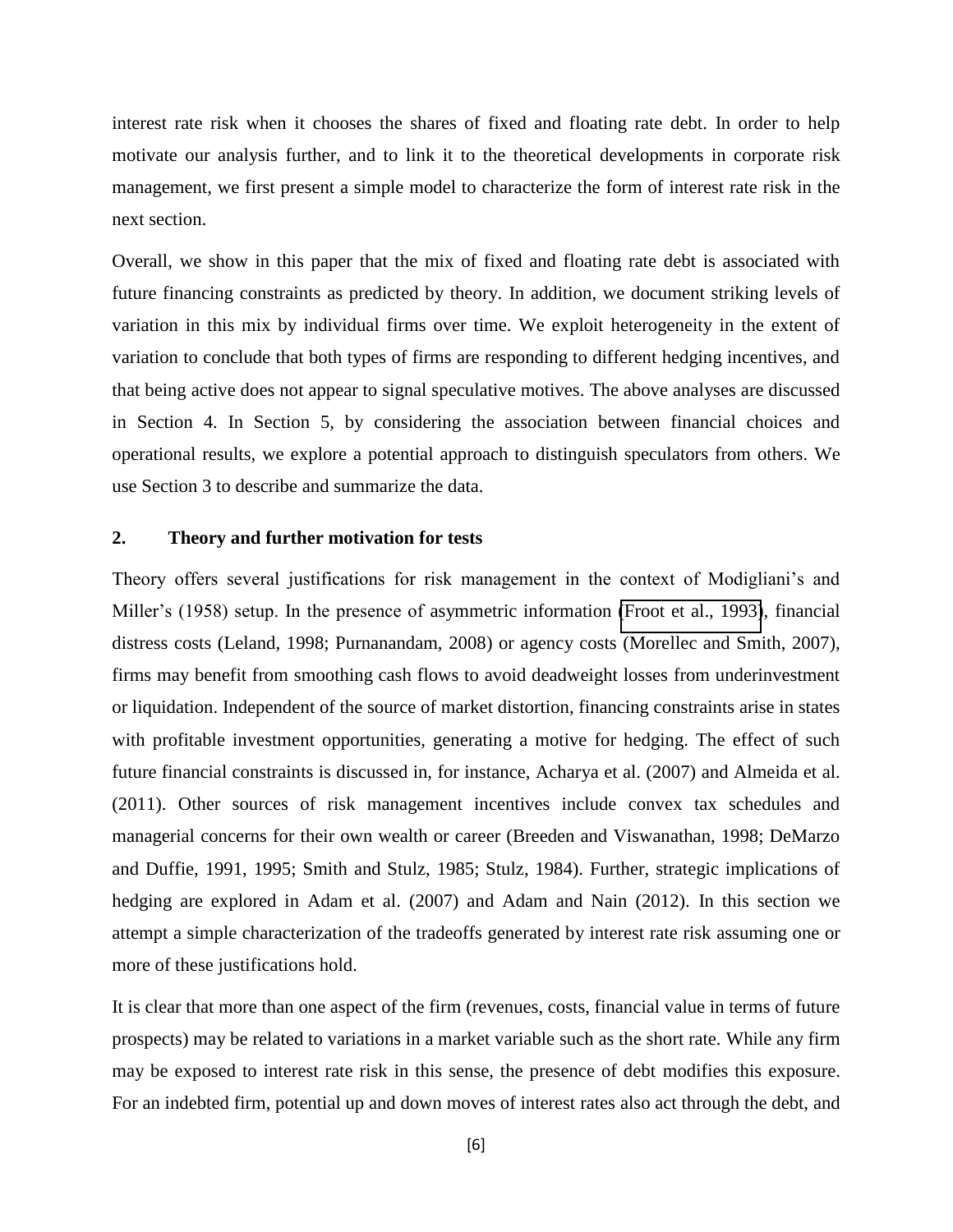interest rate risk when it chooses the shares of fixed and floating rate debt. In order to help motivate our analysis further, and to link it to the theoretical developments in corporate risk management, we first present a simple model to characterize the form of interest rate risk in the next section.

Overall, we show in this paper that the mix of fixed and floating rate debt is associated with future financing constraints as predicted by theory. In addition, we document striking levels of variation in this mix by individual firms over time. We exploit heterogeneity in the extent of variation to conclude that both types of firms are responding to different hedging incentives, and that being active does not appear to signal speculative motives. The above analyses are discussed in Section 4. In Section 5, by considering the association between financial choices and operational results, we explore a potential approach to distinguish speculators from others. We use Section 3 to describe and summarize the data.

#### **2. Theory and further motivation for tests**

Theory offers several justifications for risk management in the context of Modigliani's and Miller's (1958) setup. In the presence of asymmetric information [\(Froot et al., 1993\)](#page-27-0), financial distress costs (Leland, 1998; Purnanandam, 2008) or agency costs (Morellec and Smith, 2007), firms may benefit from smoothing cash flows to avoid deadweight losses from underinvestment or liquidation. Independent of the source of market distortion, financing constraints arise in states with profitable investment opportunities, generating a motive for hedging. The effect of such future financial constraints is discussed in, for instance, Acharya et al. (2007) and Almeida et al. (2011). Other sources of risk management incentives include convex tax schedules and managerial concerns for their own wealth or career (Breeden and Viswanathan, 1998; DeMarzo and Duffie, 1991, 1995; Smith and Stulz, 1985; Stulz, 1984). Further, strategic implications of hedging are explored in Adam et al. (2007) and Adam and Nain (2012). In this section we attempt a simple characterization of the tradeoffs generated by interest rate risk assuming one or more of these justifications hold.

It is clear that more than one aspect of the firm (revenues, costs, financial value in terms of future prospects) may be related to variations in a market variable such as the short rate. While any firm may be exposed to interest rate risk in this sense, the presence of debt modifies this exposure. For an indebted firm, potential up and down moves of interest rates also act through the debt, and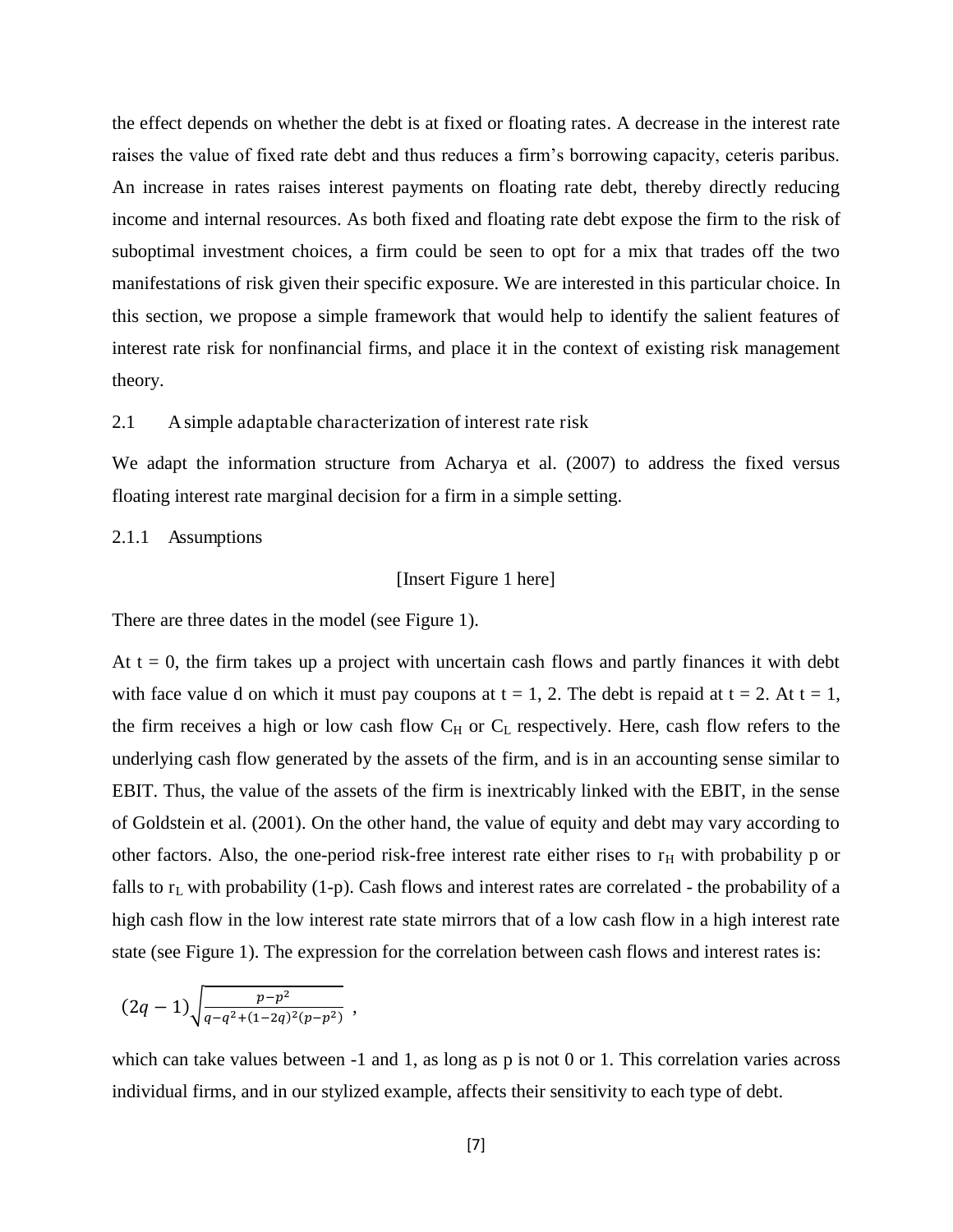the effect depends on whether the debt is at fixed or floating rates. A decrease in the interest rate raises the value of fixed rate debt and thus reduces a firm's borrowing capacity, ceteris paribus. An increase in rates raises interest payments on floating rate debt, thereby directly reducing income and internal resources. As both fixed and floating rate debt expose the firm to the risk of suboptimal investment choices, a firm could be seen to opt for a mix that trades off the two manifestations of risk given their specific exposure. We are interested in this particular choice. In this section, we propose a simple framework that would help to identify the salient features of interest rate risk for nonfinancial firms, and place it in the context of existing risk management theory.

#### 2.1 A simple adaptable characterization of interest rate risk

We adapt the information structure from Acharya et al. (2007) to address the fixed versus floating interest rate marginal decision for a firm in a simple setting.

2.1.1 Assumptions

#### [Insert Figure 1 here]

There are three dates in the model (see Figure 1).

At  $t = 0$ , the firm takes up a project with uncertain cash flows and partly finances it with debt with face value d on which it must pay coupons at  $t = 1$ , 2. The debt is repaid at  $t = 2$ . At  $t = 1$ , the firm receives a high or low cash flow  $C_H$  or  $C_L$  respectively. Here, cash flow refers to the underlying cash flow generated by the assets of the firm, and is in an accounting sense similar to EBIT. Thus, the value of the assets of the firm is inextricably linked with the EBIT, in the sense of Goldstein et al. (2001). On the other hand, the value of equity and debt may vary according to other factors. Also, the one-period risk-free interest rate either rises to  $r<sub>H</sub>$  with probability p or falls to  $r<sub>L</sub>$  with probability (1-p). Cash flows and interest rates are correlated - the probability of a high cash flow in the low interest rate state mirrors that of a low cash flow in a high interest rate state (see Figure 1). The expression for the correlation between cash flows and interest rates is:

$$
(2q-1)\sqrt{\frac{p-p^2}{q-q^2+(1-2q)^2(p-p^2)}}\ ,
$$

which can take values between -1 and 1, as long as p is not 0 or 1. This correlation varies across individual firms, and in our stylized example, affects their sensitivity to each type of debt.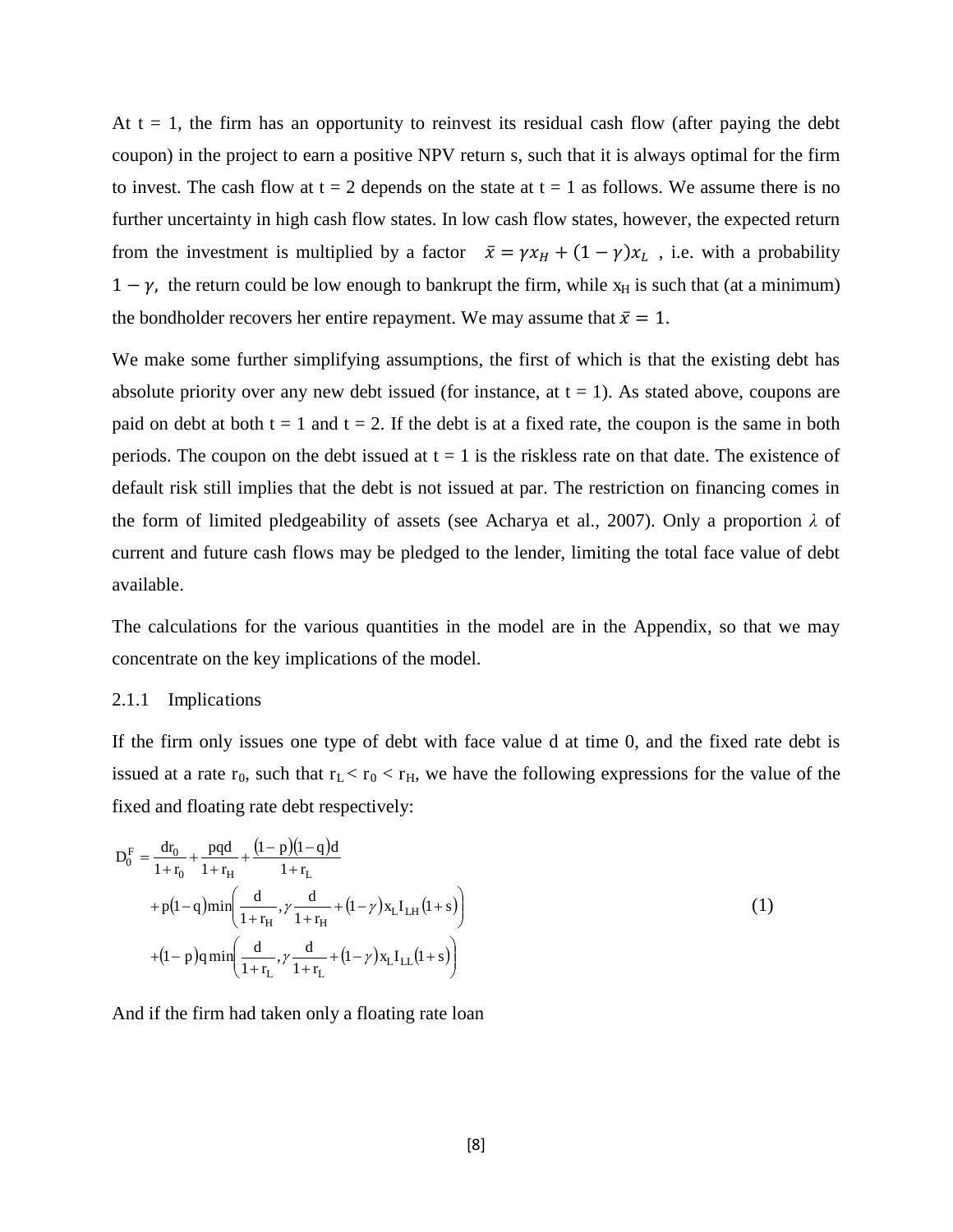At  $t = 1$ , the firm has an opportunity to reinvest its residual cash flow (after paying the debt coupon) in the project to earn a positive NPV return s, such that it is always optimal for the firm to invest. The cash flow at  $t = 2$  depends on the state at  $t = 1$  as follows. We assume there is no further uncertainty in high cash flow states. In low cash flow states, however, the expected return from the investment is multiplied by a factor  $\bar{x} = \gamma x_H + (1 - \gamma)x_L$ , i.e. with a probability  $1 - \gamma$ , the return could be low enough to bankrupt the firm, while  $x_H$  is such that (at a minimum) the bondholder recovers her entire repayment. We may assume that  $\bar{x} = 1$ .

We make some further simplifying assumptions, the first of which is that the existing debt has absolute priority over any new debt issued (for instance, at  $t = 1$ ). As stated above, coupons are paid on debt at both  $t = 1$  and  $t = 2$ . If the debt is at a fixed rate, the coupon is the same in both periods. The coupon on the debt issued at  $t = 1$  is the riskless rate on that date. The existence of default risk still implies that the debt is not issued at par. The restriction on financing comes in the form of limited pledgeability of assets (see Acharya et al., 2007). Only a proportion  $\lambda$  of current and future cash flows may be pledged to the lender, limiting the total face value of debt available.

The calculations for the various quantities in the model are in the Appendix, so that we may concentrate on the key implications of the model.

#### 2.1.1 Implications

If the firm only issues one type of debt with face value d at time 0, and the fixed rate debt is issued at a rate  $r_0$ , such that  $r_L < r_0 < r_H$ , we have the following expressions for the value of the fixed and floating rate debt respectively:

$$
D_0^F = \frac{dr_0}{1 + r_0} + \frac{pqd}{1 + r_H} + \frac{(1 - p)(1 - q)d}{1 + r_L}
$$
  
+  $p(1 - q)min\left(\frac{d}{1 + r_H}, \gamma \frac{d}{1 + r_H} + (1 - \gamma)x_L I_{LH}(1 + s)\right)$   
+  $(1 - p)qmin\left(\frac{d}{1 + r_L}, \gamma \frac{d}{1 + r_L} + (1 - \gamma)x_L I_{LL}(1 + s)\right)$  (1)

And if the firm had taken only a floating rate loan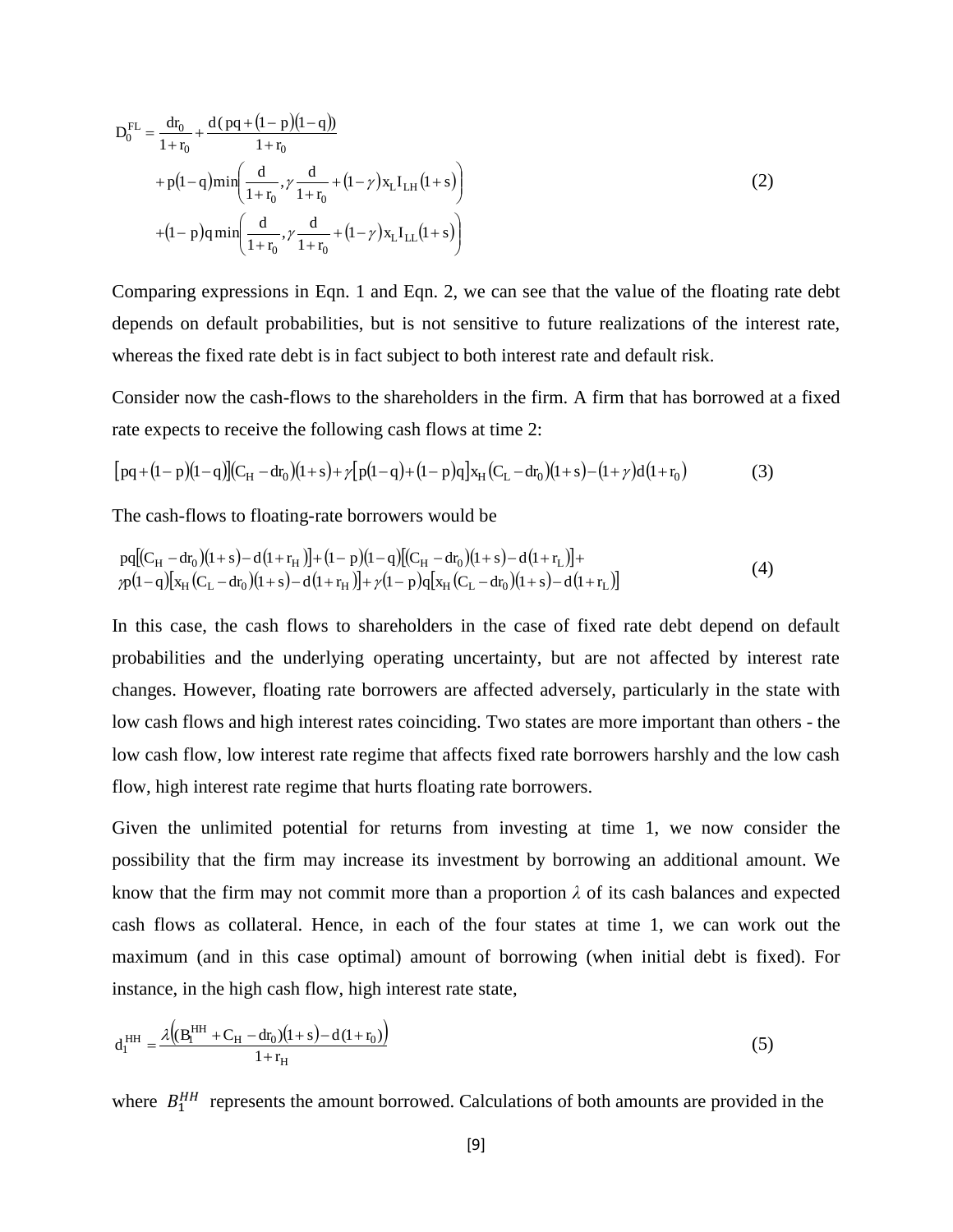$$
D_0^{FL} = \frac{dr_0}{1 + r_0} + \frac{d(pq + (1 - p)(1 - q))}{1 + r_0}
$$
  
+  $p(1 - q)min\left(\frac{d}{1 + r_0}, \gamma \frac{d}{1 + r_0} + (1 - \gamma)x_L I_{LH}(1 + s)\right)$  (2)  
+  $(1 - p)qmin\left(\frac{d}{1 + r_0}, \gamma \frac{d}{1 + r_0} + (1 - \gamma)x_L I_{LL}(1 + s)\right)$ 

Comparing expressions in Eqn. 1 and Eqn. 2, we can see that the value of the floating rate debt depends on default probabilities, but is not sensitive to future realizations of the interest rate, whereas the fixed rate debt is in fact subject to both interest rate and default risk.

Consider now the cash-flows to the shareholders in the firm. A firm that has borrowed at a fixed rate expects to receive the following cash flows at time 2:

$$
[pq+(1-p)(1-q)](C_H-dr_0)(1+s)+\gamma[p(1-q)+(1-p)q]x_H(C_L-dr_0)(1+s)-(1+\gamma)d(1+r_0)
$$
\n(3)

The cash-flows to floating-rate borrowers would be

$$
pq[(C_{H} - dr_{0})(1+s) - d(1+r_{H})] + (1-p)(1-q)[(C_{H} - dr_{0})(1+s) - d(1+r_{L})] +
$$
  
\n
$$
p(1-q)[x_{H}(C_{L} - dr_{0})(1+s) - d(1+r_{H})] + \gamma(1-p)q[x_{H}(C_{L} - dr_{0})(1+s) - d(1+r_{L})]
$$
\n(4)

In this case, the cash flows to shareholders in the case of fixed rate debt depend on default probabilities and the underlying operating uncertainty, but are not affected by interest rate changes. However, floating rate borrowers are affected adversely, particularly in the state with low cash flows and high interest rates coinciding. Two states are more important than others - the low cash flow, low interest rate regime that affects fixed rate borrowers harshly and the low cash flow, high interest rate regime that hurts floating rate borrowers.

Given the unlimited potential for returns from investing at time 1, we now consider the possibility that the firm may increase its investment by borrowing an additional amount. We know that the firm may not commit more than a proportion  $\lambda$  of its cash balances and expected cash flows as collateral. Hence, in each of the four states at time 1, we can work out the maximum (and in this case optimal) amount of borrowing (when initial debt is fixed). For instance, in the high cash flow, high interest rate state,

$$
d_1^{\text{HH}} = \frac{\lambda \left( (B_1^{\text{HH}} + C_H - dr_0)(1+s) - d(1+r_0) \right)}{1+r_H}
$$
(5)

where  $B_1^{HH}$  represents the amount borrowed. Calculations of both amounts are provided in the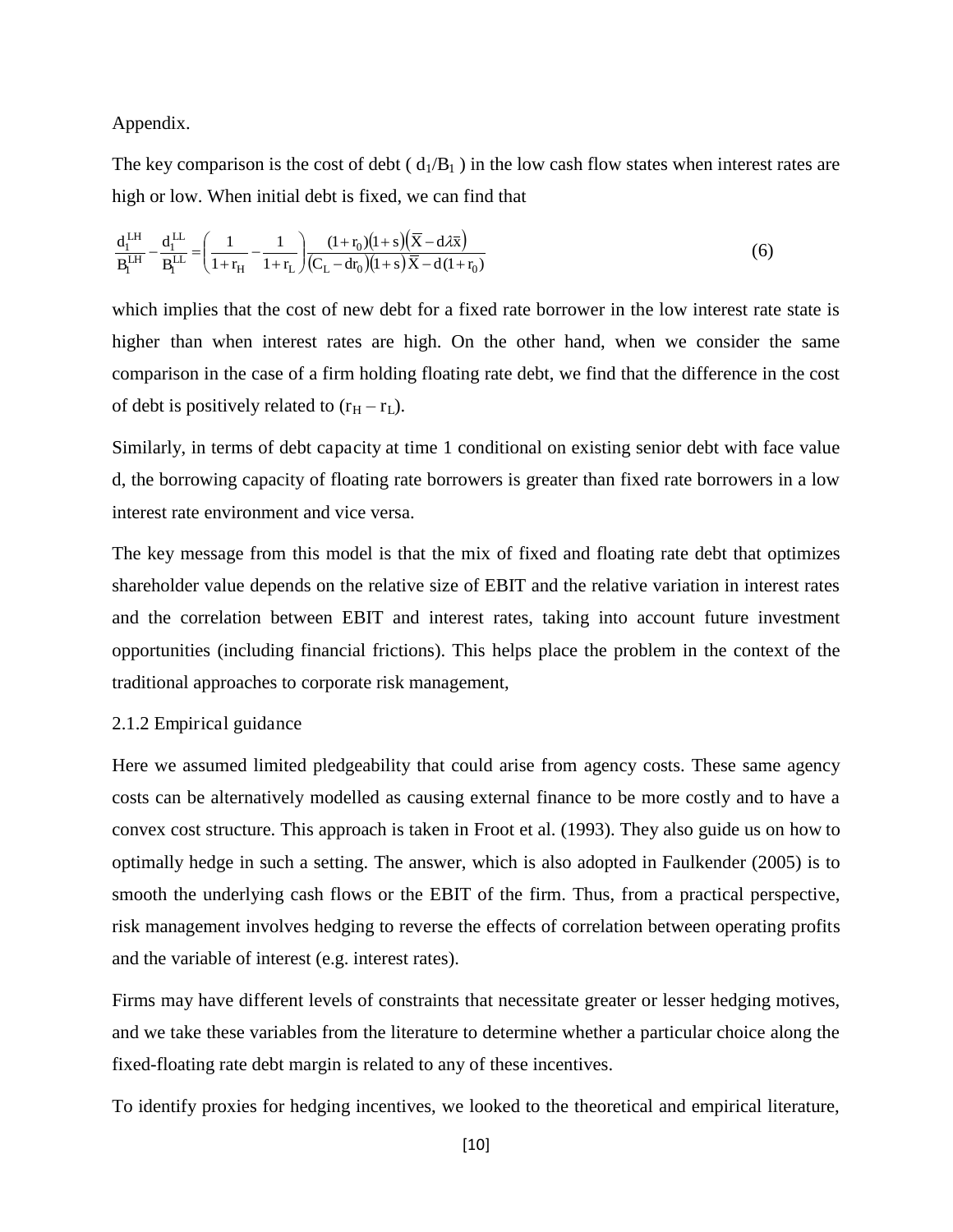Appendix.

The key comparison is the cost of debt ( $d_1/B_1$ ) in the low cash flow states when interest rates are high or low. When initial debt is fixed, we can find that

$$
\frac{d_1^{LH}}{B_1^{LH}} - \frac{d_1^{LL}}{B_1^{LL}} = \left(\frac{1}{1+r_H} - \frac{1}{1+r_L}\right) \frac{(1+r_0)(1+s)\left(\overline{X} - d\lambda \overline{x}\right)}{(C_L - dr_0)(1+s)\overline{X} - d(1+r_0)}
$$
(6)

which implies that the cost of new debt for a fixed rate borrower in the low interest rate state is higher than when interest rates are high. On the other hand, when we consider the same comparison in the case of a firm holding floating rate debt, we find that the difference in the cost of debt is positively related to  $(r_H - r_L)$ .

Similarly, in terms of debt capacity at time 1 conditional on existing senior debt with face value d, the borrowing capacity of floating rate borrowers is greater than fixed rate borrowers in a low interest rate environment and vice versa.

The key message from this model is that the mix of fixed and floating rate debt that optimizes shareholder value depends on the relative size of EBIT and the relative variation in interest rates and the correlation between EBIT and interest rates, taking into account future investment opportunities (including financial frictions). This helps place the problem in the context of the traditional approaches to corporate risk management,

#### 2.1.2 Empirical guidance

Here we assumed limited pledgeability that could arise from agency costs. These same agency costs can be alternatively modelled as causing external finance to be more costly and to have a convex cost structure. This approach is taken in Froot et al. (1993). They also guide us on how to optimally hedge in such a setting. The answer, which is also adopted in Faulkender (2005) is to smooth the underlying cash flows or the EBIT of the firm. Thus, from a practical perspective, risk management involves hedging to reverse the effects of correlation between operating profits and the variable of interest (e.g. interest rates).

Firms may have different levels of constraints that necessitate greater or lesser hedging motives, and we take these variables from the literature to determine whether a particular choice along the fixed-floating rate debt margin is related to any of these incentives.

To identify proxies for hedging incentives, we looked to the theoretical and empirical literature,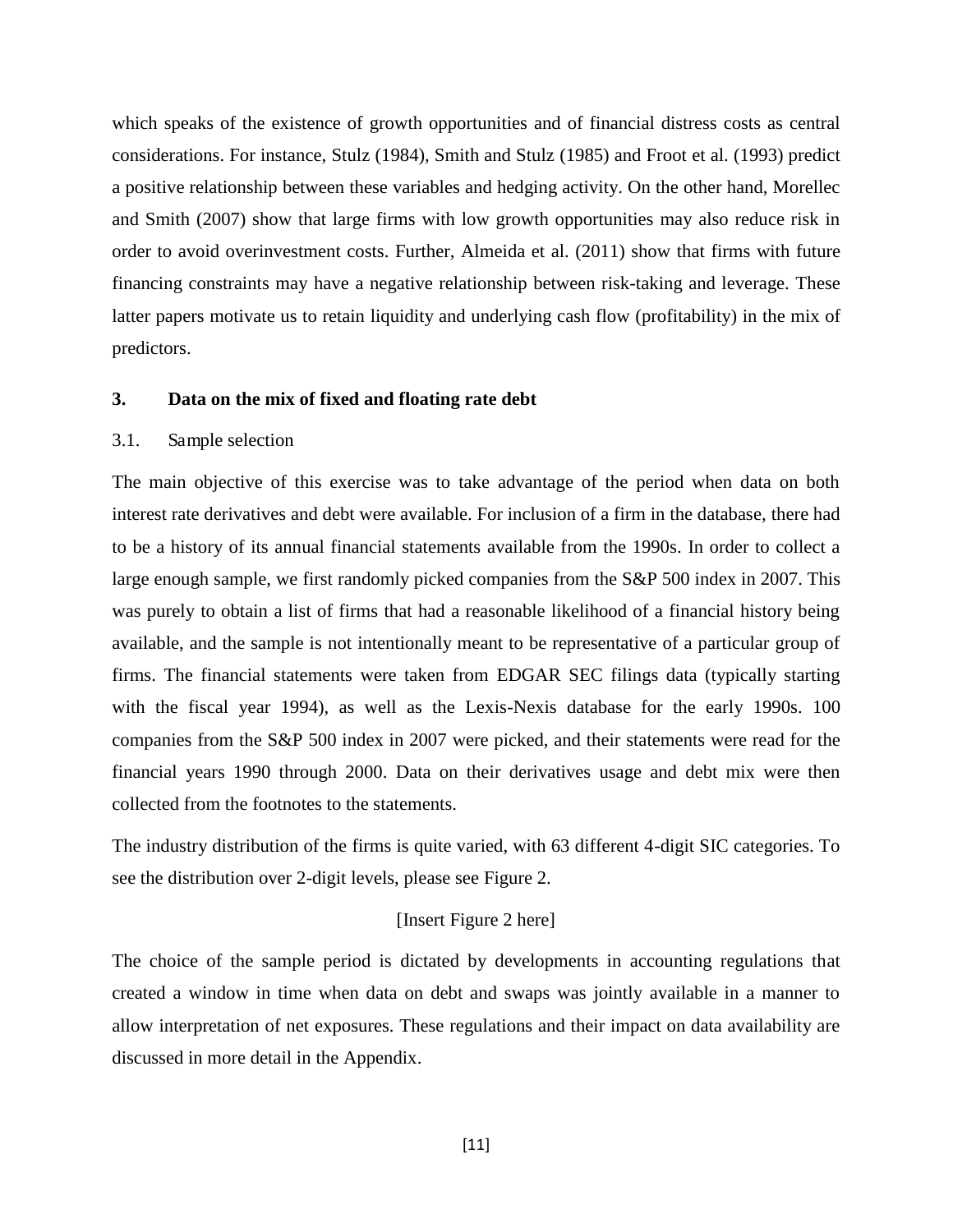which speaks of the existence of growth opportunities and of financial distress costs as central considerations. For instance, Stulz (1984), Smith and Stulz (1985) and Froot et al. (1993) predict a positive relationship between these variables and hedging activity. On the other hand, Morellec and Smith (2007) show that large firms with low growth opportunities may also reduce risk in order to avoid overinvestment costs. Further, Almeida et al. (2011) show that firms with future financing constraints may have a negative relationship between risk-taking and leverage. These latter papers motivate us to retain liquidity and underlying cash flow (profitability) in the mix of predictors.

#### **3. Data on the mix of fixed and floating rate debt**

#### 3.1. Sample selection

The main objective of this exercise was to take advantage of the period when data on both interest rate derivatives and debt were available. For inclusion of a firm in the database, there had to be a history of its annual financial statements available from the 1990s. In order to collect a large enough sample, we first randomly picked companies from the S&P 500 index in 2007. This was purely to obtain a list of firms that had a reasonable likelihood of a financial history being available, and the sample is not intentionally meant to be representative of a particular group of firms. The financial statements were taken from EDGAR SEC filings data (typically starting with the fiscal year 1994), as well as the Lexis-Nexis database for the early 1990s. 100 companies from the S&P 500 index in 2007 were picked, and their statements were read for the financial years 1990 through 2000. Data on their derivatives usage and debt mix were then collected from the footnotes to the statements.

The industry distribution of the firms is quite varied, with 63 different 4-digit SIC categories. To see the distribution over 2-digit levels, please see Figure 2.

#### [Insert Figure 2 here]

The choice of the sample period is dictated by developments in accounting regulations that created a window in time when data on debt and swaps was jointly available in a manner to allow interpretation of net exposures. These regulations and their impact on data availability are discussed in more detail in the Appendix.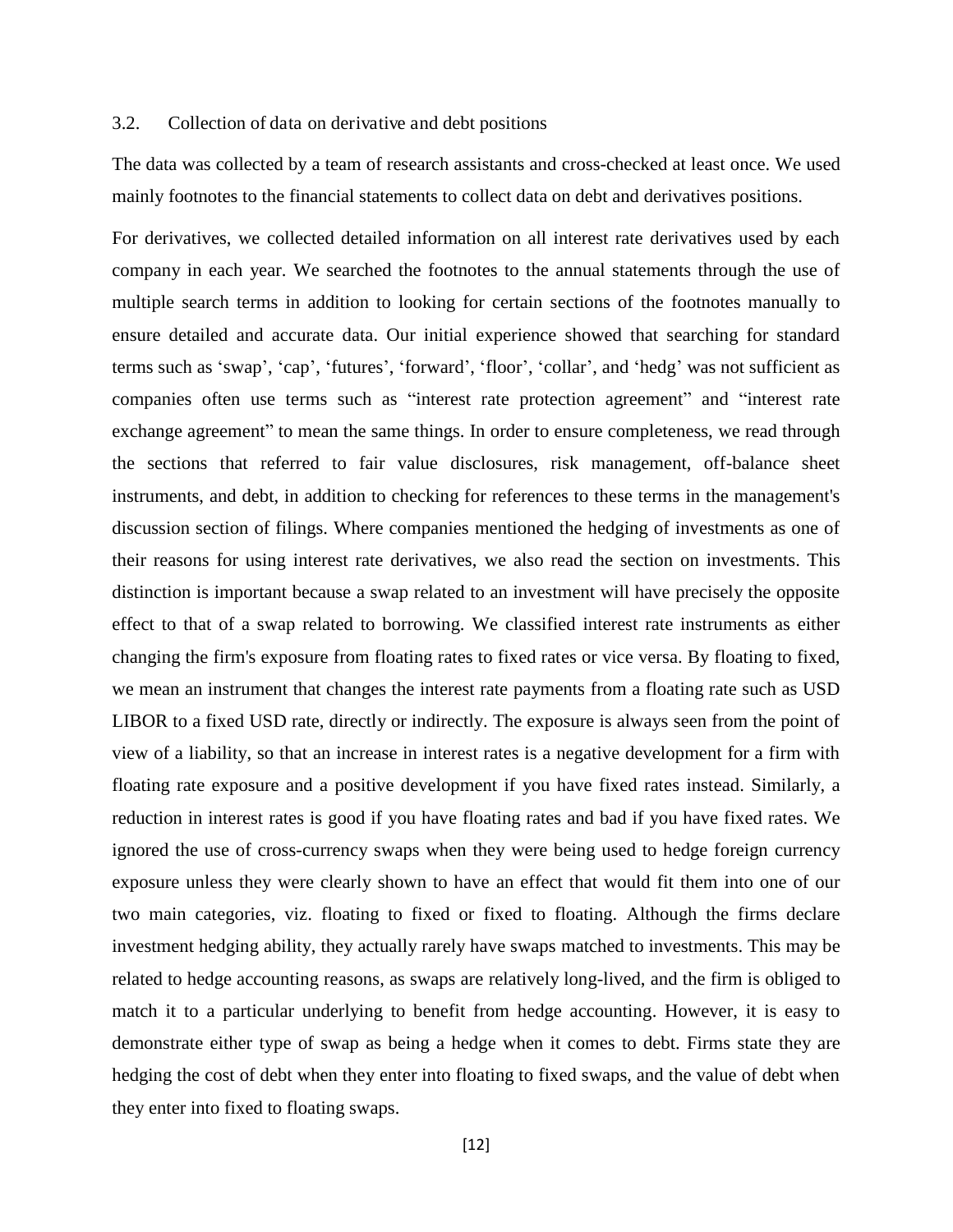#### 3.2. Collection of data on derivative and debt positions

The data was collected by a team of research assistants and cross-checked at least once. We used mainly footnotes to the financial statements to collect data on debt and derivatives positions.

For derivatives, we collected detailed information on all interest rate derivatives used by each company in each year. We searched the footnotes to the annual statements through the use of multiple search terms in addition to looking for certain sections of the footnotes manually to ensure detailed and accurate data. Our initial experience showed that searching for standard terms such as 'swap', 'cap', 'futures', 'forward', 'floor', 'collar', and 'hedg' was not sufficient as companies often use terms such as "interest rate protection agreement" and "interest rate exchange agreement" to mean the same things. In order to ensure completeness, we read through the sections that referred to fair value disclosures, risk management, off-balance sheet instruments, and debt, in addition to checking for references to these terms in the management's discussion section of filings. Where companies mentioned the hedging of investments as one of their reasons for using interest rate derivatives, we also read the section on investments. This distinction is important because a swap related to an investment will have precisely the opposite effect to that of a swap related to borrowing. We classified interest rate instruments as either changing the firm's exposure from floating rates to fixed rates or vice versa. By floating to fixed, we mean an instrument that changes the interest rate payments from a floating rate such as USD LIBOR to a fixed USD rate, directly or indirectly. The exposure is always seen from the point of view of a liability, so that an increase in interest rates is a negative development for a firm with floating rate exposure and a positive development if you have fixed rates instead. Similarly, a reduction in interest rates is good if you have floating rates and bad if you have fixed rates. We ignored the use of cross-currency swaps when they were being used to hedge foreign currency exposure unless they were clearly shown to have an effect that would fit them into one of our two main categories, viz. floating to fixed or fixed to floating. Although the firms declare investment hedging ability, they actually rarely have swaps matched to investments. This may be related to hedge accounting reasons, as swaps are relatively long-lived, and the firm is obliged to match it to a particular underlying to benefit from hedge accounting. However, it is easy to demonstrate either type of swap as being a hedge when it comes to debt. Firms state they are hedging the cost of debt when they enter into floating to fixed swaps, and the value of debt when they enter into fixed to floating swaps.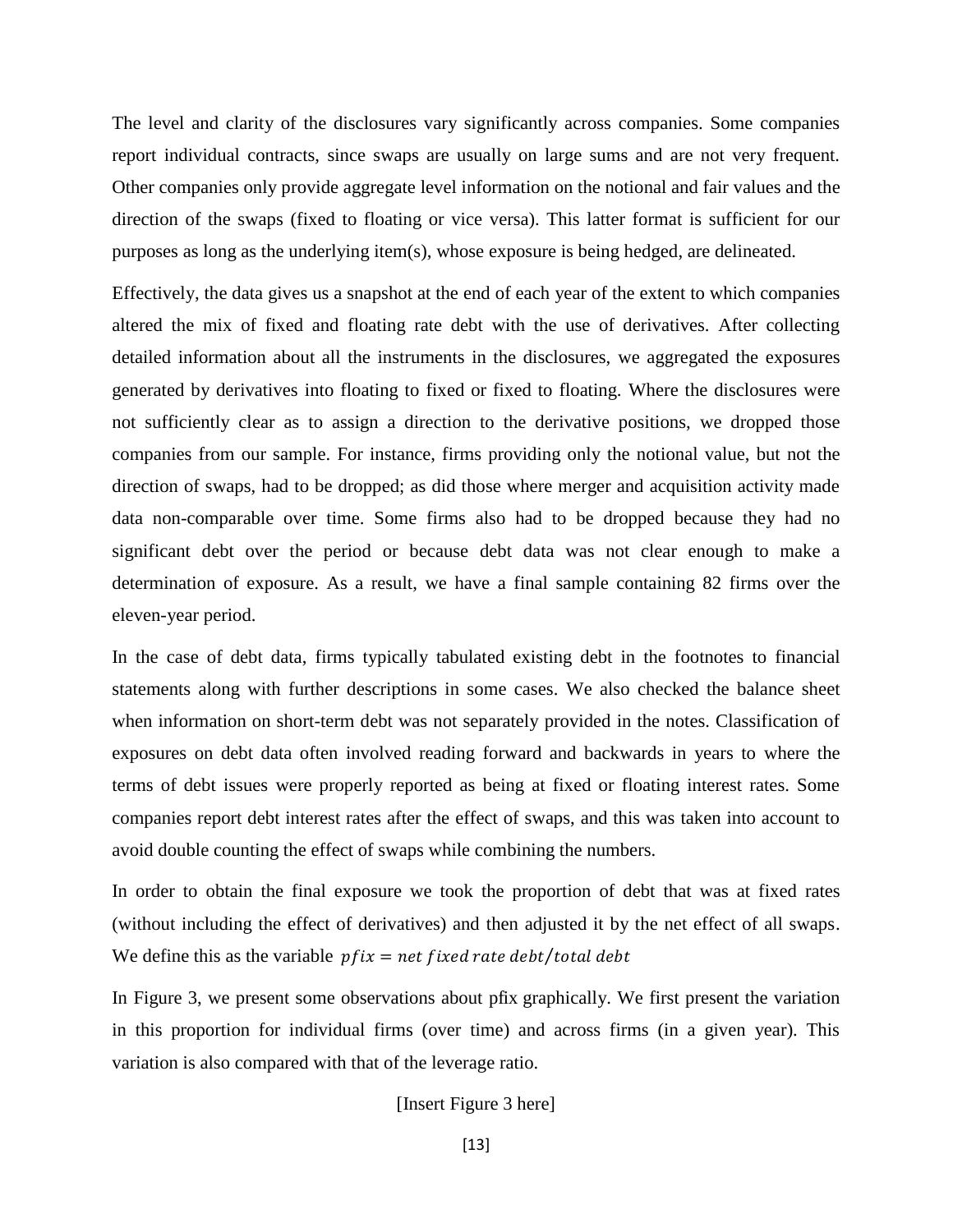The level and clarity of the disclosures vary significantly across companies. Some companies report individual contracts, since swaps are usually on large sums and are not very frequent. Other companies only provide aggregate level information on the notional and fair values and the direction of the swaps (fixed to floating or vice versa). This latter format is sufficient for our purposes as long as the underlying item(s), whose exposure is being hedged, are delineated.

Effectively, the data gives us a snapshot at the end of each year of the extent to which companies altered the mix of fixed and floating rate debt with the use of derivatives. After collecting detailed information about all the instruments in the disclosures, we aggregated the exposures generated by derivatives into floating to fixed or fixed to floating. Where the disclosures were not sufficiently clear as to assign a direction to the derivative positions, we dropped those companies from our sample. For instance, firms providing only the notional value, but not the direction of swaps, had to be dropped; as did those where merger and acquisition activity made data non-comparable over time. Some firms also had to be dropped because they had no significant debt over the period or because debt data was not clear enough to make a determination of exposure. As a result, we have a final sample containing 82 firms over the eleven-year period.

In the case of debt data, firms typically tabulated existing debt in the footnotes to financial statements along with further descriptions in some cases. We also checked the balance sheet when information on short-term debt was not separately provided in the notes. Classification of exposures on debt data often involved reading forward and backwards in years to where the terms of debt issues were properly reported as being at fixed or floating interest rates. Some companies report debt interest rates after the effect of swaps, and this was taken into account to avoid double counting the effect of swaps while combining the numbers.

In order to obtain the final exposure we took the proportion of debt that was at fixed rates (without including the effect of derivatives) and then adjusted it by the net effect of all swaps. We define this as the variable  $pfix = net fixed rate debt/total debt$ 

In Figure 3, we present some observations about pfix graphically. We first present the variation in this proportion for individual firms (over time) and across firms (in a given year). This variation is also compared with that of the leverage ratio.

[Insert Figure 3 here]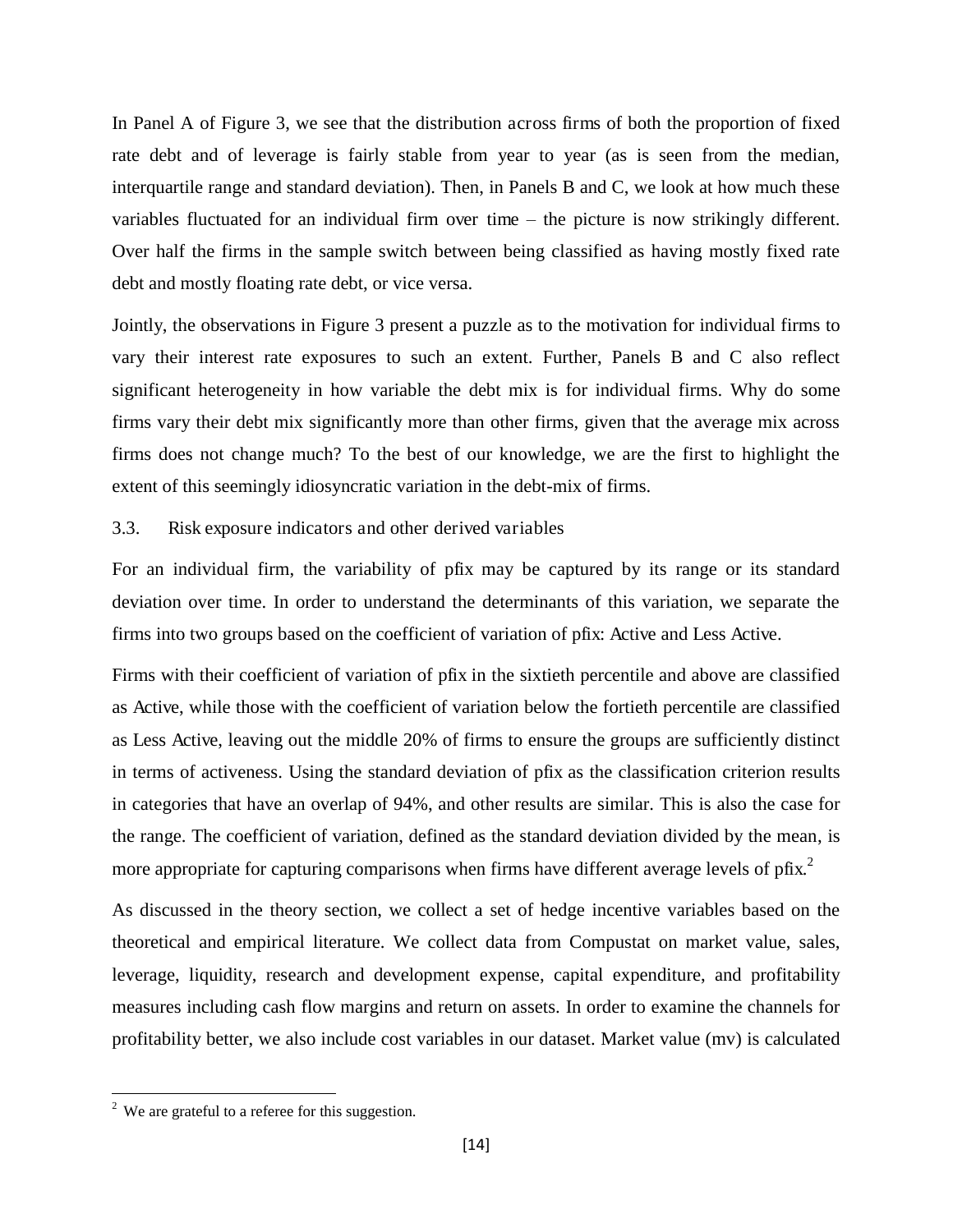In Panel A of Figure 3, we see that the distribution across firms of both the proportion of fixed rate debt and of leverage is fairly stable from year to year (as is seen from the median, interquartile range and standard deviation). Then, in Panels B and C, we look at how much these variables fluctuated for an individual firm over time – the picture is now strikingly different. Over half the firms in the sample switch between being classified as having mostly fixed rate debt and mostly floating rate debt, or vice versa.

Jointly, the observations in Figure 3 present a puzzle as to the motivation for individual firms to vary their interest rate exposures to such an extent. Further, Panels B and C also reflect significant heterogeneity in how variable the debt mix is for individual firms. Why do some firms vary their debt mix significantly more than other firms, given that the average mix across firms does not change much? To the best of our knowledge, we are the first to highlight the extent of this seemingly idiosyncratic variation in the debt-mix of firms.

# 3.3. Risk exposure indicators and other derived variables

For an individual firm, the variability of pfix may be captured by its range or its standard deviation over time. In order to understand the determinants of this variation, we separate the firms into two groups based on the coefficient of variation of pfix: Active and Less Active.

Firms with their coefficient of variation of pfix in the sixtieth percentile and above are classified as Active, while those with the coefficient of variation below the fortieth percentile are classified as Less Active, leaving out the middle 20% of firms to ensure the groups are sufficiently distinct in terms of activeness. Using the standard deviation of pfix as the classification criterion results in categories that have an overlap of 94%, and other results are similar. This is also the case for the range. The coefficient of variation, defined as the standard deviation divided by the mean, is more appropriate for capturing comparisons when firms have different average levels of pfix.<sup>2</sup>

As discussed in the theory section, we collect a set of hedge incentive variables based on the theoretical and empirical literature. We collect data from Compustat on market value, sales, leverage, liquidity, research and development expense, capital expenditure, and profitability measures including cash flow margins and return on assets. In order to examine the channels for profitability better, we also include cost variables in our dataset. Market value (mv) is calculated

l

 $2$  We are grateful to a referee for this suggestion.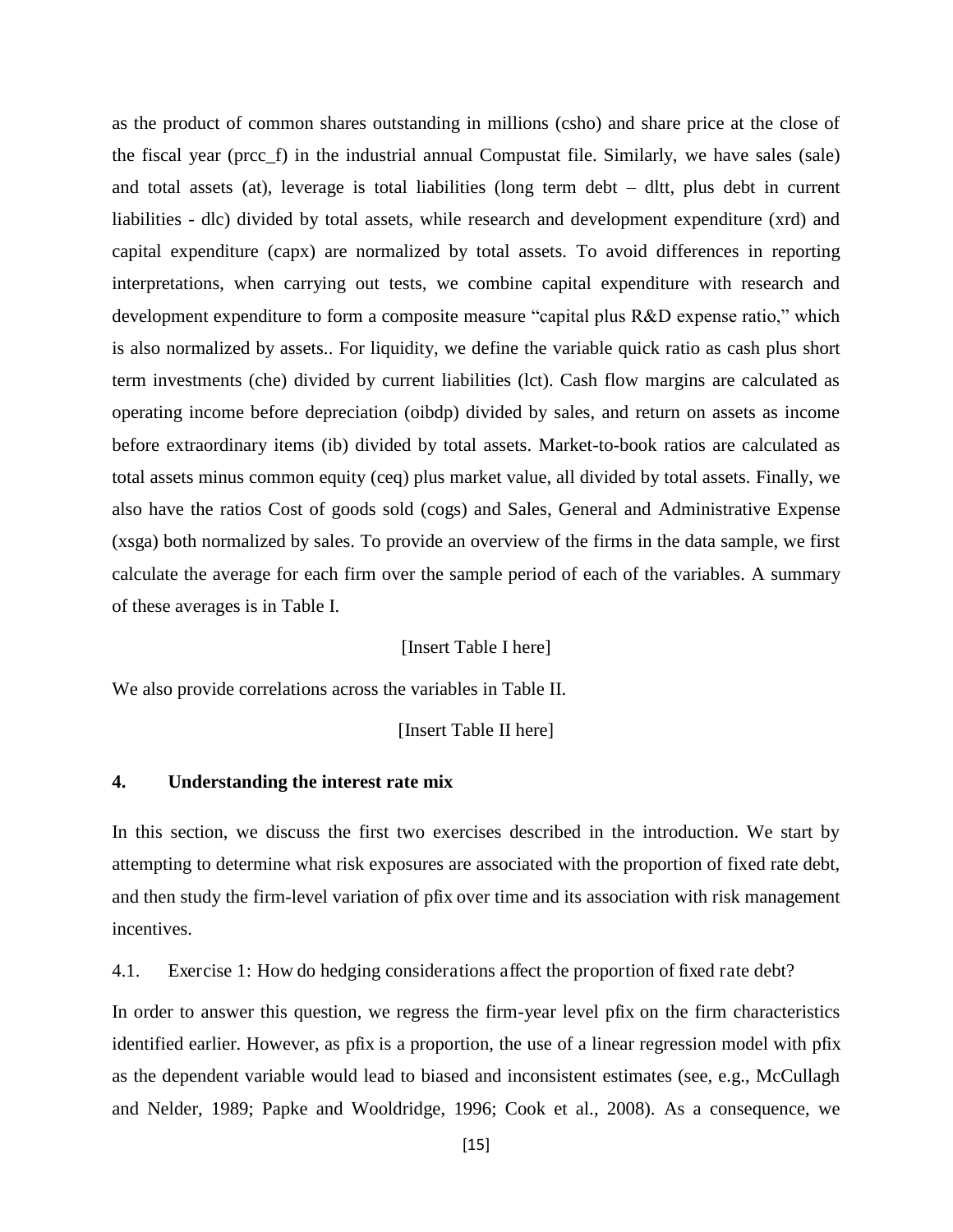as the product of common shares outstanding in millions (csho) and share price at the close of the fiscal year (prcc\_f) in the industrial annual Compustat file. Similarly, we have sales (sale) and total assets (at), leverage is total liabilities (long term debt – dltt, plus debt in current liabilities - dlc) divided by total assets, while research and development expenditure (xrd) and capital expenditure (capx) are normalized by total assets. To avoid differences in reporting interpretations, when carrying out tests, we combine capital expenditure with research and development expenditure to form a composite measure "capital plus R&D expense ratio," which is also normalized by assets.. For liquidity, we define the variable quick ratio as cash plus short term investments (che) divided by current liabilities (lct). Cash flow margins are calculated as operating income before depreciation (oibdp) divided by sales, and return on assets as income before extraordinary items (ib) divided by total assets. Market-to-book ratios are calculated as total assets minus common equity (ceq) plus market value, all divided by total assets. Finally, we also have the ratios Cost of goods sold (cogs) and Sales, General and Administrative Expense (xsga) both normalized by sales. To provide an overview of the firms in the data sample, we first calculate the average for each firm over the sample period of each of the variables. A summary of these averages is in Table I.

#### [Insert Table I here]

We also provide correlations across the variables in Table II.

#### [Insert Table II here]

#### **4. Understanding the interest rate mix**

In this section, we discuss the first two exercises described in the introduction. We start by attempting to determine what risk exposures are associated with the proportion of fixed rate debt, and then study the firm-level variation of pfix over time and its association with risk management incentives.

4.1. Exercise 1: How do hedging considerations affect the proportion of fixed rate debt?

In order to answer this question, we regress the firm-year level pfix on the firm characteristics identified earlier. However, as pfix is a proportion, the use of a linear regression model with pfix as the dependent variable would lead to biased and inconsistent estimates (see, e.g., McCullagh and Nelder, 1989; Papke and Wooldridge, 1996; Cook et al., 2008). As a consequence, we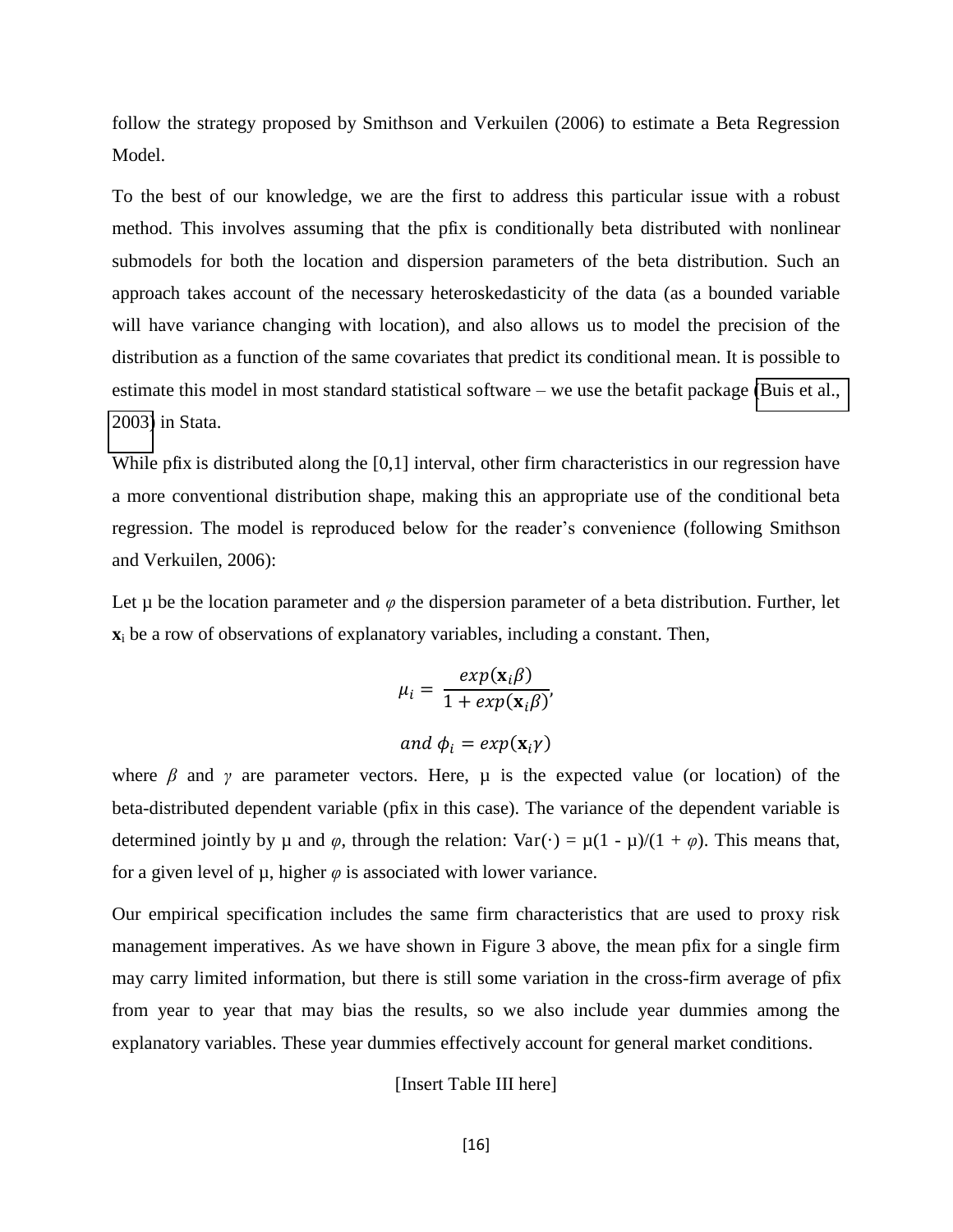follow the strategy proposed by Smithson and Verkuilen (2006) to estimate a Beta Regression Model.

To the best of our knowledge, we are the first to address this particular issue with a robust method. This involves assuming that the pfix is conditionally beta distributed with nonlinear submodels for both the location and dispersion parameters of the beta distribution. Such an approach takes account of the necessary heteroskedasticity of the data (as a bounded variable will have variance changing with location), and also allows us to model the precision of the distribution as a function of the same covariates that predict its conditional mean. It is possible to estimate this model in most standard statistical software – we use the betafit package [\(Buis et al.,](#page-26-0)  [2003\)](#page-26-0) in Stata.

While pfix is distributed along the [0,1] interval, other firm characteristics in our regression have a more conventional distribution shape, making this an appropriate use of the conditional beta regression. The model is reproduced below for the reader's convenience (following Smithson and Verkuilen, 2006):

Let  $\mu$  be the location parameter and  $\varphi$  the dispersion parameter of a beta distribution. Further, let **x**i be a row of observations of explanatory variables, including a constant. Then,

$$
\mu_i = \frac{exp(\mathbf{x}_i \beta)}{1 + exp(\mathbf{x}_i \beta)}
$$
  
and  $\phi_i = exp(\mathbf{x}_i \gamma)$ 

where  $\beta$  and  $\gamma$  are parameter vectors. Here,  $\mu$  is the expected value (or location) of the beta-distributed dependent variable (pfix in this case). The variance of the dependent variable is determined jointly by  $\mu$  and  $\varphi$ , through the relation: Var(·) =  $\mu(1 - \mu)/(1 + \varphi)$ . This means that, for a given level of  $\mu$ , higher  $\varphi$  is associated with lower variance.

Our empirical specification includes the same firm characteristics that are used to proxy risk management imperatives. As we have shown in Figure 3 above, the mean pfix for a single firm may carry limited information, but there is still some variation in the cross-firm average of pfix from year to year that may bias the results, so we also include year dummies among the explanatory variables. These year dummies effectively account for general market conditions.

#### [Insert Table III here]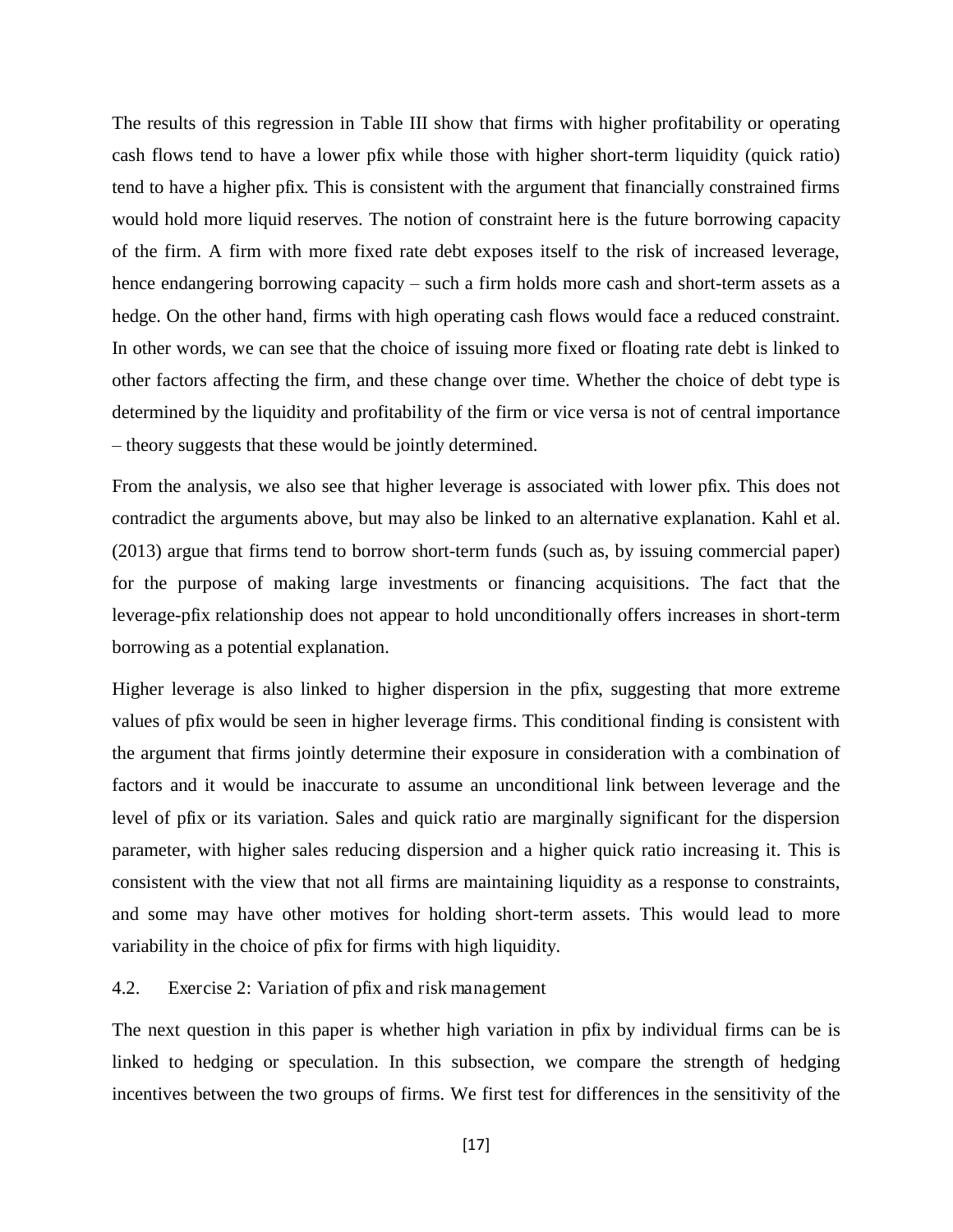The results of this regression in Table III show that firms with higher profitability or operating cash flows tend to have a lower pfix while those with higher short-term liquidity (quick ratio) tend to have a higher pfix. This is consistent with the argument that financially constrained firms would hold more liquid reserves. The notion of constraint here is the future borrowing capacity of the firm. A firm with more fixed rate debt exposes itself to the risk of increased leverage, hence endangering borrowing capacity – such a firm holds more cash and short-term assets as a hedge. On the other hand, firms with high operating cash flows would face a reduced constraint. In other words, we can see that the choice of issuing more fixed or floating rate debt is linked to other factors affecting the firm, and these change over time. Whether the choice of debt type is determined by the liquidity and profitability of the firm or vice versa is not of central importance – theory suggests that these would be jointly determined.

From the analysis, we also see that higher leverage is associated with lower pfix. This does not contradict the arguments above, but may also be linked to an alternative explanation. Kahl et al. (2013) argue that firms tend to borrow short-term funds (such as, by issuing commercial paper) for the purpose of making large investments or financing acquisitions. The fact that the leverage-pfix relationship does not appear to hold unconditionally offers increases in short-term borrowing as a potential explanation.

Higher leverage is also linked to higher dispersion in the pfix, suggesting that more extreme values of pfix would be seen in higher leverage firms. This conditional finding is consistent with the argument that firms jointly determine their exposure in consideration with a combination of factors and it would be inaccurate to assume an unconditional link between leverage and the level of pfix or its variation. Sales and quick ratio are marginally significant for the dispersion parameter, with higher sales reducing dispersion and a higher quick ratio increasing it. This is consistent with the view that not all firms are maintaining liquidity as a response to constraints, and some may have other motives for holding short-term assets. This would lead to more variability in the choice of pfix for firms with high liquidity.

4.2. Exercise 2: Variation of pfix and risk management

The next question in this paper is whether high variation in pfix by individual firms can be is linked to hedging or speculation. In this subsection, we compare the strength of hedging incentives between the two groups of firms. We first test for differences in the sensitivity of the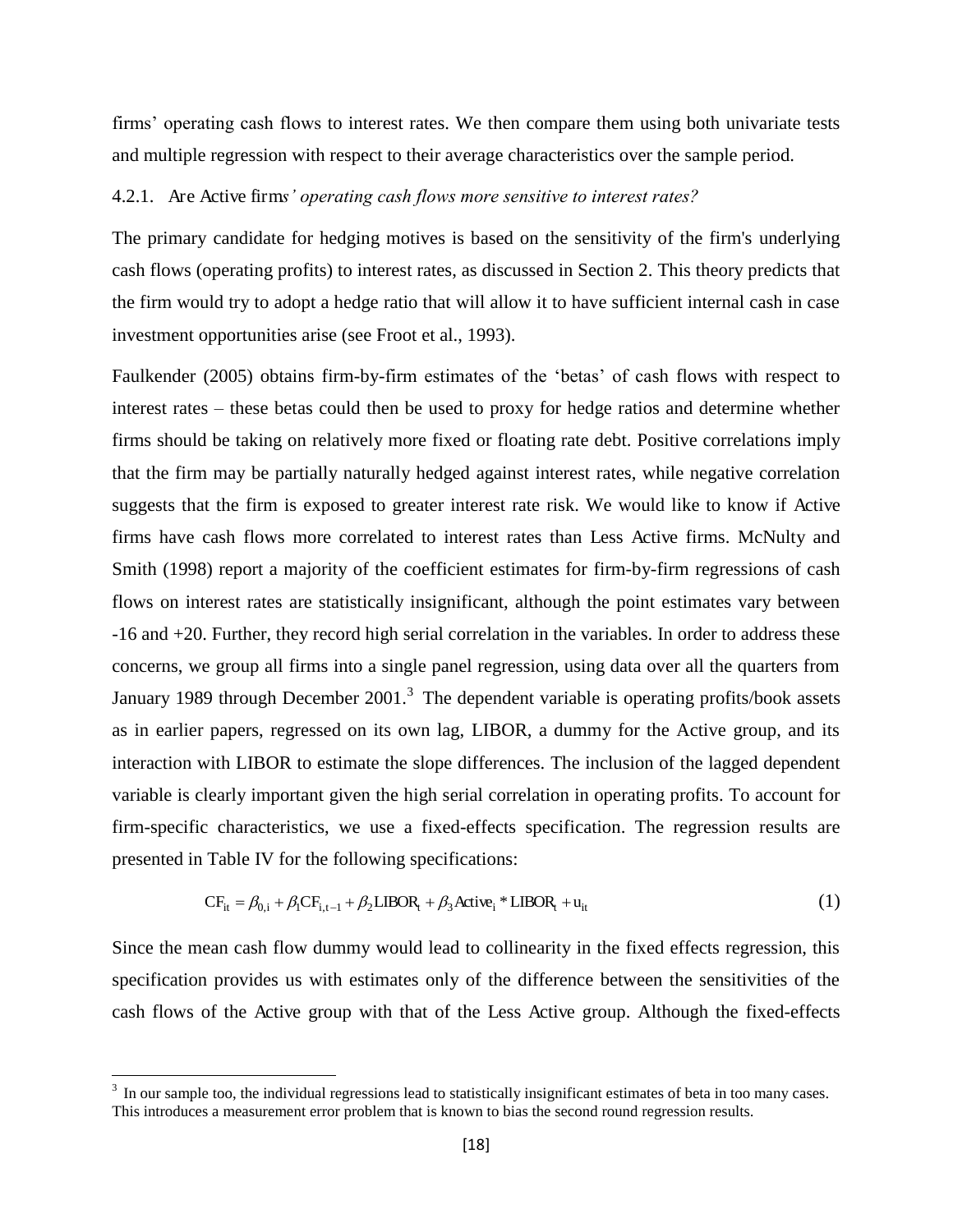firms' operating cash flows to interest rates. We then compare them using both univariate tests and multiple regression with respect to their average characteristics over the sample period.

#### 4.2.1. Are Active firm*s' operating cash flows more sensitive to interest rates?*

The primary candidate for hedging motives is based on the sensitivity of the firm's underlying cash flows (operating profits) to interest rates, as discussed in Section 2. This theory predicts that the firm would try to adopt a hedge ratio that will allow it to have sufficient internal cash in case investment opportunities arise (see Froot et al., 1993).

Faulkender (2005) obtains firm-by-firm estimates of the 'betas' of cash flows with respect to interest rates – these betas could then be used to proxy for hedge ratios and determine whether firms should be taking on relatively more fixed or floating rate debt. Positive correlations imply that the firm may be partially naturally hedged against interest rates, while negative correlation suggests that the firm is exposed to greater interest rate risk. We would like to know if Active firms have cash flows more correlated to interest rates than Less Active firms. McNulty and Smith (1998) report a majority of the coefficient estimates for firm-by-firm regressions of cash flows on interest rates are statistically insignificant, although the point estimates vary between -16 and +20. Further, they record high serial correlation in the variables. In order to address these concerns, we group all firms into a single panel regression, using data over all the quarters from January 1989 through December 2001.<sup>3</sup> The dependent variable is operating profits/book assets as in earlier papers, regressed on its own lag, LIBOR, a dummy for the Active group, and its interaction with LIBOR to estimate the slope differences. The inclusion of the lagged dependent variable is clearly important given the high serial correlation in operating profits. To account for firm-specific characteristics, we use a fixed-effects specification. The regression results are presented in Table IV for the following specifications:

$$
CF_{it} = \beta_{0,i} + \beta_1 CF_{i,t-1} + \beta_2 LIBOR_t + \beta_3 Active_i * LIBOR_t + u_{it}
$$
\n(1)

Since the mean cash flow dummy would lead to collinearity in the fixed effects regression, this specification provides us with estimates only of the difference between the sensitivities of the cash flows of the Active group with that of the Less Active group. Although the fixed-effects

 $\overline{a}$ 

 $3\,$  In our sample too, the individual regressions lead to statistically insignificant estimates of beta in too many cases. This introduces a measurement error problem that is known to bias the second round regression results.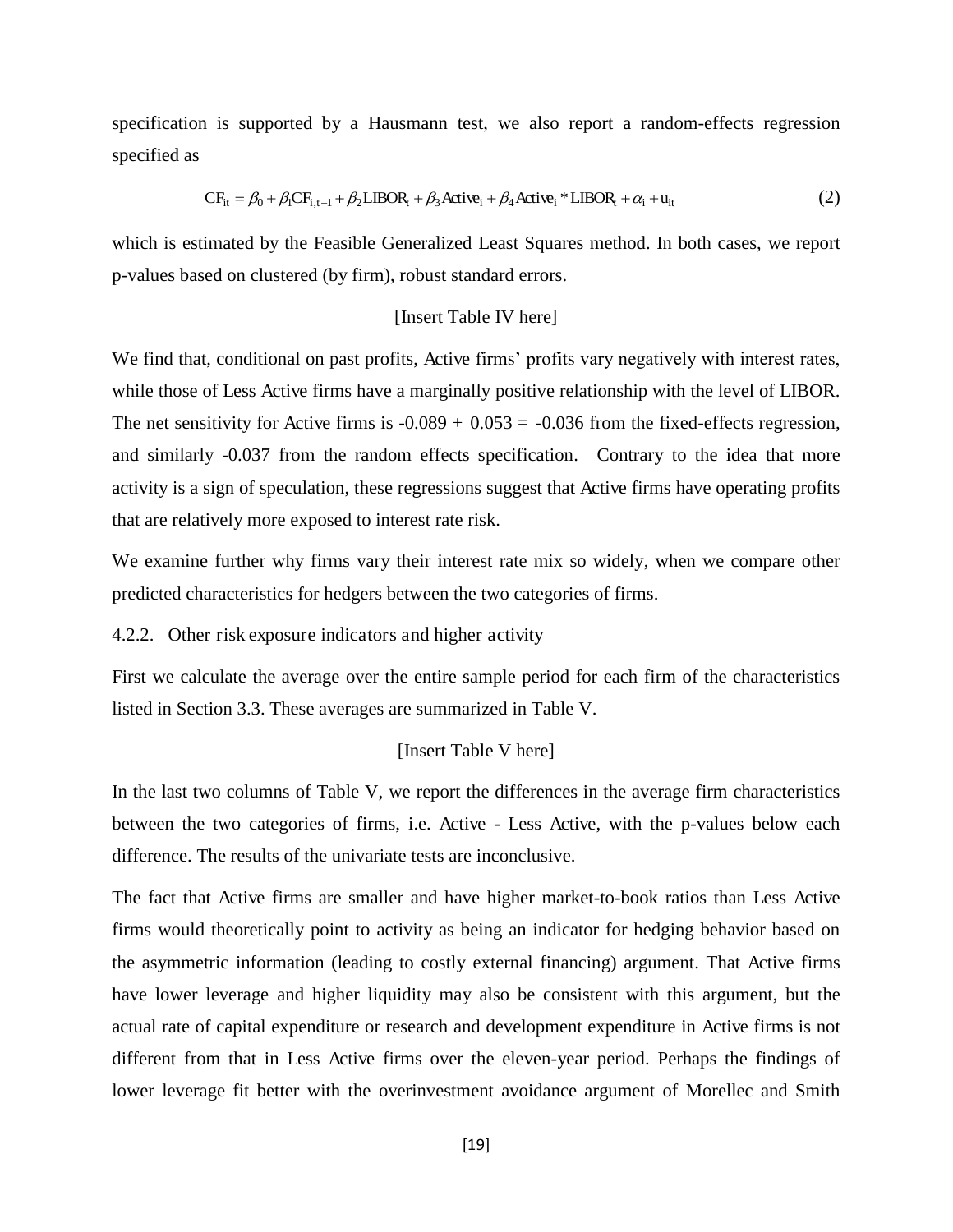specification is supported by a Hausmann test, we also report a random-effects regression specified as

$$
CF_{it} = \beta_0 + \beta_1 CF_{i,t-1} + \beta_2 LIBOR_t + \beta_3 Active_t + \beta_4 Active_t * LIBOR_t + \alpha_i + u_{it}
$$
 (2)

which is estimated by the Feasible Generalized Least Squares method. In both cases, we report p-values based on clustered (by firm), robust standard errors.

#### [Insert Table IV here]

We find that, conditional on past profits, Active firms' profits vary negatively with interest rates, while those of Less Active firms have a marginally positive relationship with the level of LIBOR. The net sensitivity for Active firms is  $-0.089 + 0.053 = -0.036$  from the fixed-effects regression, and similarly -0.037 from the random effects specification. Contrary to the idea that more activity is a sign of speculation, these regressions suggest that Active firms have operating profits that are relatively more exposed to interest rate risk.

We examine further why firms vary their interest rate mix so widely, when we compare other predicted characteristics for hedgers between the two categories of firms.

4.2.2. Other risk exposure indicators and higher activity

First we calculate the average over the entire sample period for each firm of the characteristics listed in Section 3.3. These averages are summarized in Table V.

#### [Insert Table V here]

In the last two columns of Table V, we report the differences in the average firm characteristics between the two categories of firms, i.e. Active - Less Active, with the p-values below each difference. The results of the univariate tests are inconclusive.

The fact that Active firms are smaller and have higher market-to-book ratios than Less Active firms would theoretically point to activity as being an indicator for hedging behavior based on the asymmetric information (leading to costly external financing) argument. That Active firms have lower leverage and higher liquidity may also be consistent with this argument, but the actual rate of capital expenditure or research and development expenditure in Active firms is not different from that in Less Active firms over the eleven-year period. Perhaps the findings of lower leverage fit better with the overinvestment avoidance argument of Morellec and Smith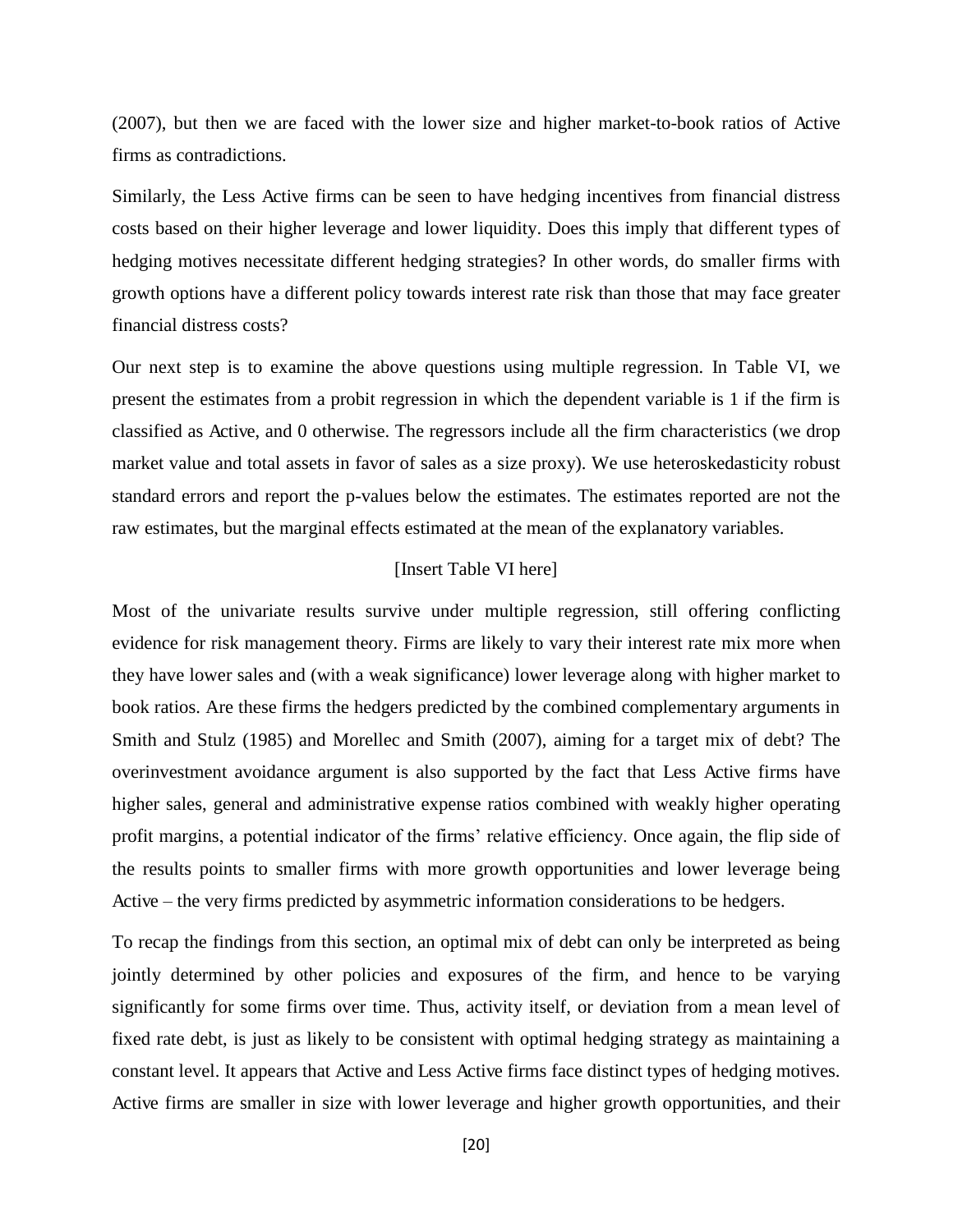(2007), but then we are faced with the lower size and higher market-to-book ratios of Active firms as contradictions.

Similarly, the Less Active firms can be seen to have hedging incentives from financial distress costs based on their higher leverage and lower liquidity. Does this imply that different types of hedging motives necessitate different hedging strategies? In other words, do smaller firms with growth options have a different policy towards interest rate risk than those that may face greater financial distress costs?

Our next step is to examine the above questions using multiple regression. In Table VI, we present the estimates from a probit regression in which the dependent variable is 1 if the firm is classified as Active, and 0 otherwise. The regressors include all the firm characteristics (we drop market value and total assets in favor of sales as a size proxy). We use heteroskedasticity robust standard errors and report the p-values below the estimates. The estimates reported are not the raw estimates, but the marginal effects estimated at the mean of the explanatory variables.

#### [Insert Table VI here]

Most of the univariate results survive under multiple regression, still offering conflicting evidence for risk management theory. Firms are likely to vary their interest rate mix more when they have lower sales and (with a weak significance) lower leverage along with higher market to book ratios. Are these firms the hedgers predicted by the combined complementary arguments in Smith and Stulz (1985) and Morellec and Smith (2007), aiming for a target mix of debt? The overinvestment avoidance argument is also supported by the fact that Less Active firms have higher sales, general and administrative expense ratios combined with weakly higher operating profit margins, a potential indicator of the firms' relative efficiency. Once again, the flip side of the results points to smaller firms with more growth opportunities and lower leverage being Active – the very firms predicted by asymmetric information considerations to be hedgers.

To recap the findings from this section, an optimal mix of debt can only be interpreted as being jointly determined by other policies and exposures of the firm, and hence to be varying significantly for some firms over time. Thus, activity itself, or deviation from a mean level of fixed rate debt, is just as likely to be consistent with optimal hedging strategy as maintaining a constant level. It appears that Active and Less Active firms face distinct types of hedging motives. Active firms are smaller in size with lower leverage and higher growth opportunities, and their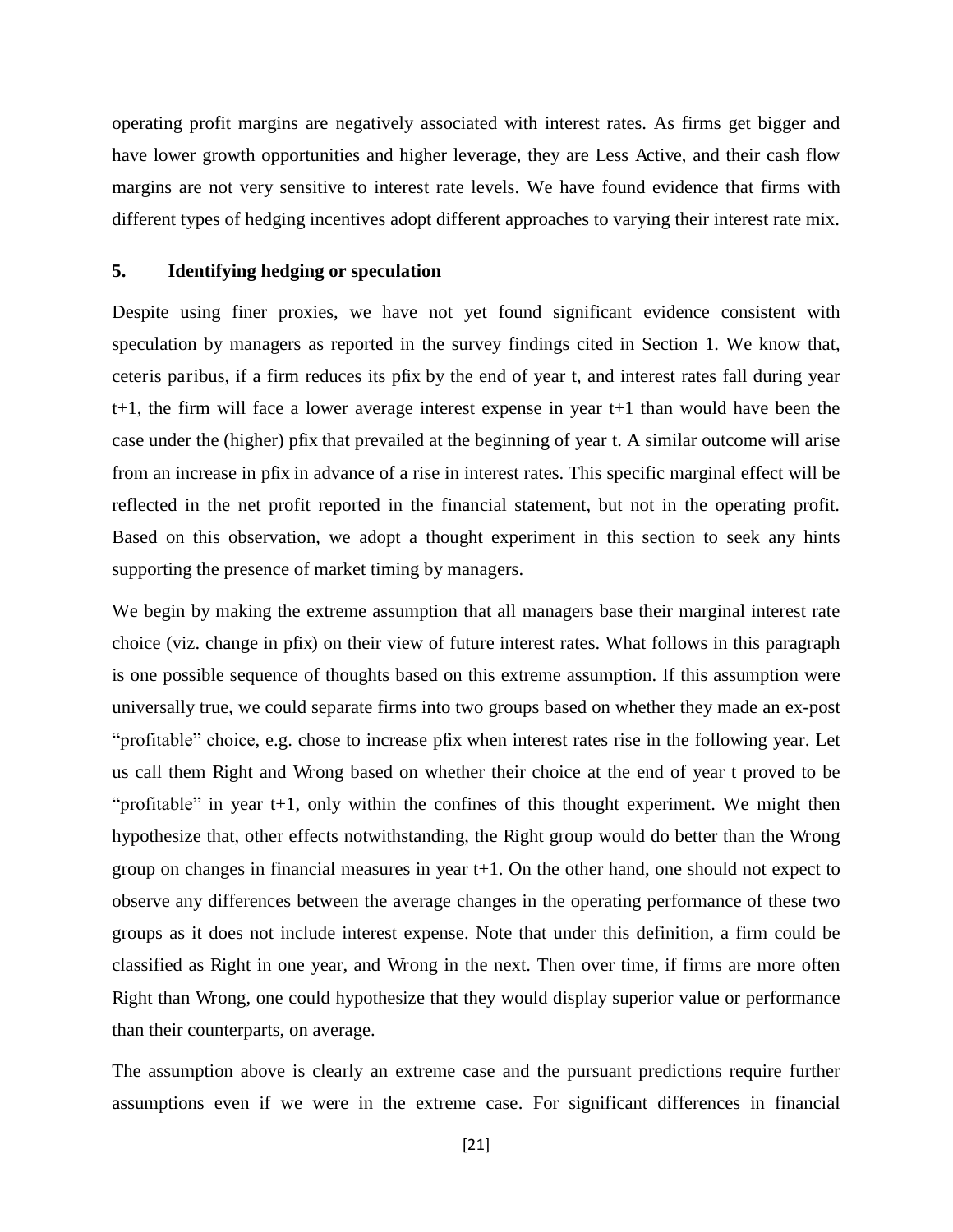operating profit margins are negatively associated with interest rates. As firms get bigger and have lower growth opportunities and higher leverage, they are Less Active, and their cash flow margins are not very sensitive to interest rate levels. We have found evidence that firms with different types of hedging incentives adopt different approaches to varying their interest rate mix.

#### **5. Identifying hedging or speculation**

Despite using finer proxies, we have not yet found significant evidence consistent with speculation by managers as reported in the survey findings cited in Section 1. We know that, ceteris paribus, if a firm reduces its pfix by the end of year t, and interest rates fall during year t+1, the firm will face a lower average interest expense in year t+1 than would have been the case under the (higher) pfix that prevailed at the beginning of year t. A similar outcome will arise from an increase in pfix in advance of a rise in interest rates. This specific marginal effect will be reflected in the net profit reported in the financial statement, but not in the operating profit. Based on this observation, we adopt a thought experiment in this section to seek any hints supporting the presence of market timing by managers.

We begin by making the extreme assumption that all managers base their marginal interest rate choice (viz. change in pfix) on their view of future interest rates. What follows in this paragraph is one possible sequence of thoughts based on this extreme assumption. If this assumption were universally true, we could separate firms into two groups based on whether they made an ex-post "profitable" choice, e.g. chose to increase pfix when interest rates rise in the following year. Let us call them Right and Wrong based on whether their choice at the end of year t proved to be "profitable" in year t+1, only within the confines of this thought experiment. We might then hypothesize that, other effects notwithstanding, the Right group would do better than the Wrong group on changes in financial measures in year t+1. On the other hand, one should not expect to observe any differences between the average changes in the operating performance of these two groups as it does not include interest expense. Note that under this definition, a firm could be classified as Right in one year, and Wrong in the next. Then over time, if firms are more often Right than Wrong, one could hypothesize that they would display superior value or performance than their counterparts, on average.

The assumption above is clearly an extreme case and the pursuant predictions require further assumptions even if we were in the extreme case. For significant differences in financial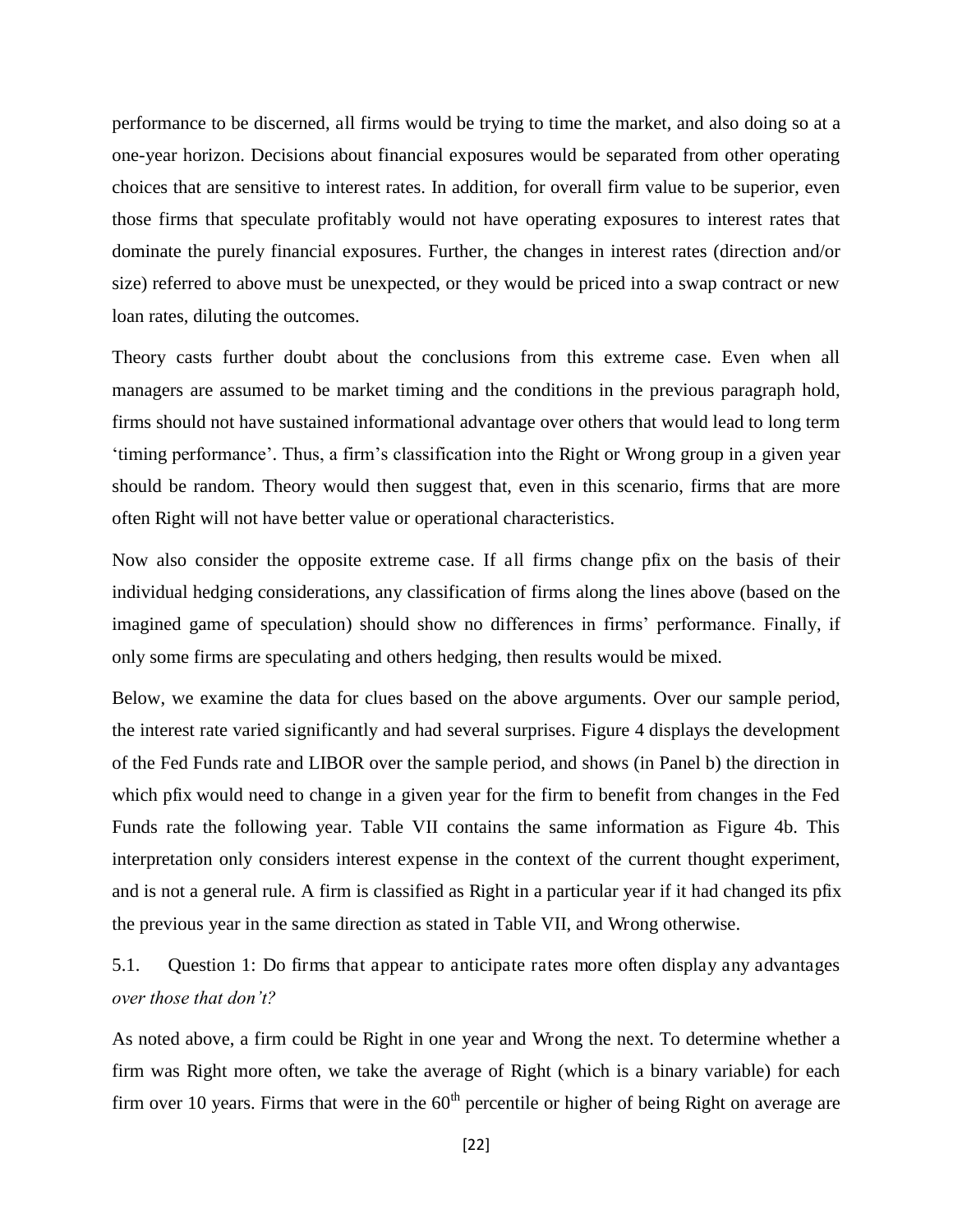performance to be discerned, all firms would be trying to time the market, and also doing so at a one-year horizon. Decisions about financial exposures would be separated from other operating choices that are sensitive to interest rates. In addition, for overall firm value to be superior, even those firms that speculate profitably would not have operating exposures to interest rates that dominate the purely financial exposures. Further, the changes in interest rates (direction and/or size) referred to above must be unexpected, or they would be priced into a swap contract or new loan rates, diluting the outcomes.

Theory casts further doubt about the conclusions from this extreme case. Even when all managers are assumed to be market timing and the conditions in the previous paragraph hold, firms should not have sustained informational advantage over others that would lead to long term 'timing performance'. Thus, a firm's classification into the Right or Wrong group in a given year should be random. Theory would then suggest that, even in this scenario, firms that are more often Right will not have better value or operational characteristics.

Now also consider the opposite extreme case. If all firms change pfix on the basis of their individual hedging considerations, any classification of firms along the lines above (based on the imagined game of speculation) should show no differences in firms' performance. Finally, if only some firms are speculating and others hedging, then results would be mixed.

Below, we examine the data for clues based on the above arguments. Over our sample period, the interest rate varied significantly and had several surprises. Figure 4 displays the development of the Fed Funds rate and LIBOR over the sample period, and shows (in Panel b) the direction in which pfix would need to change in a given year for the firm to benefit from changes in the Fed Funds rate the following year. Table VII contains the same information as Figure 4b. This interpretation only considers interest expense in the context of the current thought experiment, and is not a general rule. A firm is classified as Right in a particular year if it had changed its pfix the previous year in the same direction as stated in Table VII, and Wrong otherwise.

5.1. Question 1: Do firms that appear to anticipate rates more often display any advantages *over those that don't?*

As noted above, a firm could be Right in one year and Wrong the next. To determine whether a firm was Right more often, we take the average of Right (which is a binary variable) for each firm over 10 years. Firms that were in the  $60<sup>th</sup>$  percentile or higher of being Right on average are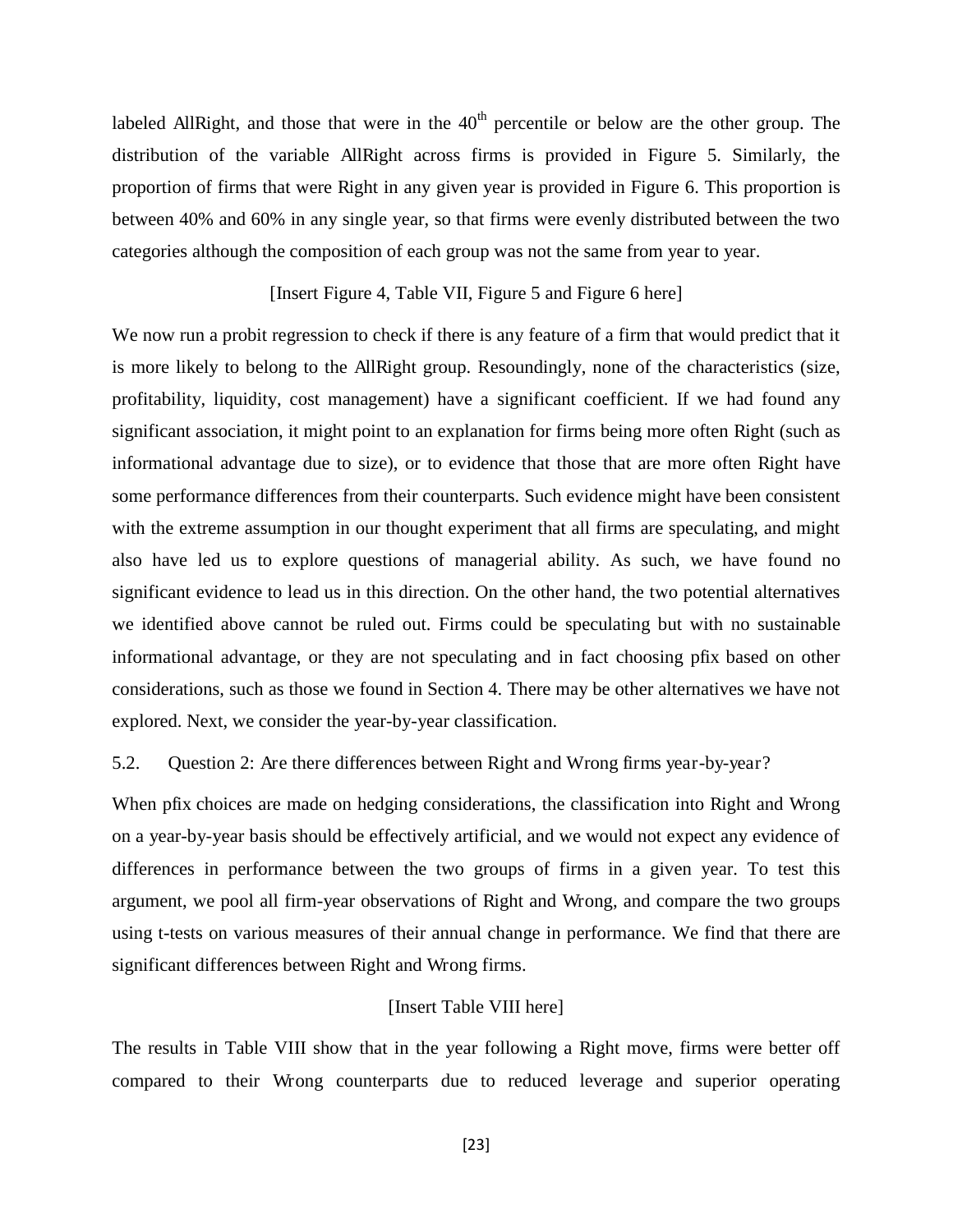labeled AllRight, and those that were in the  $40<sup>th</sup>$  percentile or below are the other group. The distribution of the variable AllRight across firms is provided in Figure 5. Similarly, the proportion of firms that were Right in any given year is provided in Figure 6. This proportion is between 40% and 60% in any single year, so that firms were evenly distributed between the two categories although the composition of each group was not the same from year to year.

## [Insert Figure 4, Table VII, Figure 5 and Figure 6 here]

We now run a probit regression to check if there is any feature of a firm that would predict that it is more likely to belong to the AllRight group. Resoundingly, none of the characteristics (size, profitability, liquidity, cost management) have a significant coefficient. If we had found any significant association, it might point to an explanation for firms being more often Right (such as informational advantage due to size), or to evidence that those that are more often Right have some performance differences from their counterparts. Such evidence might have been consistent with the extreme assumption in our thought experiment that all firms are speculating, and might also have led us to explore questions of managerial ability. As such, we have found no significant evidence to lead us in this direction. On the other hand, the two potential alternatives we identified above cannot be ruled out. Firms could be speculating but with no sustainable informational advantage, or they are not speculating and in fact choosing pfix based on other considerations, such as those we found in Section 4. There may be other alternatives we have not explored. Next, we consider the year-by-year classification.

#### 5.2. Question 2: Are there differences between Right and Wrong firms year-by-year?

When pfix choices are made on hedging considerations, the classification into Right and Wrong on a year-by-year basis should be effectively artificial, and we would not expect any evidence of differences in performance between the two groups of firms in a given year. To test this argument, we pool all firm-year observations of Right and Wrong, and compare the two groups using t-tests on various measures of their annual change in performance. We find that there are significant differences between Right and Wrong firms.

#### [Insert Table VIII here]

The results in Table VIII show that in the year following a Right move, firms were better off compared to their Wrong counterparts due to reduced leverage and superior operating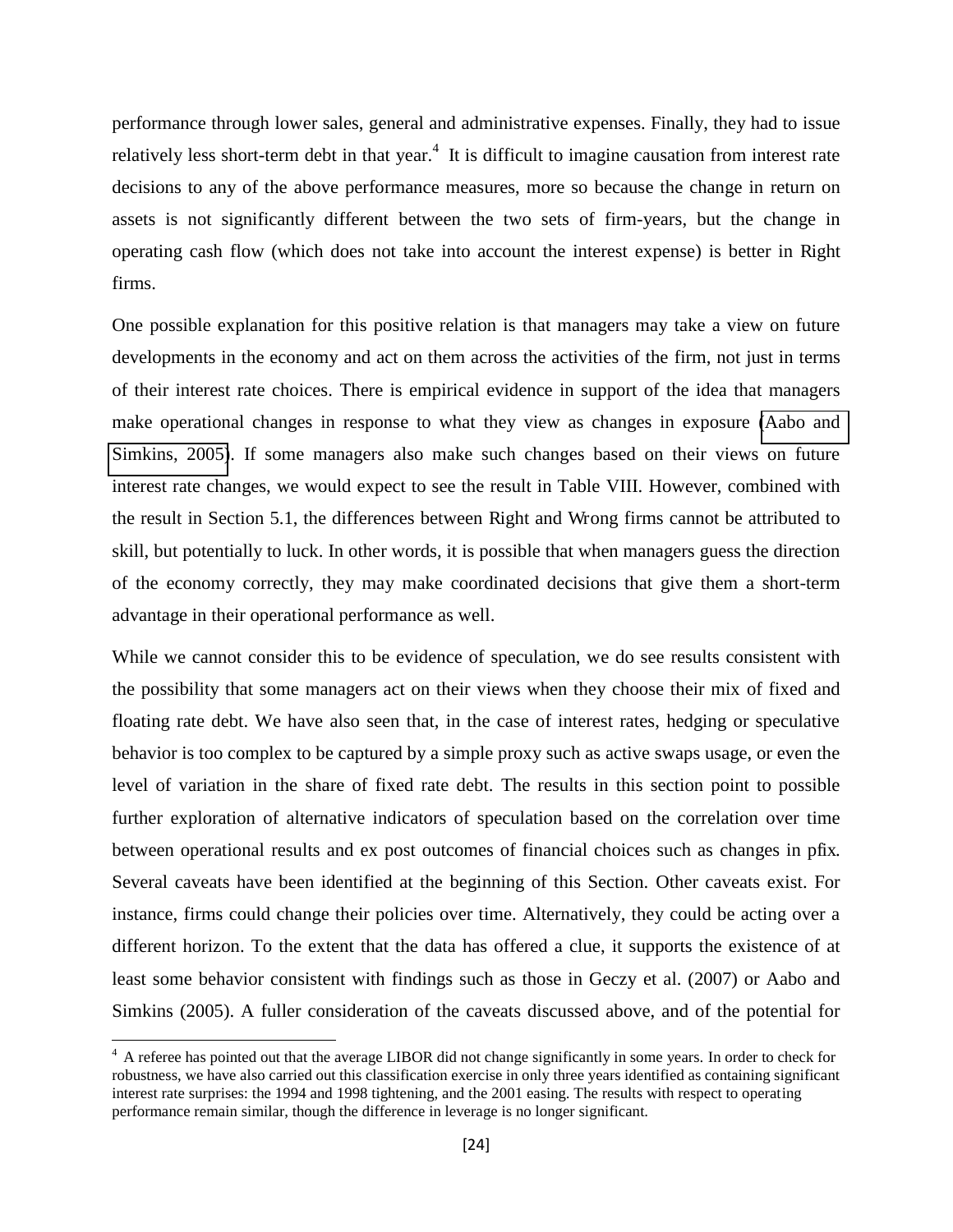performance through lower sales, general and administrative expenses. Finally, they had to issue relatively less short-term debt in that year.<sup>4</sup> It is difficult to imagine causation from interest rate decisions to any of the above performance measures, more so because the change in return on assets is not significantly different between the two sets of firm-years, but the change in operating cash flow (which does not take into account the interest expense) is better in Right firms.

One possible explanation for this positive relation is that managers may take a view on future developments in the economy and act on them across the activities of the firm, not just in terms of their interest rate choices. There is empirical evidence in support of the idea that managers make operational changes in response to what they view as changes in exposure [\(Aabo and](#page-26-1)  [Simkins, 2005\)](#page-26-1). If some managers also make such changes based on their views on future interest rate changes, we would expect to see the result in Table VIII. However, combined with the result in Section 5.1, the differences between Right and Wrong firms cannot be attributed to skill, but potentially to luck. In other words, it is possible that when managers guess the direction of the economy correctly, they may make coordinated decisions that give them a short-term advantage in their operational performance as well.

While we cannot consider this to be evidence of speculation, we do see results consistent with the possibility that some managers act on their views when they choose their mix of fixed and floating rate debt. We have also seen that, in the case of interest rates, hedging or speculative behavior is too complex to be captured by a simple proxy such as active swaps usage, or even the level of variation in the share of fixed rate debt. The results in this section point to possible further exploration of alternative indicators of speculation based on the correlation over time between operational results and ex post outcomes of financial choices such as changes in pfix. Several caveats have been identified at the beginning of this Section. Other caveats exist. For instance, firms could change their policies over time. Alternatively, they could be acting over a different horizon. To the extent that the data has offered a clue, it supports the existence of at least some behavior consistent with findings such as those in Geczy et al. (2007) or Aabo and Simkins (2005). A fuller consideration of the caveats discussed above, and of the potential for

 $\overline{a}$ 

<sup>&</sup>lt;sup>4</sup> A referee has pointed out that the average LIBOR did not change significantly in some years. In order to check for robustness, we have also carried out this classification exercise in only three years identified as containing significant interest rate surprises: the 1994 and 1998 tightening, and the 2001 easing. The results with respect to operating performance remain similar, though the difference in leverage is no longer significant.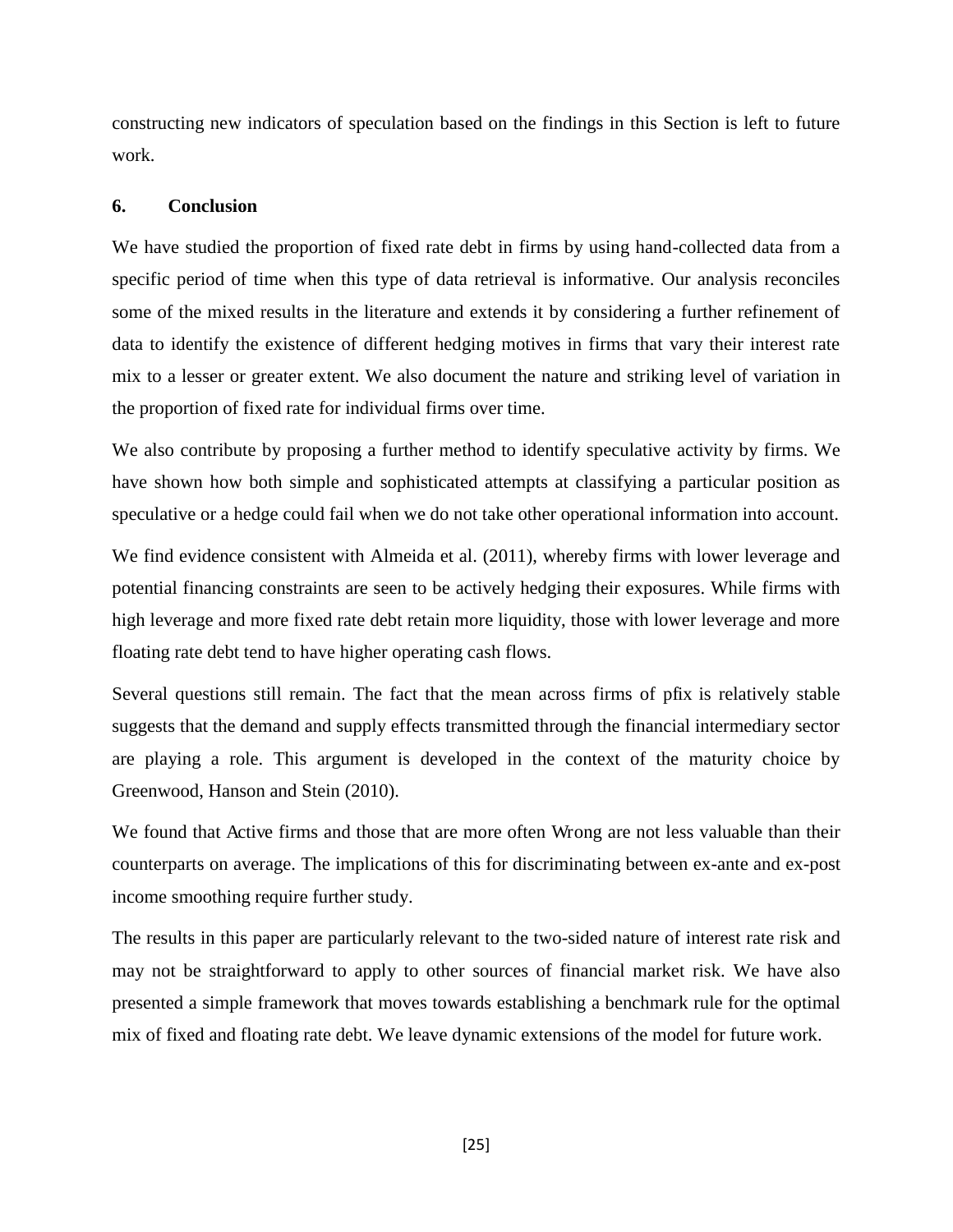<span id="page-26-1"></span>constructing new indicators of speculation based on the findings in this Section is left to future work.

## **6. Conclusion**

We have studied the proportion of fixed rate debt in firms by using hand-collected data from a specific period of time when this type of data retrieval is informative. Our analysis reconciles some of the mixed results in the literature and extends it by considering a further refinement of data to identify the existence of different hedging motives in firms that vary their interest rate mix to a lesser or greater extent. We also document the nature and striking level of variation in the proportion of fixed rate for individual firms over time.

We also contribute by proposing a further method to identify speculative activity by firms. We have shown how both simple and sophisticated attempts at classifying a particular position as speculative or a hedge could fail when we do not take other operational information into account.

We find evidence consistent with Almeida et al. (2011), whereby firms with lower leverage and potential financing constraints are seen to be actively hedging their exposures. While firms with high leverage and more fixed rate debt retain more liquidity, those with lower leverage and more floating rate debt tend to have higher operating cash flows.

Several questions still remain. The fact that the mean across firms of pfix is relatively stable suggests that the demand and supply effects transmitted through the financial intermediary sector are playing a role. This argument is developed in the context of the maturity choice by Greenwood, Hanson and Stein (2010).

We found that Active firms and those that are more often Wrong are not less valuable than their counterparts on average. The implications of this for discriminating between ex-ante and ex-post income smoothing require further study.

<span id="page-26-0"></span>The results in this paper are particularly relevant to the two-sided nature of interest rate risk and may not be straightforward to apply to other sources of financial market risk. We have also presented a simple framework that moves towards establishing a benchmark rule for the optimal mix of fixed and floating rate debt. We leave dynamic extensions of the model for future work.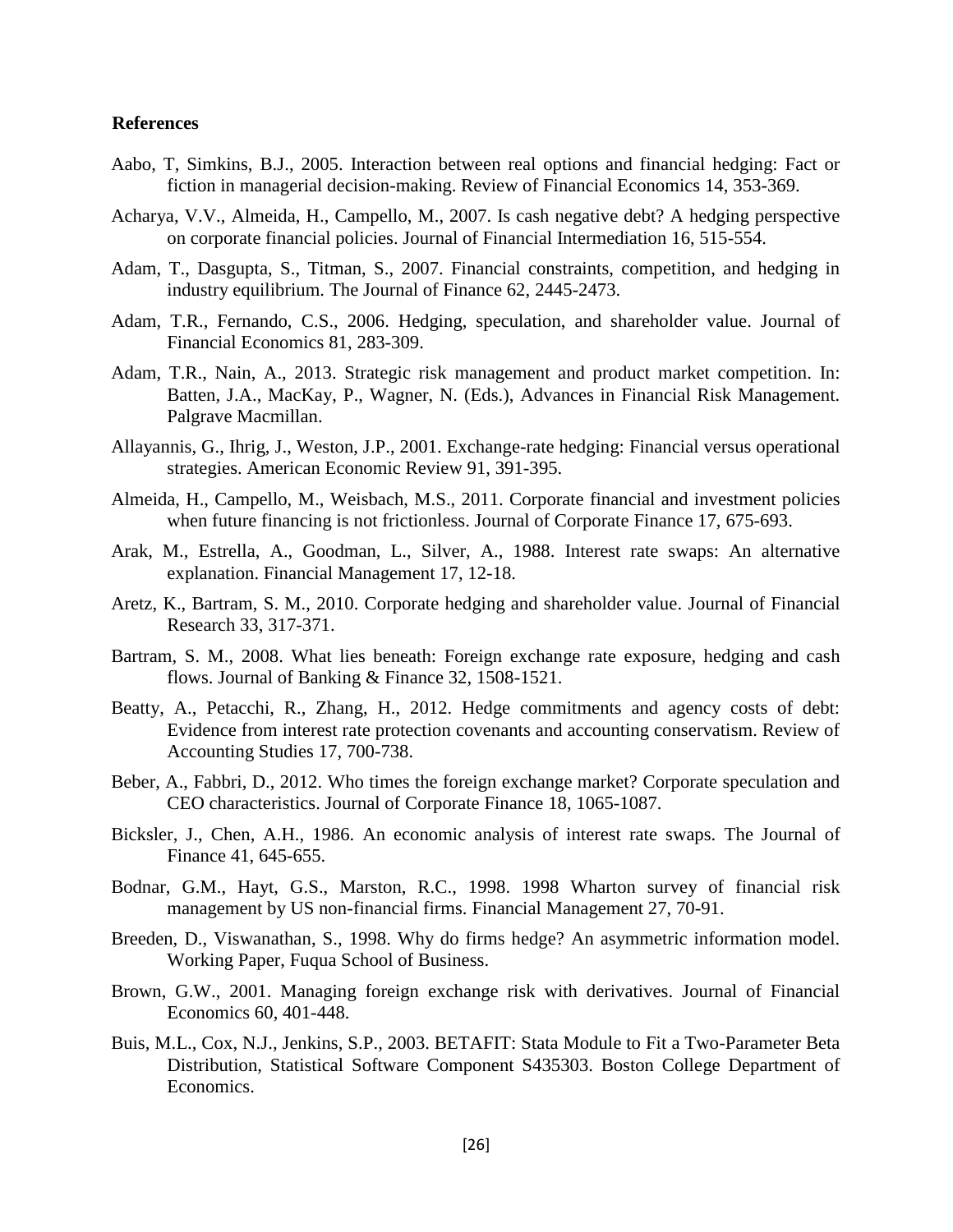#### **References**

- Aabo, T, Simkins, B.J., 2005. Interaction between real options and financial hedging: Fact or fiction in managerial decision-making. Review of Financial Economics 14, 353-369.
- Acharya, V.V., Almeida, H., Campello, M., 2007. Is cash negative debt? A hedging perspective on corporate financial policies. Journal of Financial Intermediation 16, 515-554.
- Adam, T., Dasgupta, S., Titman, S., 2007. Financial constraints, competition, and hedging in industry equilibrium. The Journal of Finance 62, 2445-2473.
- Adam, T.R., Fernando, C.S., 2006. Hedging, speculation, and shareholder value. Journal of Financial Economics 81, 283-309.
- Adam, T.R., Nain, A., 2013. Strategic risk management and product market competition. In: Batten, J.A., MacKay, P., Wagner, N. (Eds.), Advances in Financial Risk Management. Palgrave Macmillan.
- Allayannis, G., Ihrig, J., Weston, J.P., 2001. Exchange-rate hedging: Financial versus operational strategies. American Economic Review 91, 391-395.
- Almeida, H., Campello, M., Weisbach, M.S., 2011. Corporate financial and investment policies when future financing is not frictionless. Journal of Corporate Finance 17, 675-693.
- <span id="page-27-0"></span>Arak, M., Estrella, A., Goodman, L., Silver, A., 1988. Interest rate swaps: An alternative explanation. Financial Management 17, 12-18.
- Aretz, K., Bartram, S. M., 2010. Corporate hedging and shareholder value. Journal of Financial Research 33, 317-371.
- Bartram, S. M., 2008. What lies beneath: Foreign exchange rate exposure, hedging and cash flows. Journal of Banking & Finance 32, 1508-1521.
- Beatty, A., Petacchi, R., Zhang, H., 2012. Hedge commitments and agency costs of debt: Evidence from interest rate protection covenants and accounting conservatism. Review of Accounting Studies 17, 700-738.
- Beber, A., Fabbri, D., 2012. Who times the foreign exchange market? Corporate speculation and CEO characteristics. Journal of Corporate Finance 18, 1065-1087.
- Bicksler, J., Chen, A.H., 1986. An economic analysis of interest rate swaps. The Journal of Finance 41, 645-655.
- Bodnar, G.M., Hayt, G.S., Marston, R.C., 1998. 1998 Wharton survey of financial risk management by US non-financial firms. Financial Management 27, 70-91.
- Breeden, D., Viswanathan, S., 1998. Why do firms hedge? An asymmetric information model. Working Paper, Fuqua School of Business.
- Brown, G.W., 2001. Managing foreign exchange risk with derivatives. Journal of Financial Economics 60, 401-448.
- Buis, M.L., Cox, N.J., Jenkins, S.P., 2003. BETAFIT: Stata Module to Fit a Two-Parameter Beta Distribution, Statistical Software Component S435303. Boston College Department of Economics.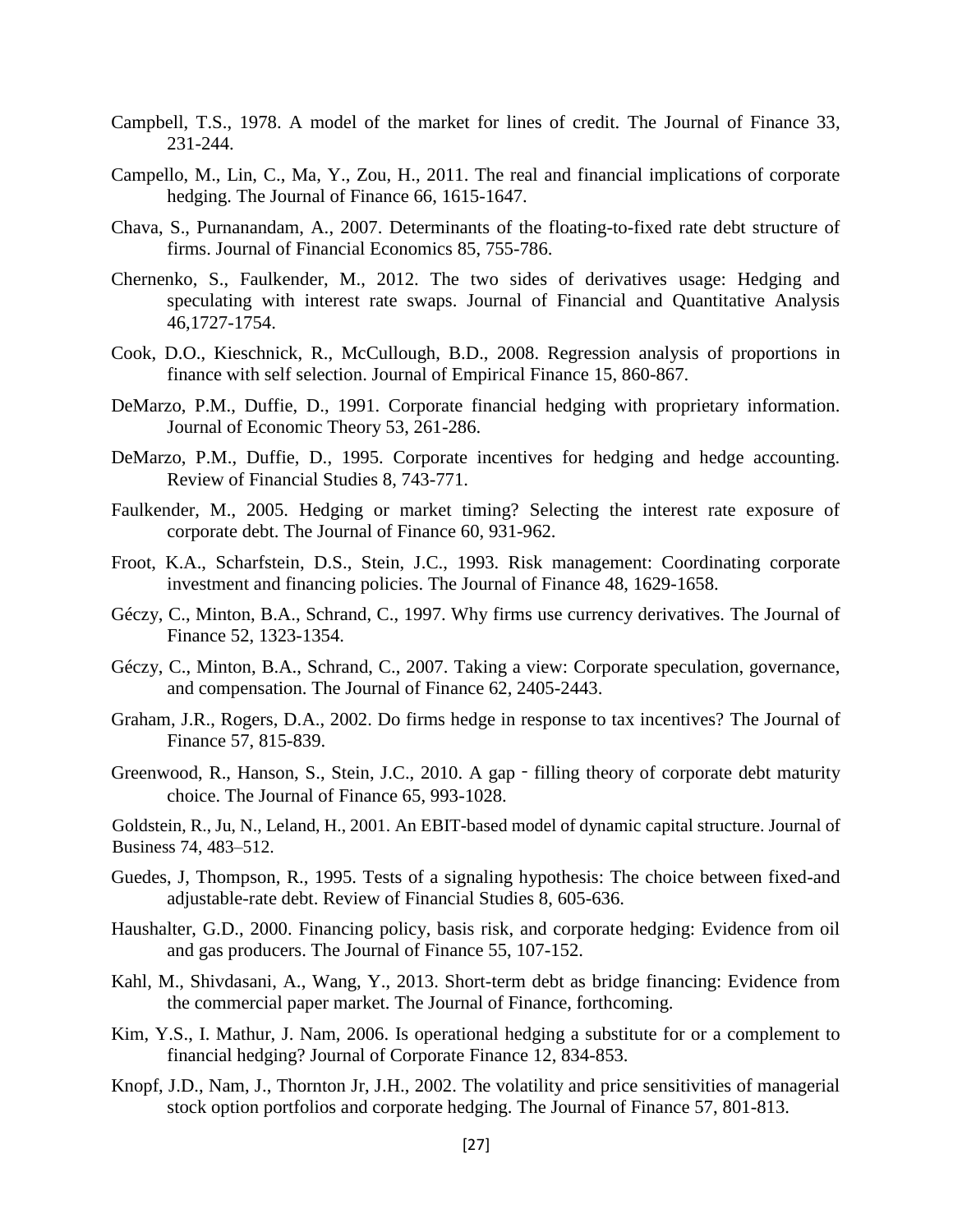- Campbell, T.S., 1978. A model of the market for lines of credit. The Journal of Finance 33, 231-244.
- Campello, M., Lin, C., Ma, Y., Zou, H., 2011. The real and financial implications of corporate hedging. The Journal of Finance 66, 1615-1647.
- Chava, S., Purnanandam, A., 2007. Determinants of the floating-to-fixed rate debt structure of firms. Journal of Financial Economics 85, 755-786.
- Chernenko, S., Faulkender, M., 2012. The two sides of derivatives usage: Hedging and speculating with interest rate swaps. Journal of Financial and Quantitative Analysis 46,1727-1754.
- Cook, D.O., Kieschnick, R., McCullough, B.D., 2008. Regression analysis of proportions in finance with self selection. Journal of Empirical Finance 15, 860-867.
- DeMarzo, P.M., Duffie, D., 1991. Corporate financial hedging with proprietary information. Journal of Economic Theory 53, 261-286.
- DeMarzo, P.M., Duffie, D., 1995. Corporate incentives for hedging and hedge accounting. Review of Financial Studies 8, 743-771.
- Faulkender, M., 2005. Hedging or market timing? Selecting the interest rate exposure of corporate debt. The Journal of Finance 60, 931-962.
- Froot, K.A., Scharfstein, D.S., Stein, J.C., 1993. Risk management: Coordinating corporate investment and financing policies. The Journal of Finance 48, 1629-1658.
- Géczy, C., Minton, B.A., Schrand, C., 1997. Why firms use currency derivatives. The Journal of Finance 52, 1323-1354.
- Géczy, C., Minton, B.A., Schrand, C., 2007. Taking a view: Corporate speculation, governance, and compensation. The Journal of Finance 62, 2405-2443.
- Graham, J.R., Rogers, D.A., 2002. Do firms hedge in response to tax incentives? The Journal of Finance 57, 815-839.
- Greenwood, R., Hanson, S., Stein, J.C., 2010. A gap filling theory of corporate debt maturity choice. The Journal of Finance 65, 993-1028.
- Goldstein, R., Ju, N., Leland, H., 2001. An EBIT-based model of dynamic capital structure. Journal of Business 74, 483–512.
- Guedes, J, Thompson, R., 1995. Tests of a signaling hypothesis: The choice between fixed-and adjustable-rate debt. Review of Financial Studies 8, 605-636.
- Haushalter, G.D., 2000. Financing policy, basis risk, and corporate hedging: Evidence from oil and gas producers. The Journal of Finance 55, 107-152.
- Kahl, M., Shivdasani, A., Wang, Y., 2013. Short-term debt as bridge financing: Evidence from the commercial paper market. The Journal of Finance, forthcoming.
- Kim, Y.S., I. Mathur, J. Nam, 2006. Is operational hedging a substitute for or a complement to financial hedging? Journal of Corporate Finance 12, 834-853.
- Knopf, J.D., Nam, J., Thornton Jr, J.H., 2002. The volatility and price sensitivities of managerial stock option portfolios and corporate hedging. The Journal of Finance 57, 801-813.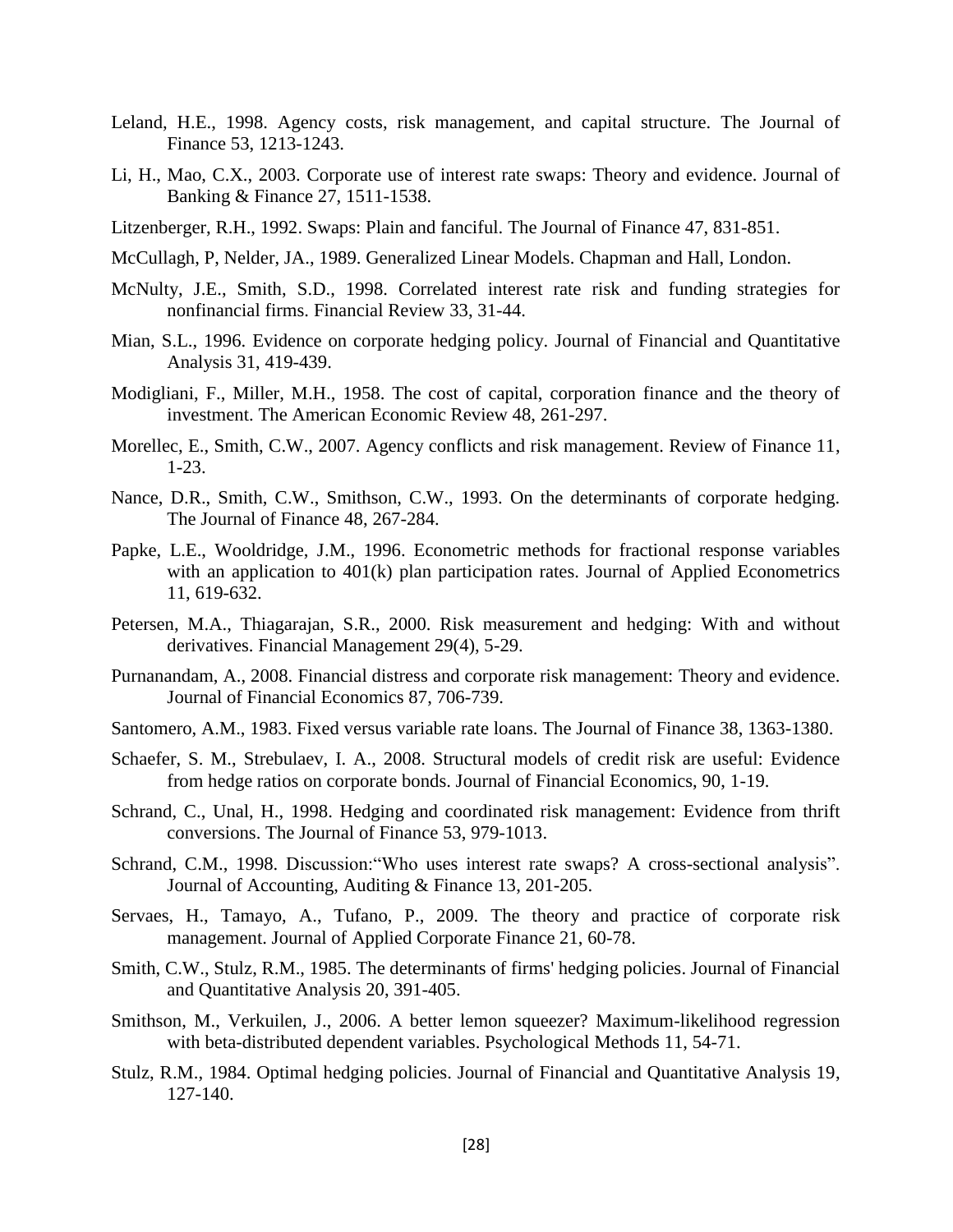- Leland, H.E., 1998. Agency costs, risk management, and capital structure. The Journal of Finance 53, 1213-1243.
- Li, H., Mao, C.X., 2003. Corporate use of interest rate swaps: Theory and evidence. Journal of Banking & Finance 27, 1511-1538.
- Litzenberger, R.H., 1992. Swaps: Plain and fanciful. The Journal of Finance 47, 831-851.
- McCullagh, P, Nelder, JA., 1989. Generalized Linear Models. Chapman and Hall, London.
- McNulty, J.E., Smith, S.D., 1998. Correlated interest rate risk and funding strategies for nonfinancial firms. Financial Review 33, 31-44.
- Mian, S.L., 1996. Evidence on corporate hedging policy. Journal of Financial and Quantitative Analysis 31, 419-439.
- Modigliani, F., Miller, M.H., 1958. The cost of capital, corporation finance and the theory of investment. The American Economic Review 48, 261-297.
- Morellec, E., Smith, C.W., 2007. Agency conflicts and risk management. Review of Finance 11, 1-23.
- Nance, D.R., Smith, C.W., Smithson, C.W., 1993. On the determinants of corporate hedging. The Journal of Finance 48, 267-284.
- Papke, L.E., Wooldridge, J.M., 1996. Econometric methods for fractional response variables with an application to 401(k) plan participation rates. Journal of Applied Econometrics 11, 619-632.
- Petersen, M.A., Thiagarajan, S.R., 2000. Risk measurement and hedging: With and without derivatives. Financial Management 29(4), 5-29.
- Purnanandam, A., 2008. Financial distress and corporate risk management: Theory and evidence. Journal of Financial Economics 87, 706-739.
- Santomero, A.M., 1983. Fixed versus variable rate loans. The Journal of Finance 38, 1363-1380.
- Schaefer, S. M., Strebulaev, I. A., 2008. Structural models of credit risk are useful: Evidence from hedge ratios on corporate bonds. Journal of Financial Economics, 90, 1-19.
- Schrand, C., Unal, H., 1998. Hedging and coordinated risk management: Evidence from thrift conversions. The Journal of Finance 53, 979-1013.
- Schrand, C.M., 1998. Discussion:"Who uses interest rate swaps? A cross-sectional analysis". Journal of Accounting, Auditing & Finance 13, 201-205.
- Servaes, H., Tamayo, A., Tufano, P., 2009. The theory and practice of corporate risk management. Journal of Applied Corporate Finance 21, 60-78.
- Smith, C.W., Stulz, R.M., 1985. The determinants of firms' hedging policies. Journal of Financial and Quantitative Analysis 20, 391-405.
- Smithson, M., Verkuilen, J., 2006. A better lemon squeezer? Maximum-likelihood regression with beta-distributed dependent variables. Psychological Methods 11, 54-71.
- Stulz, R.M., 1984. Optimal hedging policies. Journal of Financial and Quantitative Analysis 19, 127-140.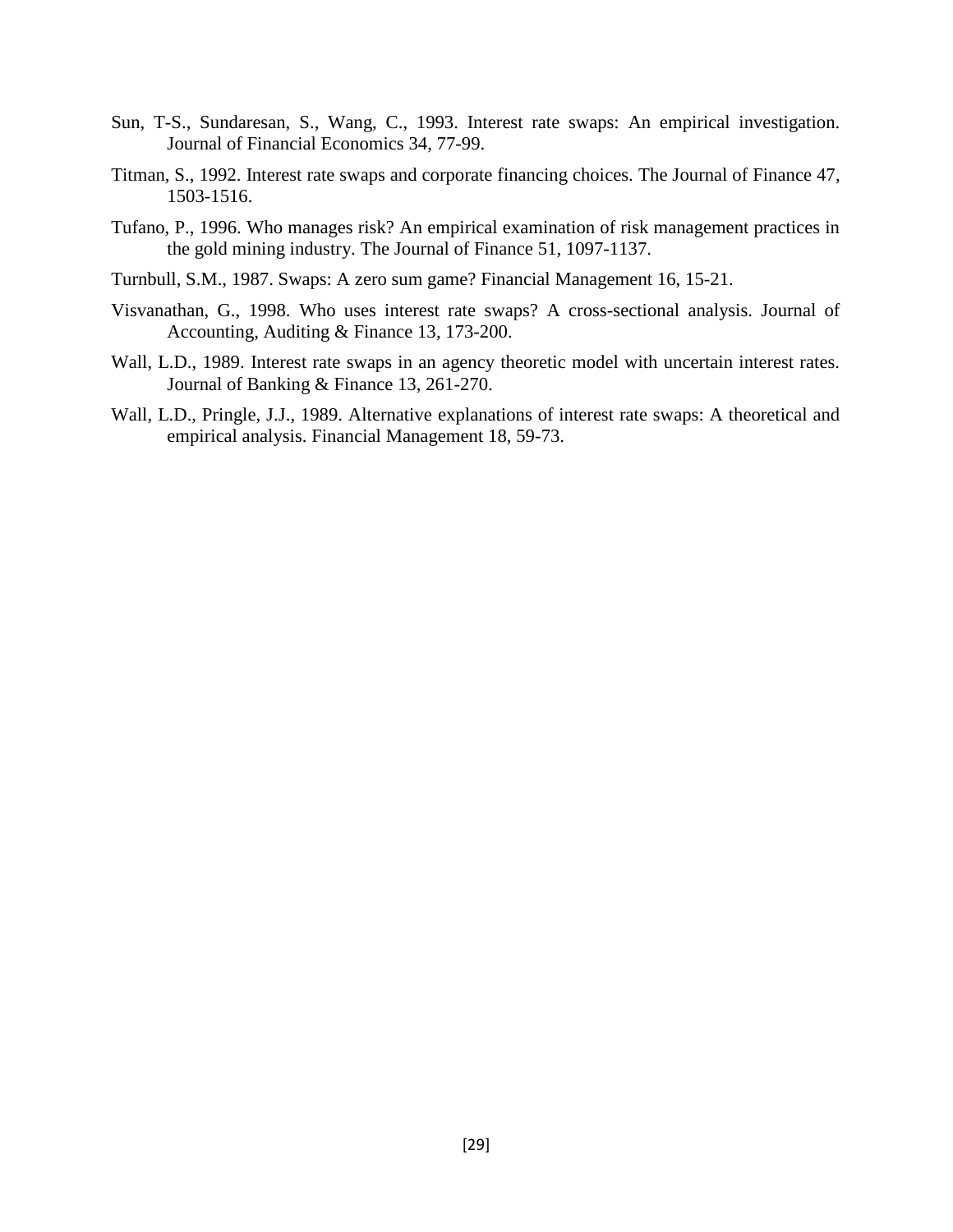- Sun, T-S., Sundaresan, S., Wang, C., 1993. Interest rate swaps: An empirical investigation. Journal of Financial Economics 34, 77-99.
- Titman, S., 1992. Interest rate swaps and corporate financing choices. The Journal of Finance 47, 1503-1516.
- Tufano, P., 1996. Who manages risk? An empirical examination of risk management practices in the gold mining industry. The Journal of Finance 51, 1097-1137.
- Turnbull, S.M., 1987. Swaps: A zero sum game? Financial Management 16, 15-21.
- Visvanathan, G., 1998. Who uses interest rate swaps? A cross-sectional analysis. Journal of Accounting, Auditing & Finance 13, 173-200.
- Wall, L.D., 1989. Interest rate swaps in an agency theoretic model with uncertain interest rates. Journal of Banking & Finance 13, 261-270.
- Wall, L.D., Pringle, J.J., 1989. Alternative explanations of interest rate swaps: A theoretical and empirical analysis. Financial Management 18, 59-73.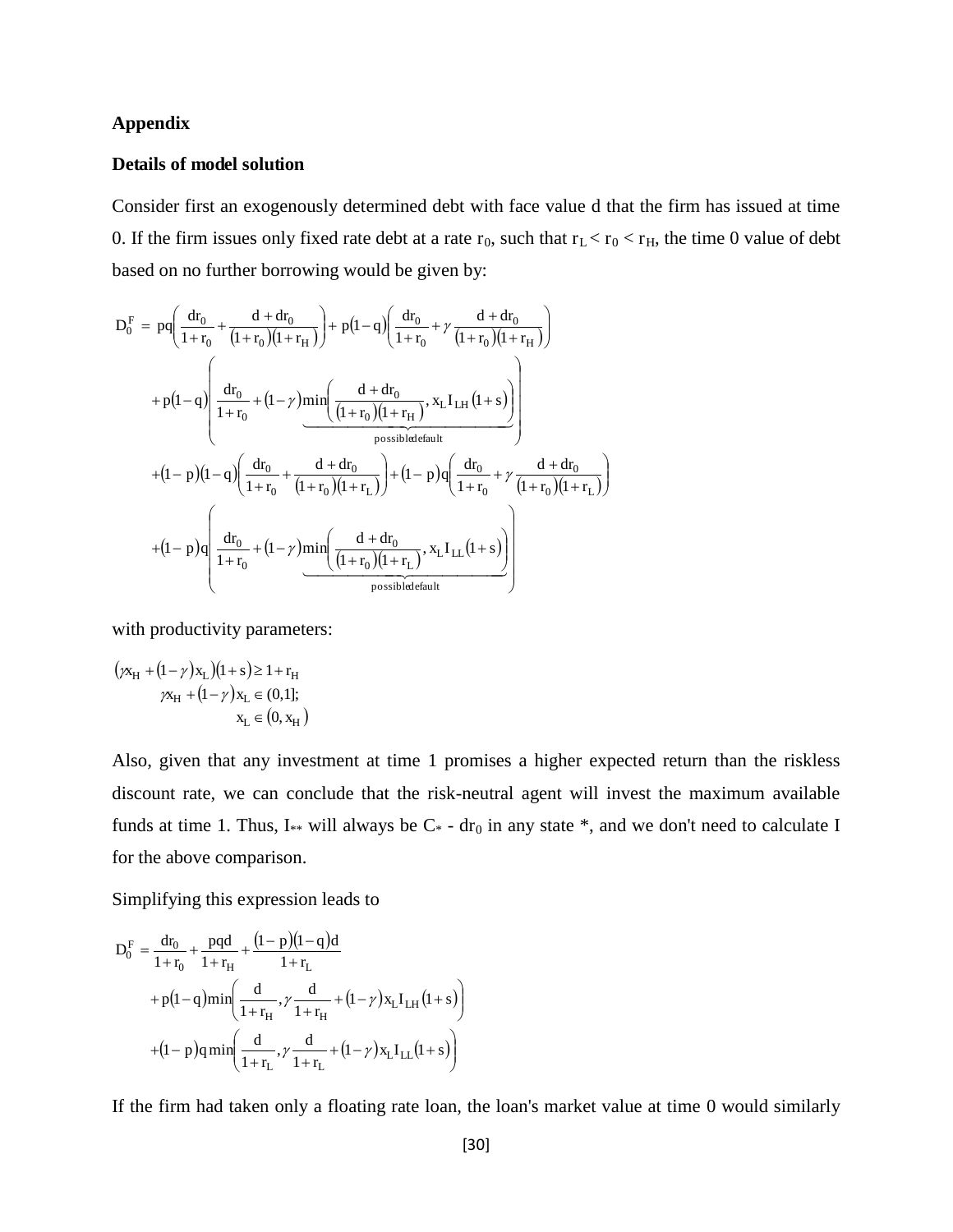#### **Appendix**

#### **Details of model solution**

Consider first an exogenously determined debt with face value d that the firm has issued at time 0. If the firm issues only fixed rate debt at a rate  $r_0$ , such that  $r_L < r_0 < r_H$ , the time 0 value of debt based on no further borrowing would be given by:

$$
D_0^F = pq \left( \frac{dr_0}{1+r_0} + \frac{d + dr_0}{(1+r_0)(1+r_H)} \right) + p(1-q) \left( \frac{dr_0}{1+r_0} + \gamma \frac{d + dr_0}{(1+r_0)(1+r_H)} \right)
$$
  
+ 
$$
p(1-q) \left( \frac{dr_0}{1+r_0} + (1-\gamma) \min \left( \frac{d + dr_0}{(1+r_0)(1+r_H)}, x_L I_{LH} (1+s) \right) \right)
$$
  
possible default  
+
$$
(1-p)(1-q) \left( \frac{dr_0}{1+r_0} + \frac{d + dr_0}{(1+r_0)(1+r_L)} \right) + (1-p)q \left( \frac{dr_0}{1+r_0} + \gamma \frac{d + dr_0}{(1+r_0)(1+r_L)} \right)
$$
  
+
$$
(1-p)q \left( \frac{dr_0}{1+r_0} + (1-\gamma) \min \left( \frac{d + dr_0}{(1+r_0)(1+r_L)}, x_L I_{LL} (1+s) \right) \right)
$$
  
possible default

with productivity parameters:

$$
(\gamma x_H + (1 - \gamma) x_L)(1 + s) \ge 1 + r_H
$$
  

$$
\gamma x_H + (1 - \gamma) x_L \in (0, 1];
$$
  

$$
x_L \in (0, x_H)
$$

Also, given that any investment at time 1 promises a higher expected return than the riskless discount rate, we can conclude that the risk-neutral agent will invest the maximum available funds at time 1. Thus, I\*\* will always be  $C^*$  - dr<sub>0</sub> in any state \*, and we don't need to calculate I for the above comparison.

Simplifying this expression leads to

$$
D_0^F = \frac{dr_0}{1 + r_0} + \frac{pqd}{1 + r_H} + \frac{(1 - p)(1 - q)d}{1 + r_L}
$$
  
+  $p(1 - q)min\left(\frac{d}{1 + r_H}, \gamma \frac{d}{1 + r_H} + (1 - \gamma)x_LI_{LH}(1 + s)\right)$   
+  $(1 - p)qmin\left(\frac{d}{1 + r_L}, \gamma \frac{d}{1 + r_L} + (1 - \gamma)x_LI_{LL}(1 + s)\right)$ 

If the firm had taken only a floating rate loan, the loan's market value at time 0 would similarly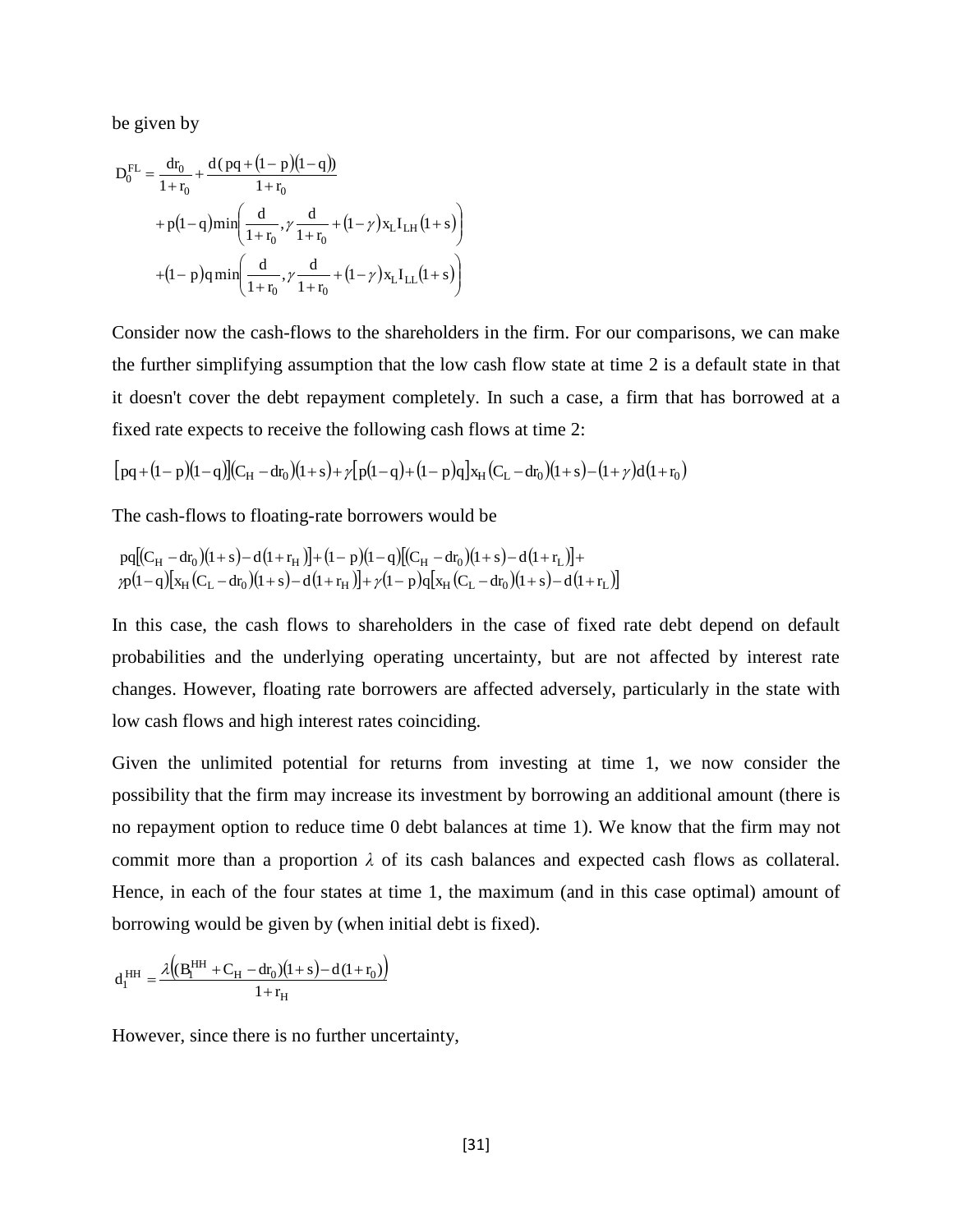be given by

$$
D_0^{FL} = \frac{dr_0}{1 + r_0} + \frac{d(pq + (1 - p)(1 - q))}{1 + r_0}
$$
  
+  $p(1 - q)min\left(\frac{d}{1 + r_0}, \gamma \frac{d}{1 + r_0} + (1 - \gamma)x_LI_{LH}(1 + s)\right)$   
+  $(1 - p)qmin\left(\frac{d}{1 + r_0}, \gamma \frac{d}{1 + r_0} + (1 - \gamma)x_LI_{LL}(1 + s)\right)$ 

Consider now the cash-flows to the shareholders in the firm. For our comparisons, we can make the further simplifying assumption that the low cash flow state at time 2 is a default state in that it doesn't cover the debt repayment completely. In such a case, a firm that has borrowed at a fixed rate expects to receive the following cash flows at time 2:

$$
\big[\,pq + (1-p)(1-q)\big](C_H-dr_0)(1+s) + \not\sim \big[\,p(1-q) + (1-p)q\,\big]x_H\big(C_L-dr_0\big)(1+s) - (1+\not\sim)\,d\big(1+r_0\big)
$$

The cash-flows to floating-rate borrowers would be

$$
\begin{array}{l}pq[(C_{H}-dr_{0})(1+s)-d(1+r_{H})]+(1-p)(1-q)[(C_{H}-dr_{0})(1+s)-d(1+r_{L})]+\\ \gamma p(1-q)[x_{H}(C_{L}-dr_{0})(1+s)-d(1+r_{H})]+\gamma(1-p)q[x_{H}(C_{L}-dr_{0})(1+s)-d(1+r_{L})]\end{array}
$$

In this case, the cash flows to shareholders in the case of fixed rate debt depend on default probabilities and the underlying operating uncertainty, but are not affected by interest rate changes. However, floating rate borrowers are affected adversely, particularly in the state with low cash flows and high interest rates coinciding.

Given the unlimited potential for returns from investing at time 1, we now consider the possibility that the firm may increase its investment by borrowing an additional amount (there is no repayment option to reduce time 0 debt balances at time 1). We know that the firm may not commit more than a proportion  $\lambda$  of its cash balances and expected cash flows as collateral. Hence, in each of the four states at time 1, the maximum (and in this case optimal) amount of borrowing would be given by (when initial debt is fixed).

$$
d_1^{HH}=\frac{\lambda \Big((B_1^{HH}+C_H-dr_0)(l+s)-d\,(l+r_0)\Big)}{1+r_H}
$$

However, since there is no further uncertainty,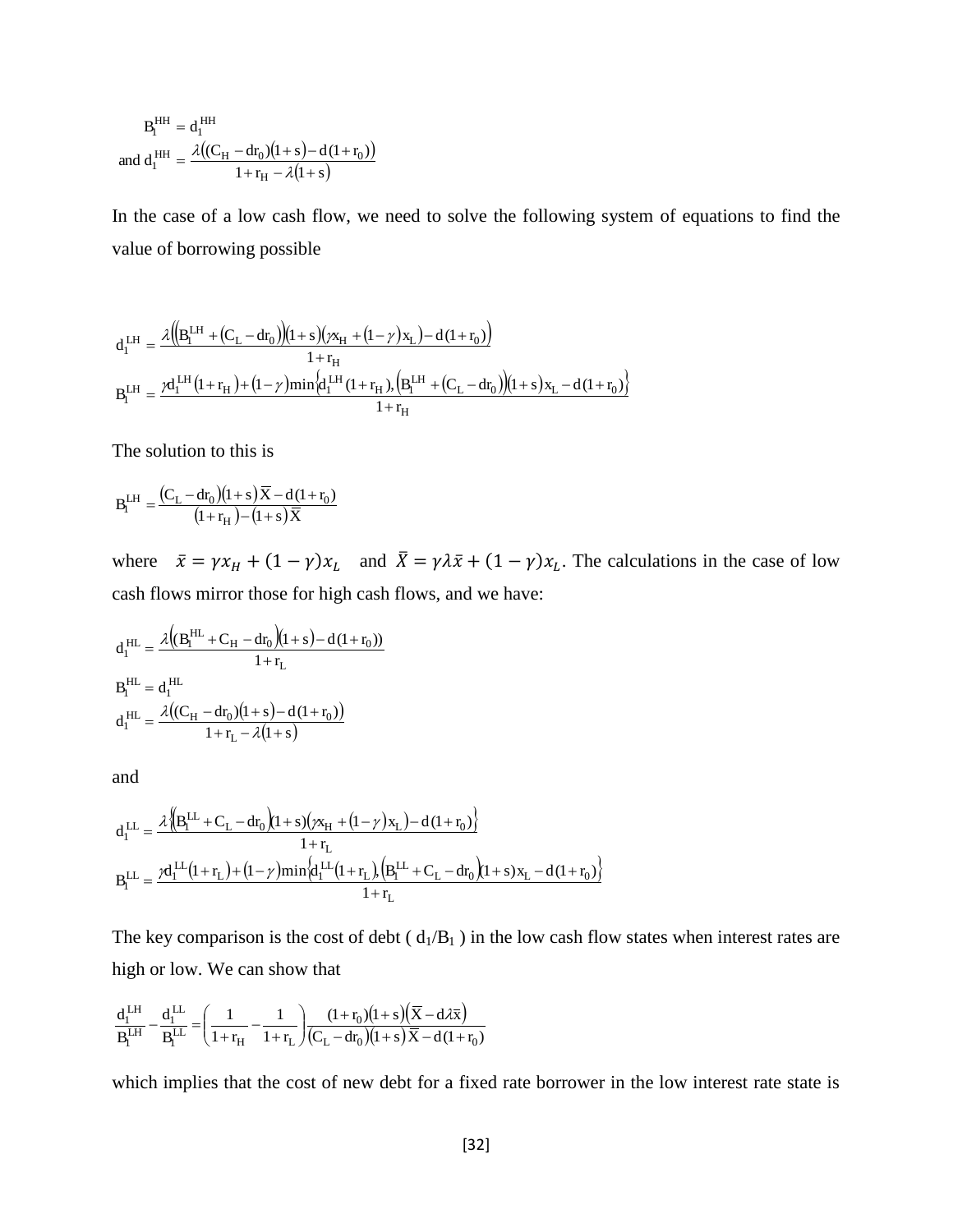$$
B_{I}^{HH} = d_{I}^{HH}
$$
  
and 
$$
d_{I}^{HH} = \frac{\lambda((C_{H} - dr_{0})(1+s) - d(1+r_{0}))}{1+r_{H} - \lambda(1+s)}
$$

In the case of a low cash flow, we need to solve the following system of equations to find the value of borrowing possible

$$
\begin{aligned} d_1^{\,\rm LH} &= \frac{\lambda \big(\!\!\big( B_i^{\rm LH}+ \big(C_{\rm L}-d r_0\big)\!\!\big)\!\!\big( 1+s\big)\! \big(\varkappa_{\rm H}+\big(1-\gamma\big) x_{\rm L}\big) \!-\! d\left(1+r_0\right)\!\!\big)}{1+r_{\rm H}} \\ B_i^{\rm LH} &= \frac{\gamma d_1^{\,\rm LH}\big(1+r_{\rm H}\big) \!+\big(1\!-\!\gamma\big) {\rm min}\Big\{ \!d_1^{\,\rm LH}\left(1+r_{\rm H}\right)\!,\! \Big(B_i^{\rm LH}+\big(C_{\rm L}-d r_0\big)\!\!\big)\!\!\big( 1+s\big) x_{\rm L} \!-\! d\left(1+r_0\right)\!\!\big)}{1+r_{\rm H}} \end{aligned}
$$

The solution to this is

$$
B_l^{LH} = \frac{\big(C_L-dr_0\big)\big(1+s\big)\overline{X}-d\,(1+r_0)}{\big(1+r_H\,\big)-\big(1+s\big)\overline{X}}
$$

where  $\bar{x} = \gamma x_H + (1 - \gamma)x_L$  and  $\bar{X} = \gamma \lambda \bar{x} + (1 - \gamma)x_L$ . The calculations in the case of low cash flows mirror those for high cash flows, and we have:

$$
d_1^{HL} = \frac{\lambda ((B_1^{HL} + C_H - dr_0)(1+s) - d(1+r_0))}{1+r_L}
$$
  
\n
$$
B_1^{HL} = d_1^{HL}
$$
  
\n
$$
d_1^{HL} = \frac{\lambda ((C_H - dr_0)(1+s) - d(1+r_0))}{1+r_L - \lambda(1+s)}
$$

and

$$
\begin{aligned} d_l^{LL} &= \frac{\mathcal{X}\Big\|B_l^{LL}+C_L-dr_0\Big\langle l+s\big(\big)\mathbf{x}_H+(l-\gamma\big)\mathbf{x}_L\big)-d\left(l+r_0\right)\Big\}}{1+r_L}\\ B_l^{LL} &= \frac{\mathcal{Y}d_l^{LL}\big(l+r_L\big)+\big(l-\gamma\big)\mathrm{min}\Big\{d_l^{LL}\big(l+r_L\big),\Big(B_l^{LL}+C_L-dr_0\Big\langle l+s\big)\mathbf{x}_L-d\left(l+r_0\right)\Big\}}{1+r_L} \end{aligned}
$$

The key comparison is the cost of debt  $(d_1/B_1)$  in the low cash flow states when interest rates are high or low. We can show that

$$
\frac{d^{LH}_I}{B^{LH}_I}-\frac{d^{LL}_I}{B^{LL}_I}=\hspace{-.15cm}\Bigg(\frac{1}{1+r_H}-\frac{1}{1+r_L}\Bigg)\frac{(1+r_0)(1+s)\hspace{-.07cm}\big(\overline{X}-d\lambda \overline{x}\big)}{\big(C_L-dr_0\big)(1+s)\hspace{-.07cm}\big)\overline{X}-d(1+r_0)}
$$

which implies that the cost of new debt for a fixed rate borrower in the low interest rate state is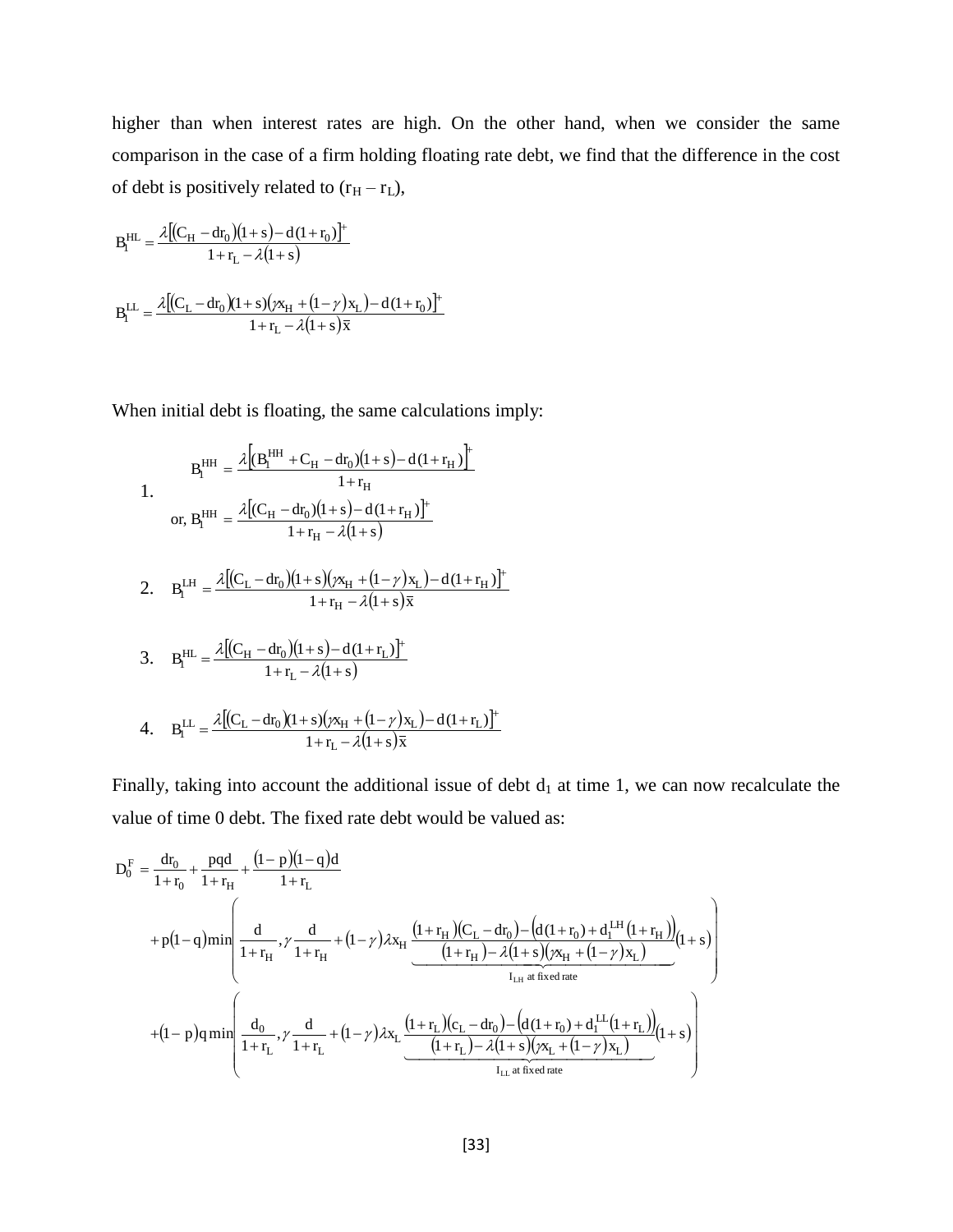higher than when interest rates are high. On the other hand, when we consider the same comparison in the case of a firm holding floating rate debt, we find that the difference in the cost of debt is positively related to  $(r_H - r_L)$ ,

$$
B_{l}^{HL} = \frac{\lambda [(C_{H} - dr_{0})(1+s) - d(1+r_{0})]^{+} + r_{L} - \lambda (1+s)}{1+r_{L} - \lambda (1+s)}
$$
  

$$
B_{l}^{LL} = \frac{\lambda [(C_{L} - dr_{0})(1+s)(\chi_{H} + (1-\gamma)x_{L}) - d(1+r_{0})]^{+} + r_{L} - \lambda (1+s)\overline{x}
$$

When initial debt is floating, the same calculations imply:

$$
B_{I}^{HH} = \frac{\lambda \left[ (B_{I}^{HH} + C_{H} - dr_{0})(1+s) - d(1+r_{H}) \right]^{+}}{1+r_{H}}
$$
  
\nor,  $B_{I}^{HH} = \frac{\lambda \left[ (C_{H} - dr_{0})(1+s) - d(1+r_{H}) \right]^{+}}{1+r_{H} - \lambda(1+s)}$   
\n2.  $B_{I}^{LH} = \frac{\lambda \left[ (C_{L} - dr_{0})(1+s)(\chi_{H} + (1-\gamma)\chi_{L}) - d(1+r_{H}) \right]^{+}}{1+r_{H} - \lambda(1+s)\overline{x}}$   
\n3.  $B_{I}^{HL} = \frac{\lambda \left[ (C_{H} - dr_{0})(1+s) - d(1+r_{L}) \right]^{+}}{1+r_{L} - \lambda(1+s)}$ 

4. 
$$
B_{l}^{LL} = \frac{\lambda [(C_{L} - dr_{0})(1 + s)(\chi_{H} + (1 - \gamma)\chi_{L}) - d(1 + r_{L})]^{+}}{1 + r_{L} - \lambda(1 + s)\bar{x}}
$$

 $\lambda$ l

Finally, taking into account the additional issue of debt  $d_1$  at time 1, we can now recalculate the value of time 0 debt. The fixed rate debt would be valued as:

$$
D_0^F = \frac{dr_0}{1 + r_0} + \frac{pqd}{1 + r_H} + \frac{(1 - p)(1 - q)d}{1 + r_L}
$$
  
+  $p(1 - q)$ min $\left(\frac{d}{1 + r_H}, \gamma \frac{d}{1 + r_H} + (1 - \gamma)\lambda x_H \underbrace{\frac{(1 + r_H)(C_L - dr_0) - (d(1 + r_0) + d_1^{LH}(1 + r_H))}{(1 + r_H) - \lambda(1 + s)(\gamma x_H + (1 - \gamma)x_L)}(1 + s)\right)$   
+  $(1 - p)q$ min $\left(\frac{d_0}{1 + r_L}, \gamma \frac{d}{1 + r_L} + (1 - \gamma)\lambda x_L \underbrace{\frac{(1 + r_L)(c_L - dr_0) - (d(1 + r_0) + d_1^{LL}(1 + r_L))}{(1 + r_L) - \lambda(1 + s)(\gamma x_L + (1 - \gamma)x_L)}(1 + s)\right)$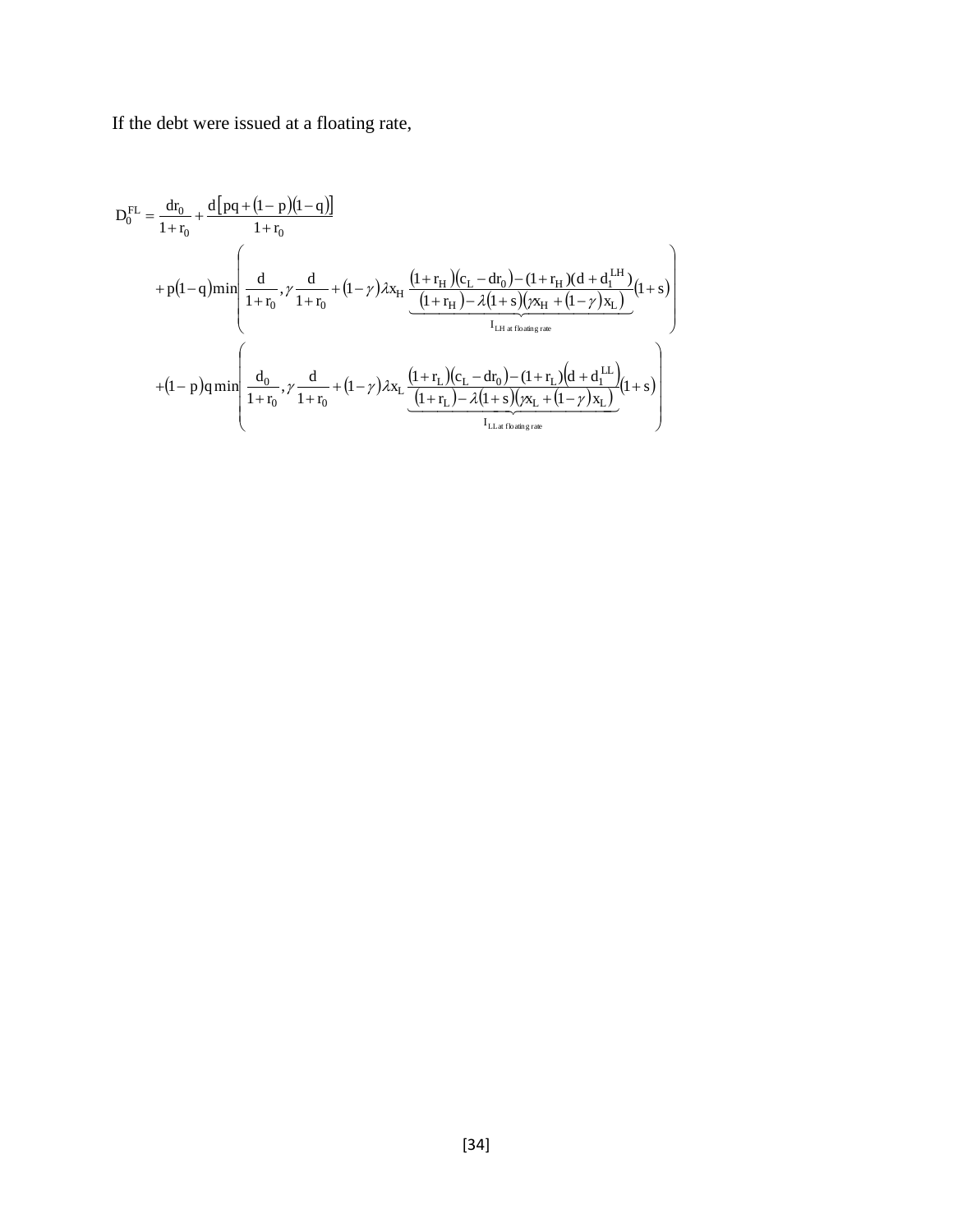If the debt were issued at a floating rate,

$$
D_0^{FL} = \frac{dr_0}{1 + r_0} + \frac{d[pq + (1 - p)(1 - q)]}{1 + r_0}
$$
  
+  $p(1 - q)$ min $\left(\frac{d}{1 + r_0}, \gamma \frac{d}{1 + r_0} + (1 - \gamma)\lambda x_H \underbrace{\frac{(1 + r_H)(c_L - dr_0) - (1 + r_H)(d + d_1^{LH})}{(1 + r_H) - \lambda(1 + s)(\gamma x_H + (1 - \gamma)x_L)}(1 + s)}_{I_{LH at floating rate}}\right)$   
+  $(1 - p)q$ min $\left(\frac{d_0}{1 + r_0}, \gamma \frac{d}{1 + r_0} + (1 - \gamma)\lambda x_L \underbrace{\frac{(1 + r_L)(c_L - dr_0) - (1 + r_L)(d + d_1^{LL})}{I_{LH at floating rate}}(1 + s)}_{I_{LH at floating rate}}(1 + s)\right)$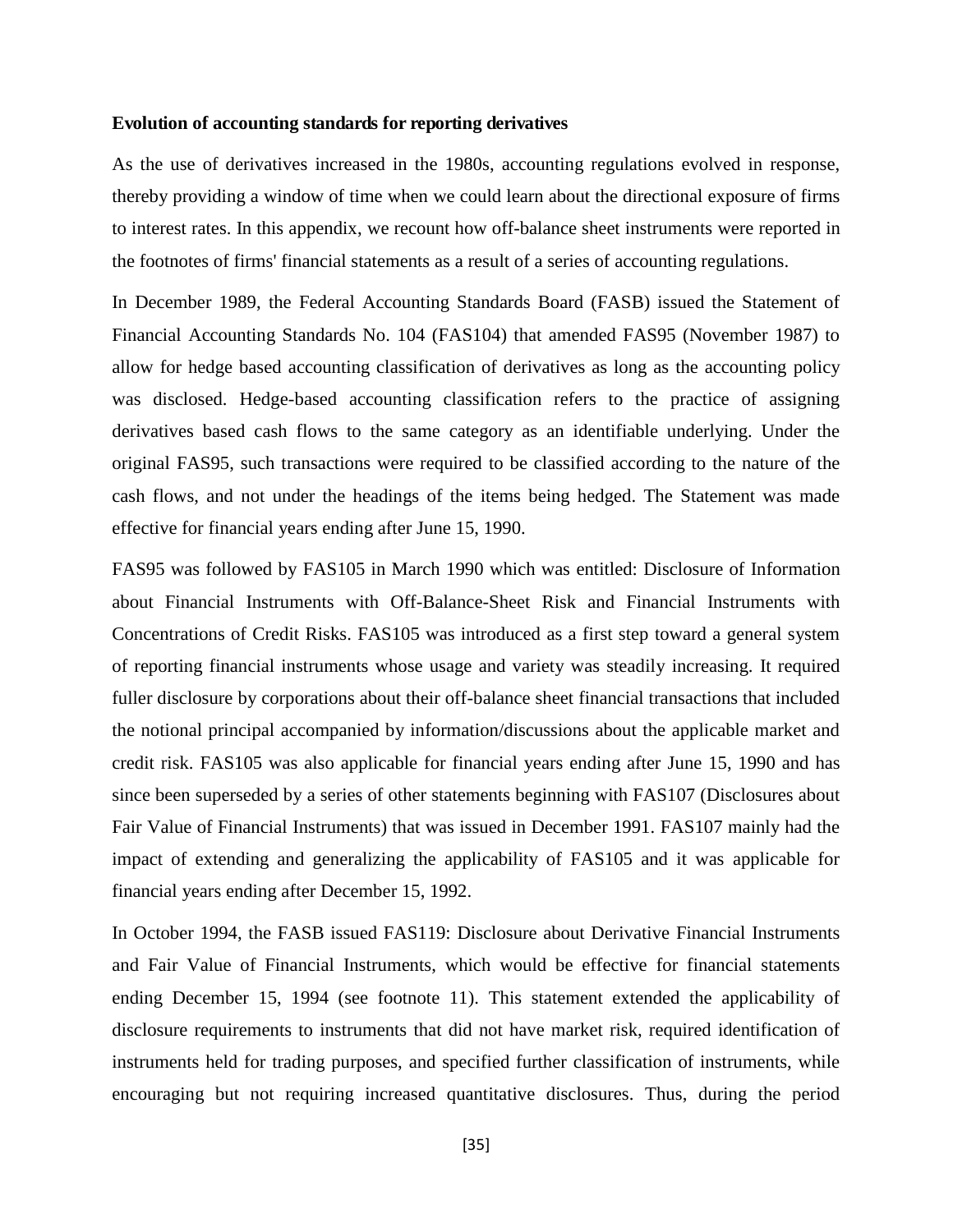#### **Evolution of accounting standards for reporting derivatives**

As the use of derivatives increased in the 1980s, accounting regulations evolved in response, thereby providing a window of time when we could learn about the directional exposure of firms to interest rates. In this appendix, we recount how off-balance sheet instruments were reported in the footnotes of firms' financial statements as a result of a series of accounting regulations.

In December 1989, the Federal Accounting Standards Board (FASB) issued the Statement of Financial Accounting Standards No. 104 (FAS104) that amended FAS95 (November 1987) to allow for hedge based accounting classification of derivatives as long as the accounting policy was disclosed. Hedge-based accounting classification refers to the practice of assigning derivatives based cash flows to the same category as an identifiable underlying. Under the original FAS95, such transactions were required to be classified according to the nature of the cash flows, and not under the headings of the items being hedged. The Statement was made effective for financial years ending after June 15, 1990.

FAS95 was followed by FAS105 in March 1990 which was entitled: Disclosure of Information about Financial Instruments with Off-Balance-Sheet Risk and Financial Instruments with Concentrations of Credit Risks. FAS105 was introduced as a first step toward a general system of reporting financial instruments whose usage and variety was steadily increasing. It required fuller disclosure by corporations about their off-balance sheet financial transactions that included the notional principal accompanied by information/discussions about the applicable market and credit risk. FAS105 was also applicable for financial years ending after June 15, 1990 and has since been superseded by a series of other statements beginning with FAS107 (Disclosures about Fair Value of Financial Instruments) that was issued in December 1991. FAS107 mainly had the impact of extending and generalizing the applicability of FAS105 and it was applicable for financial years ending after December 15, 1992.

In October 1994, the FASB issued FAS119: Disclosure about Derivative Financial Instruments and Fair Value of Financial Instruments, which would be effective for financial statements ending December 15, 1994 (see footnote 11). This statement extended the applicability of disclosure requirements to instruments that did not have market risk, required identification of instruments held for trading purposes, and specified further classification of instruments, while encouraging but not requiring increased quantitative disclosures. Thus, during the period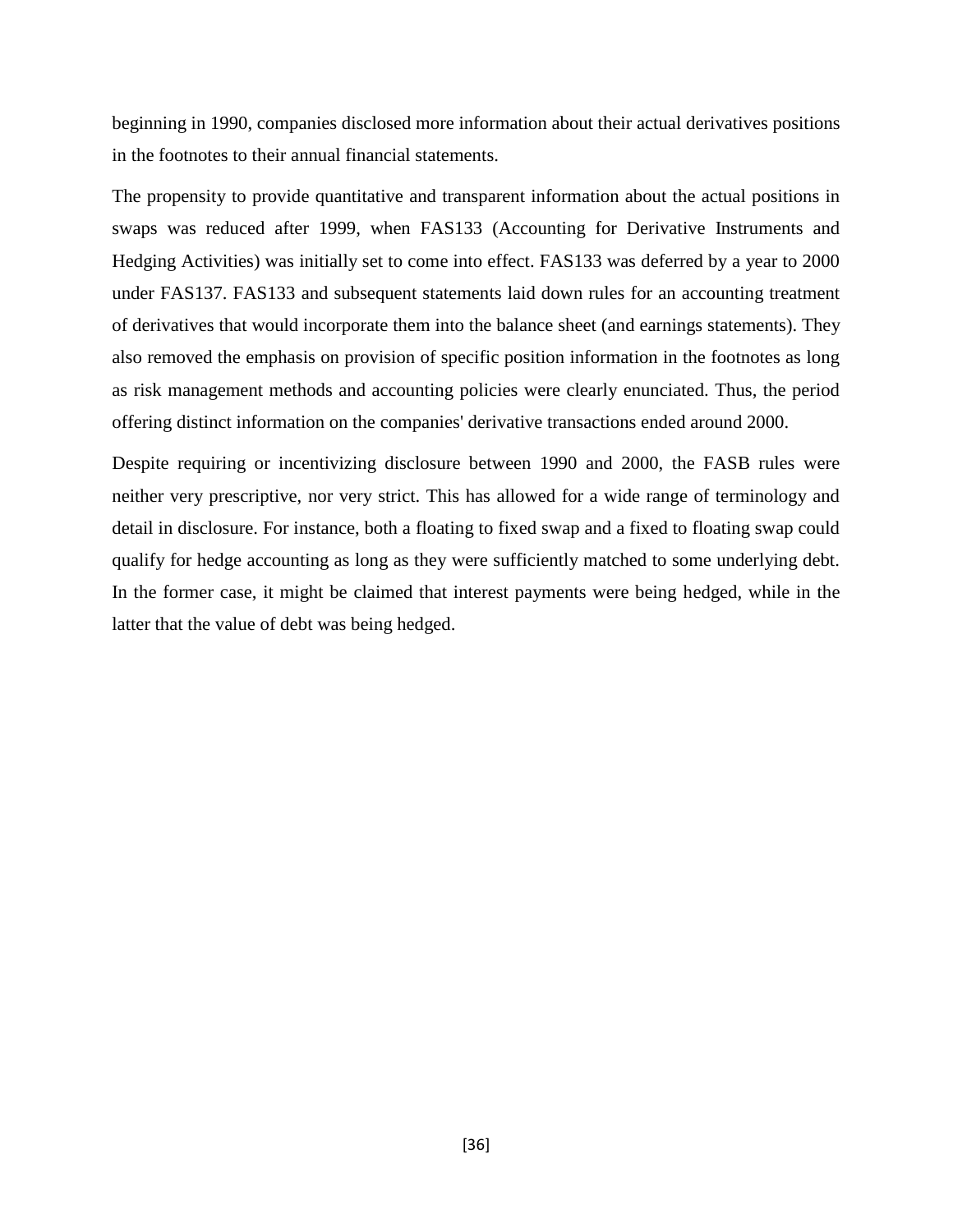beginning in 1990, companies disclosed more information about their actual derivatives positions in the footnotes to their annual financial statements.

The propensity to provide quantitative and transparent information about the actual positions in swaps was reduced after 1999, when FAS133 (Accounting for Derivative Instruments and Hedging Activities) was initially set to come into effect. FAS133 was deferred by a year to 2000 under FAS137. FAS133 and subsequent statements laid down rules for an accounting treatment of derivatives that would incorporate them into the balance sheet (and earnings statements). They also removed the emphasis on provision of specific position information in the footnotes as long as risk management methods and accounting policies were clearly enunciated. Thus, the period offering distinct information on the companies' derivative transactions ended around 2000.

Despite requiring or incentivizing disclosure between 1990 and 2000, the FASB rules were neither very prescriptive, nor very strict. This has allowed for a wide range of terminology and detail in disclosure. For instance, both a floating to fixed swap and a fixed to floating swap could qualify for hedge accounting as long as they were sufficiently matched to some underlying debt. In the former case, it might be claimed that interest payments were being hedged, while in the latter that the value of debt was being hedged.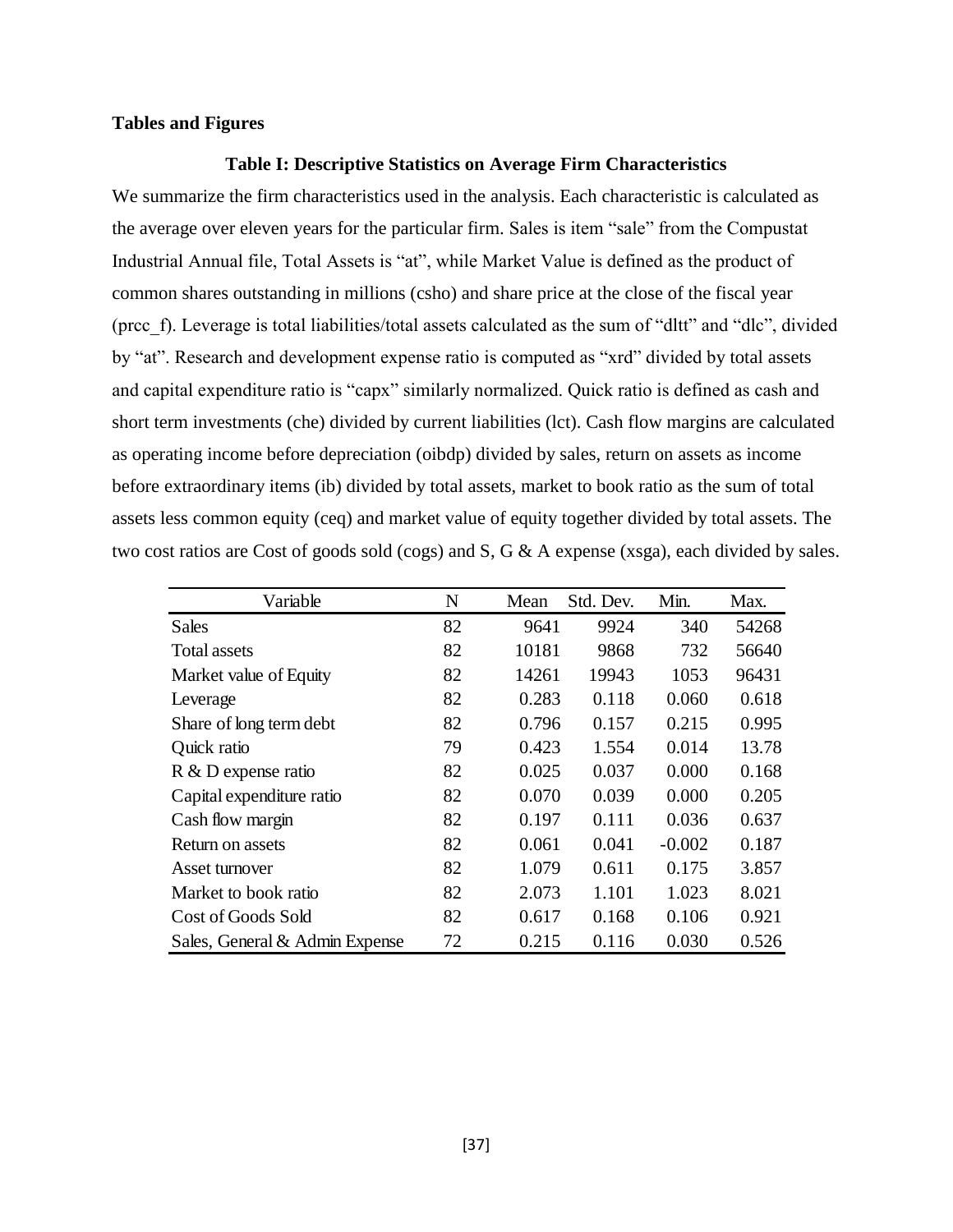#### **Tables and Figures**

#### **Table I: Descriptive Statistics on Average Firm Characteristics**

We summarize the firm characteristics used in the analysis. Each characteristic is calculated as the average over eleven years for the particular firm. Sales is item "sale" from the Compustat Industrial Annual file, Total Assets is "at", while Market Value is defined as the product of common shares outstanding in millions (csho) and share price at the close of the fiscal year (prcc\_f). Leverage is total liabilities/total assets calculated as the sum of "dltt" and "dlc", divided by "at". Research and development expense ratio is computed as "xrd" divided by total assets and capital expenditure ratio is "capx" similarly normalized. Quick ratio is defined as cash and short term investments (che) divided by current liabilities (lct). Cash flow margins are calculated as operating income before depreciation (oibdp) divided by sales, return on assets as income before extraordinary items (ib) divided by total assets, market to book ratio as the sum of total assets less common equity (ceq) and market value of equity together divided by total assets. The two cost ratios are Cost of goods sold (cogs) and S, G & A expense (xsga), each divided by sales.

| Variable                       | N  | Mean  | Std. Dev. | Min.     | Max.  |
|--------------------------------|----|-------|-----------|----------|-------|
| Sales                          | 82 | 9641  | 9924      | 340      | 54268 |
| <b>Total assets</b>            | 82 | 10181 | 9868      | 732      | 56640 |
| Market value of Equity         | 82 | 14261 | 19943     | 1053     | 96431 |
| Leverage                       | 82 | 0.283 | 0.118     | 0.060    | 0.618 |
| Share of long term debt        | 82 | 0.796 | 0.157     | 0.215    | 0.995 |
| Quick ratio                    | 79 | 0.423 | 1.554     | 0.014    | 13.78 |
| R & D expense ratio            | 82 | 0.025 | 0.037     | 0.000    | 0.168 |
| Capital expenditure ratio      | 82 | 0.070 | 0.039     | 0.000    | 0.205 |
| Cash flow margin               | 82 | 0.197 | 0.111     | 0.036    | 0.637 |
| Return on assets               | 82 | 0.061 | 0.041     | $-0.002$ | 0.187 |
| Asset turnover                 | 82 | 1.079 | 0.611     | 0.175    | 3.857 |
| Market to book ratio           | 82 | 2.073 | 1.101     | 1.023    | 8.021 |
| Cost of Goods Sold             | 82 | 0.617 | 0.168     | 0.106    | 0.921 |
| Sales, General & Admin Expense | 72 | 0.215 | 0.116     | 0.030    | 0.526 |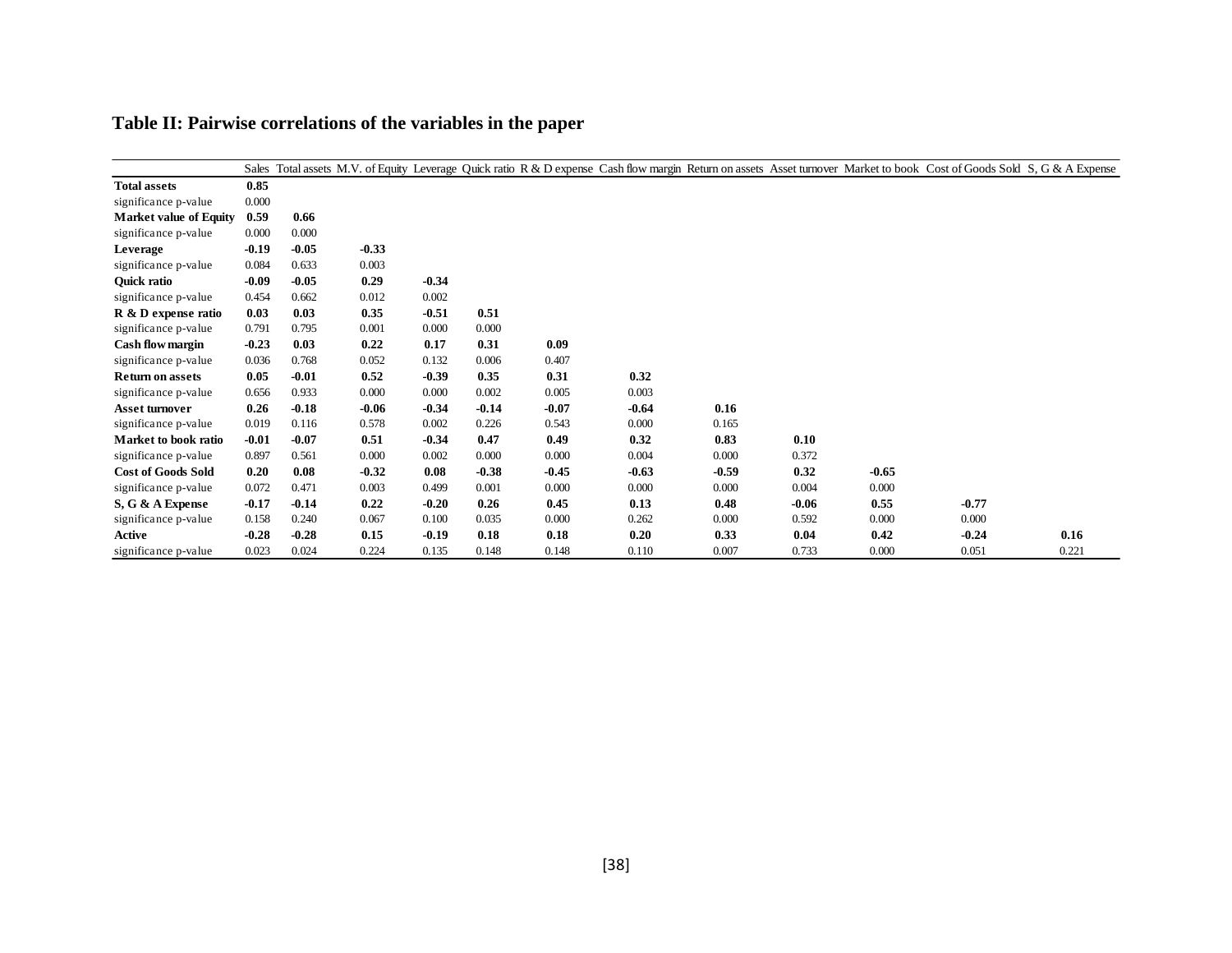|                               |         |         |         |         |         |         |         |         |         |         | Sales Total assets M.V. of Equity Leverage Quick ratio R & D expense Cash flow margin Return on assets Asset turnover Market to book Cost of Goods Sold S, G & A Expense |       |
|-------------------------------|---------|---------|---------|---------|---------|---------|---------|---------|---------|---------|--------------------------------------------------------------------------------------------------------------------------------------------------------------------------|-------|
| <b>Total assets</b>           | 0.85    |         |         |         |         |         |         |         |         |         |                                                                                                                                                                          |       |
| significance p-value          | 0.000   |         |         |         |         |         |         |         |         |         |                                                                                                                                                                          |       |
| <b>Market value of Equity</b> | 0.59    | 0.66    |         |         |         |         |         |         |         |         |                                                                                                                                                                          |       |
| significance p-value          | 0.000   | 0.000   |         |         |         |         |         |         |         |         |                                                                                                                                                                          |       |
| Leverage                      | $-0.19$ | $-0.05$ | $-0.33$ |         |         |         |         |         |         |         |                                                                                                                                                                          |       |
| significance p-value          | 0.084   | 0.633   | 0.003   |         |         |         |         |         |         |         |                                                                                                                                                                          |       |
| Quick ratio                   | $-0.09$ | $-0.05$ | 0.29    | $-0.34$ |         |         |         |         |         |         |                                                                                                                                                                          |       |
| significance p-value          | 0.454   | 0.662   | 0.012   | 0.002   |         |         |         |         |         |         |                                                                                                                                                                          |       |
| R & D expense ratio           | 0.03    | 0.03    | 0.35    | $-0.51$ | 0.51    |         |         |         |         |         |                                                                                                                                                                          |       |
| significance p-value          | 0.791   | 0.795   | 0.001   | 0.000   | 0.000   |         |         |         |         |         |                                                                                                                                                                          |       |
| Cash flow margin              | $-0.23$ | 0.03    | 0.22    | 0.17    | 0.31    | 0.09    |         |         |         |         |                                                                                                                                                                          |       |
| significance p-value          | 0.036   | 0.768   | 0.052   | 0.132   | 0.006   | 0.407   |         |         |         |         |                                                                                                                                                                          |       |
| <b>Return on assets</b>       | 0.05    | $-0.01$ | 0.52    | $-0.39$ | 0.35    | 0.31    | 0.32    |         |         |         |                                                                                                                                                                          |       |
| significance p-value          | 0.656   | 0.933   | 0.000   | 0.000   | 0.002   | 0.005   | 0.003   |         |         |         |                                                                                                                                                                          |       |
| <b>Asset turnover</b>         | 0.26    | $-0.18$ | $-0.06$ | $-0.34$ | $-0.14$ | $-0.07$ | $-0.64$ | 0.16    |         |         |                                                                                                                                                                          |       |
| significance p-value          | 0.019   | 0.116   | 0.578   | 0.002   | 0.226   | 0.543   | 0.000   | 0.165   |         |         |                                                                                                                                                                          |       |
| Market to book ratio          | $-0.01$ | $-0.07$ | 0.51    | $-0.34$ | 0.47    | 0.49    | 0.32    | 0.83    | 0.10    |         |                                                                                                                                                                          |       |
| significance p-value          | 0.897   | 0.561   | 0.000   | 0.002   | 0.000   | 0.000   | 0.004   | 0.000   | 0.372   |         |                                                                                                                                                                          |       |
| <b>Cost of Goods Sold</b>     | 0.20    | 0.08    | $-0.32$ | 0.08    | $-0.38$ | $-0.45$ | $-0.63$ | $-0.59$ | 0.32    | $-0.65$ |                                                                                                                                                                          |       |
| significance p-value          | 0.072   | 0.471   | 0.003   | 0.499   | 0.001   | 0.000   | 0.000   | 0.000   | 0.004   | 0.000   |                                                                                                                                                                          |       |
| S, G & A Expense              | $-0.17$ | $-0.14$ | 0.22    | $-0.20$ | 0.26    | 0.45    | 0.13    | 0.48    | $-0.06$ | 0.55    | $-0.77$                                                                                                                                                                  |       |
| significance p-value          | 0.158   | 0.240   | 0.067   | 0.100   | 0.035   | 0.000   | 0.262   | 0.000   | 0.592   | 0.000   | 0.000                                                                                                                                                                    |       |
| Active                        | $-0.28$ | $-0.28$ | 0.15    | $-0.19$ | 0.18    | 0.18    | 0.20    | 0.33    | 0.04    | 0.42    | $-0.24$                                                                                                                                                                  | 0.16  |
| significance p-value          | 0.023   | 0.024   | 0.224   | 0.135   | 0.148   | 0.148   | 0.110   | 0.007   | 0.733   | 0.000   | 0.051                                                                                                                                                                    | 0.221 |

# **Table II: Pairwise correlations of the variables in the paper**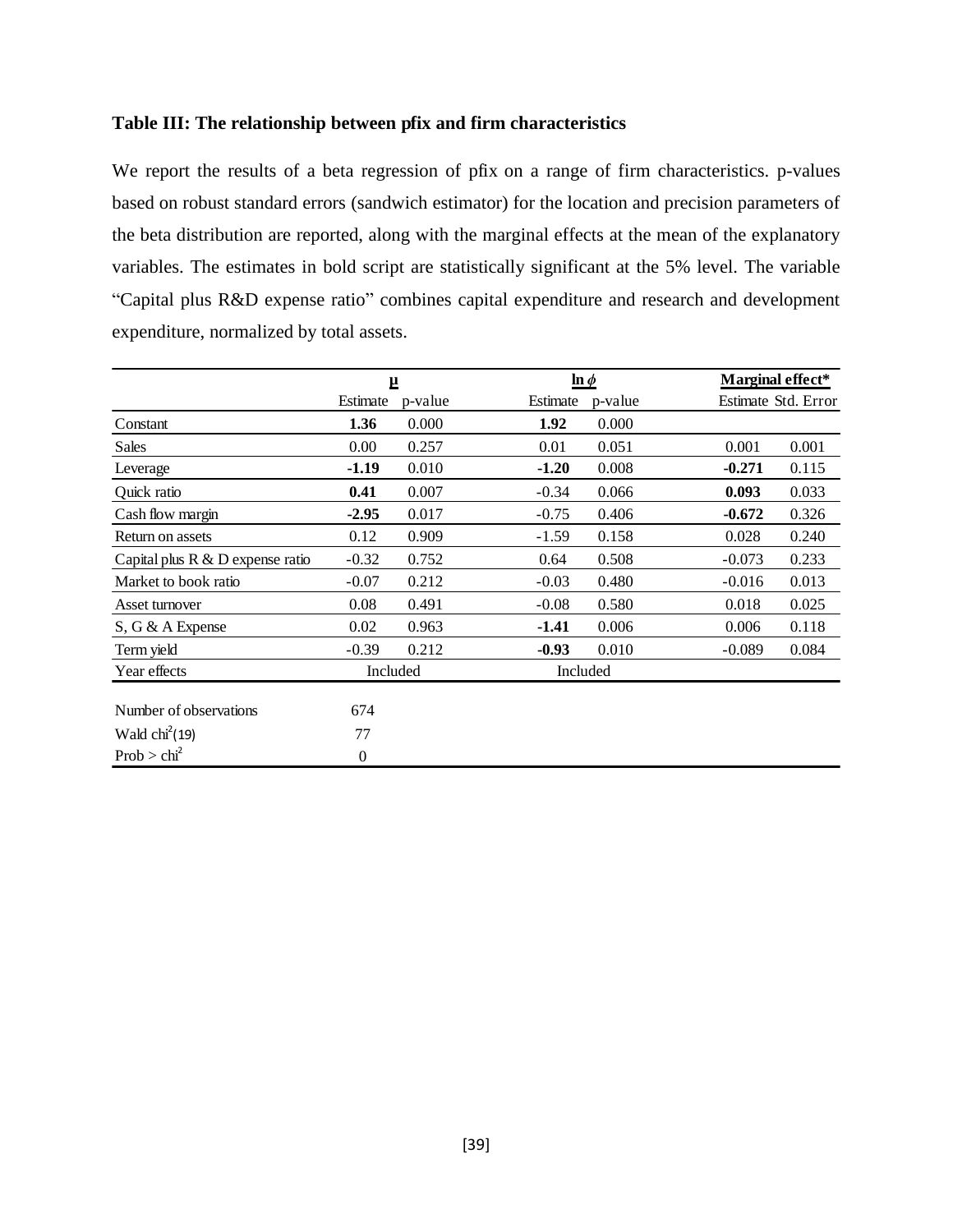# **Table III: The relationship between pfix and firm characteristics**

We report the results of a beta regression of pfix on a range of firm characteristics. p-values based on robust standard errors (sandwich estimator) for the location and precision parameters of the beta distribution are reported, along with the marginal effects at the mean of the explanatory variables. The estimates in bold script are statistically significant at the 5% level. The variable "Capital plus R&D expense ratio" combines capital expenditure and research and development expenditure, normalized by total assets.

|                                     | Щ            |         |          | $\ln \phi$ |          | Marginal effect*    |
|-------------------------------------|--------------|---------|----------|------------|----------|---------------------|
|                                     | Estimate     | p-value | Estimate | p-value    |          | Estimate Std. Error |
| Constant                            | 1.36         | 0.000   | 1.92     | 0.000      |          |                     |
| Sales                               | 0.00         | 0.257   | 0.01     | 0.051      | 0.001    | 0.001               |
| Leverage                            | $-1.19$      | 0.010   | $-1.20$  | 0.008      | $-0.271$ | 0.115               |
| Quick ratio                         | 0.41         | 0.007   | $-0.34$  | 0.066      | 0.093    | 0.033               |
| Cash flow margin                    | $-2.95$      | 0.017   | $-0.75$  | 0.406      | $-0.672$ | 0.326               |
| Return on assets                    | 0.12         | 0.909   | $-1.59$  | 0.158      | 0.028    | 0.240               |
| Capital plus $R \& D$ expense ratio | $-0.32$      | 0.752   | 0.64     | 0.508      | $-0.073$ | 0.233               |
| Market to book ratio                | $-0.07$      | 0.212   | $-0.03$  | 0.480      | $-0.016$ | 0.013               |
| Asset turnover                      | 0.08         | 0.491   | $-0.08$  | 0.580      | 0.018    | 0.025               |
| S, G & A Expense                    | 0.02         | 0.963   | $-1.41$  | 0.006      | 0.006    | 0.118               |
| Term yield                          | $-0.39$      | 0.212   | $-0.93$  | 0.010      | $-0.089$ | 0.084               |
| Year effects                        | Included     |         |          | Included   |          |                     |
|                                     |              |         |          |            |          |                     |
| Number of observations              | 674          |         |          |            |          |                     |
| Wald $\text{chi}^2(19)$             | 77           |         |          |            |          |                     |
| Prob > chi <sup>2</sup>             | $\mathbf{0}$ |         |          |            |          |                     |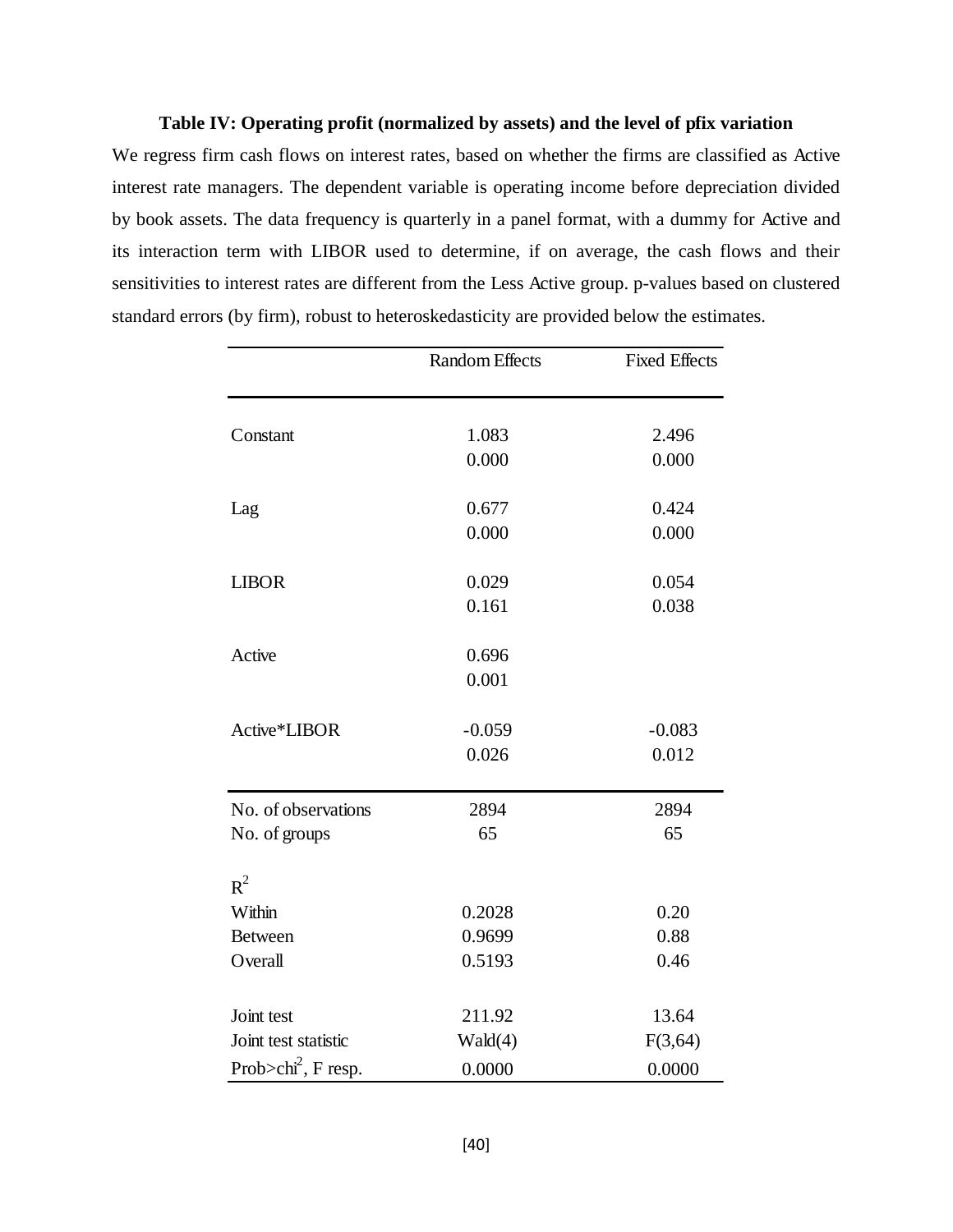#### **Table IV: Operating profit (normalized by assets) and the level of pfix variation**

We regress firm cash flows on interest rates, based on whether the firms are classified as Active interest rate managers. The dependent variable is operating income before depreciation divided by book assets. The data frequency is quarterly in a panel format, with a dummy for Active and its interaction term with LIBOR used to determine, if on average, the cash flows and their sensitivities to interest rates are different from the Less Active group. p-values based on clustered standard errors (by firm), robust to heteroskedasticity are provided below the estimates.

|                                 | <b>Random Effects</b> | <b>Fixed Effects</b> |
|---------------------------------|-----------------------|----------------------|
|                                 |                       |                      |
| Constant                        | 1.083                 | 2.496                |
|                                 | 0.000                 | 0.000                |
| Lag                             | 0.677                 | 0.424                |
|                                 | 0.000                 | 0.000                |
| <b>LIBOR</b>                    | 0.029                 | 0.054                |
|                                 | 0.161                 | 0.038                |
| Active                          | 0.696                 |                      |
|                                 | 0.001                 |                      |
| Active*LIBOR                    | $-0.059$              | $-0.083$             |
|                                 | 0.026                 | 0.012                |
| No. of observations             | 2894                  | 2894                 |
| No. of groups                   | 65                    | 65                   |
| $R^2$                           |                       |                      |
| Within                          | 0.2028                | 0.20                 |
| <b>Between</b>                  | 0.9699                | 0.88                 |
| Overall                         | 0.5193                | 0.46                 |
| Joint test                      | 211.92                | 13.64                |
| Joint test statistic            | Wald(4)               | F(3,64)              |
| Prob>chi <sup>2</sup> , F resp. | 0.0000                | 0.0000               |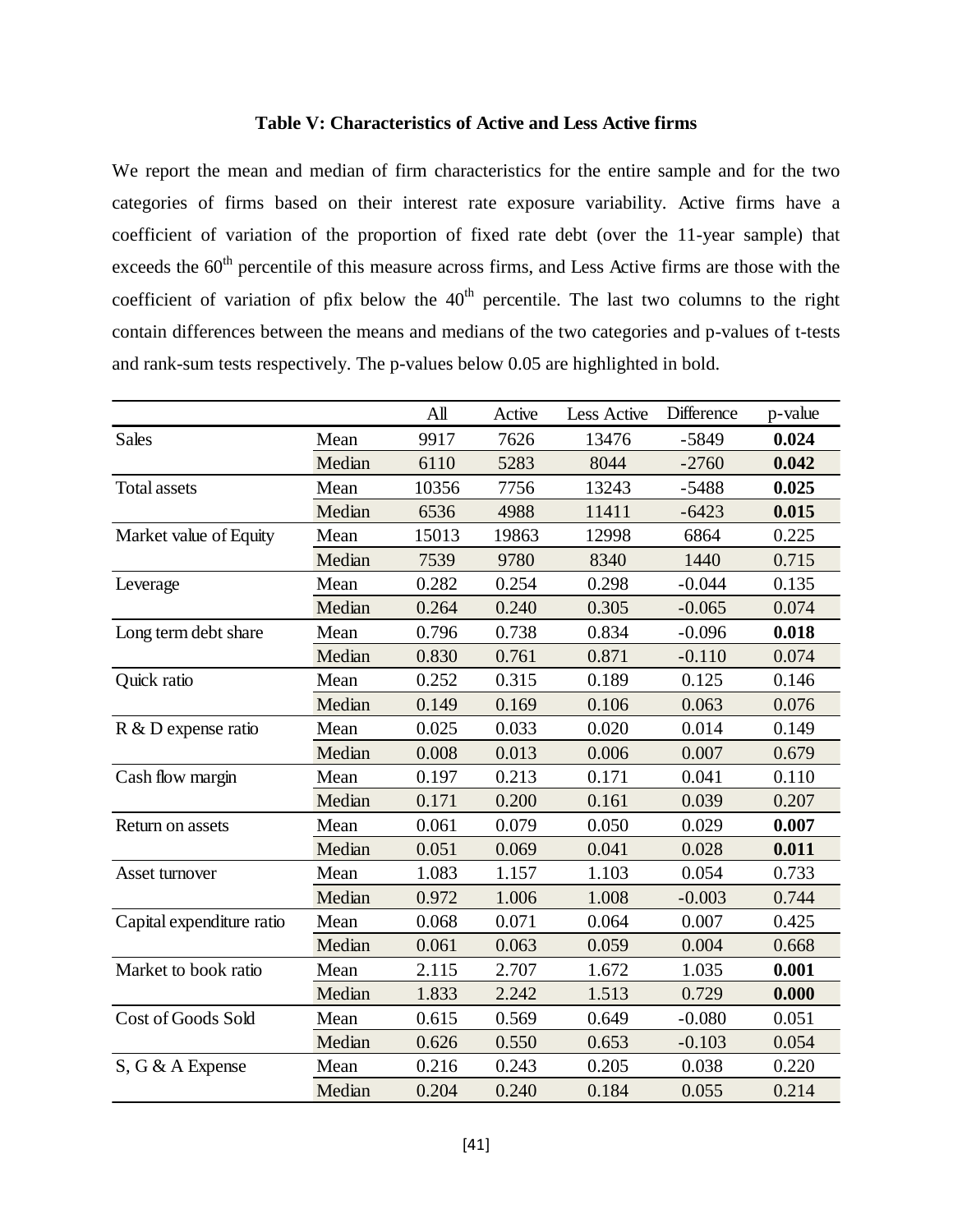#### **Table V: Characteristics of Active and Less Active firms**

We report the mean and median of firm characteristics for the entire sample and for the two categories of firms based on their interest rate exposure variability. Active firms have a coefficient of variation of the proportion of fixed rate debt (over the 11-year sample) that exceeds the  $60<sup>th</sup>$  percentile of this measure across firms, and Less Active firms are those with the coefficient of variation of pfix below the  $40<sup>th</sup>$  percentile. The last two columns to the right contain differences between the means and medians of the two categories and p-values of t-tests and rank-sum tests respectively. The p-values below 0.05 are highlighted in bold.

|                           |        | All   | Active | Less Active | Difference | p-value |
|---------------------------|--------|-------|--------|-------------|------------|---------|
| <b>Sales</b>              | Mean   | 9917  | 7626   | 13476       | $-5849$    | 0.024   |
|                           | Median | 6110  | 5283   | 8044        | $-2760$    | 0.042   |
| <b>Total assets</b>       | Mean   | 10356 | 7756   | 13243       | $-5488$    | 0.025   |
|                           | Median | 6536  | 4988   | 11411       | $-6423$    | 0.015   |
| Market value of Equity    | Mean   | 15013 | 19863  | 12998       | 6864       | 0.225   |
|                           | Median | 7539  | 9780   | 8340        | 1440       | 0.715   |
| Leverage                  | Mean   | 0.282 | 0.254  | 0.298       | $-0.044$   | 0.135   |
|                           | Median | 0.264 | 0.240  | 0.305       | $-0.065$   | 0.074   |
| Long term debt share      | Mean   | 0.796 | 0.738  | 0.834       | $-0.096$   | 0.018   |
|                           | Median | 0.830 | 0.761  | 0.871       | $-0.110$   | 0.074   |
| Quick ratio               | Mean   | 0.252 | 0.315  | 0.189       | 0.125      | 0.146   |
|                           | Median | 0.149 | 0.169  | 0.106       | 0.063      | 0.076   |
| R & D expense ratio       | Mean   | 0.025 | 0.033  | 0.020       | 0.014      | 0.149   |
|                           | Median | 0.008 | 0.013  | 0.006       | 0.007      | 0.679   |
| Cash flow margin          | Mean   | 0.197 | 0.213  | 0.171       | 0.041      | 0.110   |
|                           | Median | 0.171 | 0.200  | 0.161       | 0.039      | 0.207   |
| Return on assets          | Mean   | 0.061 | 0.079  | 0.050       | 0.029      | 0.007   |
|                           | Median | 0.051 | 0.069  | 0.041       | 0.028      | 0.011   |
| Asset turnover            | Mean   | 1.083 | 1.157  | 1.103       | 0.054      | 0.733   |
|                           | Median | 0.972 | 1.006  | 1.008       | $-0.003$   | 0.744   |
| Capital expenditure ratio | Mean   | 0.068 | 0.071  | 0.064       | 0.007      | 0.425   |
|                           | Median | 0.061 | 0.063  | 0.059       | 0.004      | 0.668   |
| Market to book ratio      | Mean   | 2.115 | 2.707  | 1.672       | 1.035      | 0.001   |
|                           | Median | 1.833 | 2.242  | 1.513       | 0.729      | 0.000   |
| Cost of Goods Sold        | Mean   | 0.615 | 0.569  | 0.649       | $-0.080$   | 0.051   |
|                           | Median | 0.626 | 0.550  | 0.653       | $-0.103$   | 0.054   |
| S, G & A Expense          | Mean   | 0.216 | 0.243  | 0.205       | 0.038      | 0.220   |
|                           | Median | 0.204 | 0.240  | 0.184       | 0.055      | 0.214   |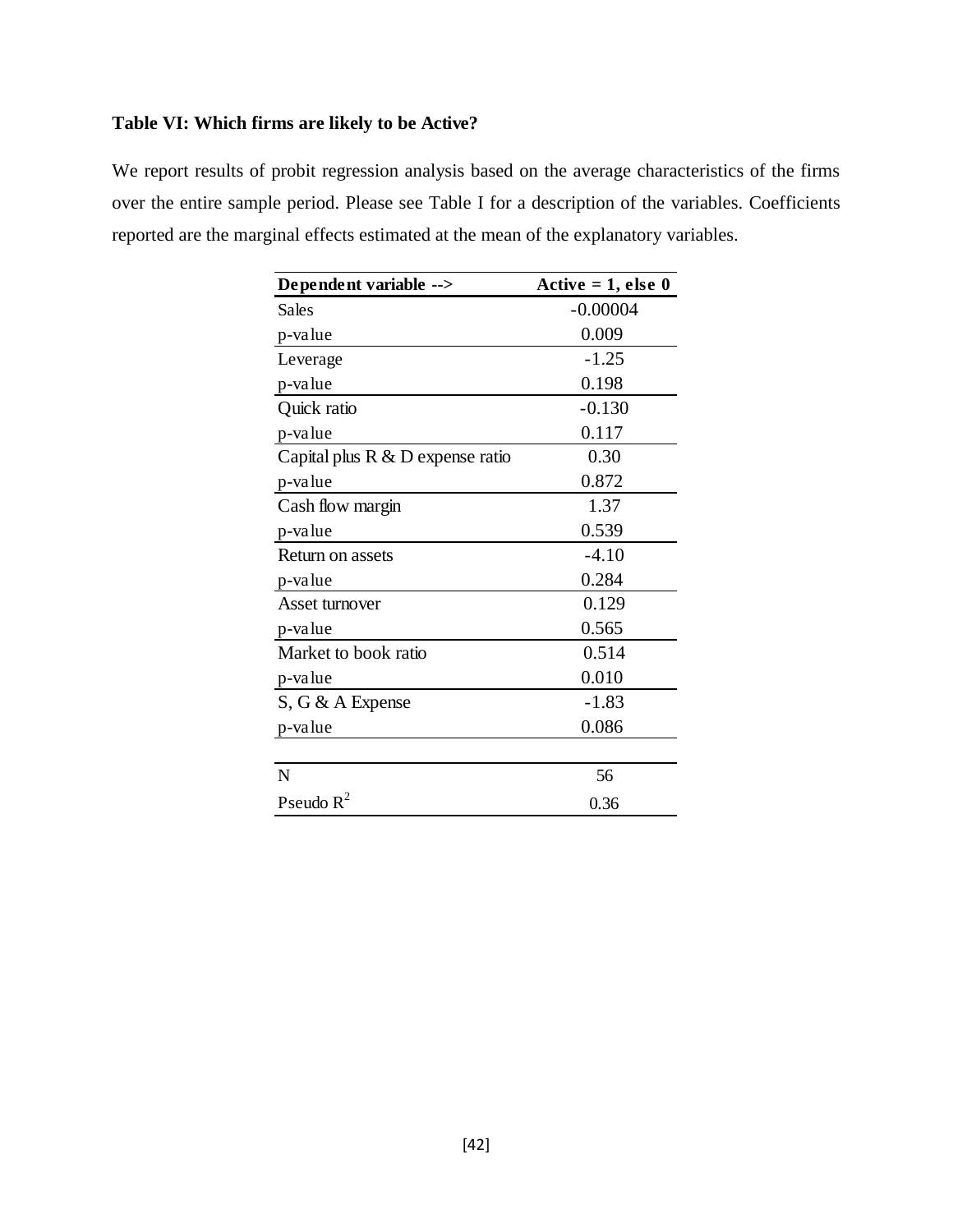# **Table VI: Which firms are likely to be Active?**

We report results of probit regression analysis based on the average characteristics of the firms over the entire sample period. Please see Table I for a description of the variables. Coefficients reported are the marginal effects estimated at the mean of the explanatory variables.

| Dependent variable -->              | Active $= 1$ , else 0 |
|-------------------------------------|-----------------------|
| Sales                               | $-0.00004$            |
| p-value                             | 0.009                 |
| Leverage                            | $-1.25$               |
| p-value                             | 0.198                 |
| Quick ratio                         | $-0.130$              |
| p-value                             | 0.117                 |
| Capital plus $R \& D$ expense ratio | 0.30                  |
| p-value                             | 0.872                 |
| Cash flow margin                    | 1.37                  |
| p-value                             | 0.539                 |
| Return on assets                    | $-4.10$               |
| p-value                             | 0.284                 |
| Asset turnover                      | 0.129                 |
| p-value                             | 0.565                 |
| Market to book ratio                | 0.514                 |
| p-value                             | 0.010                 |
| $S, G \& A$ Expense                 | $-1.83$               |
| p-value                             | 0.086                 |
|                                     |                       |
| N                                   | 56                    |
| Pseudo $R^2$                        | 0.36                  |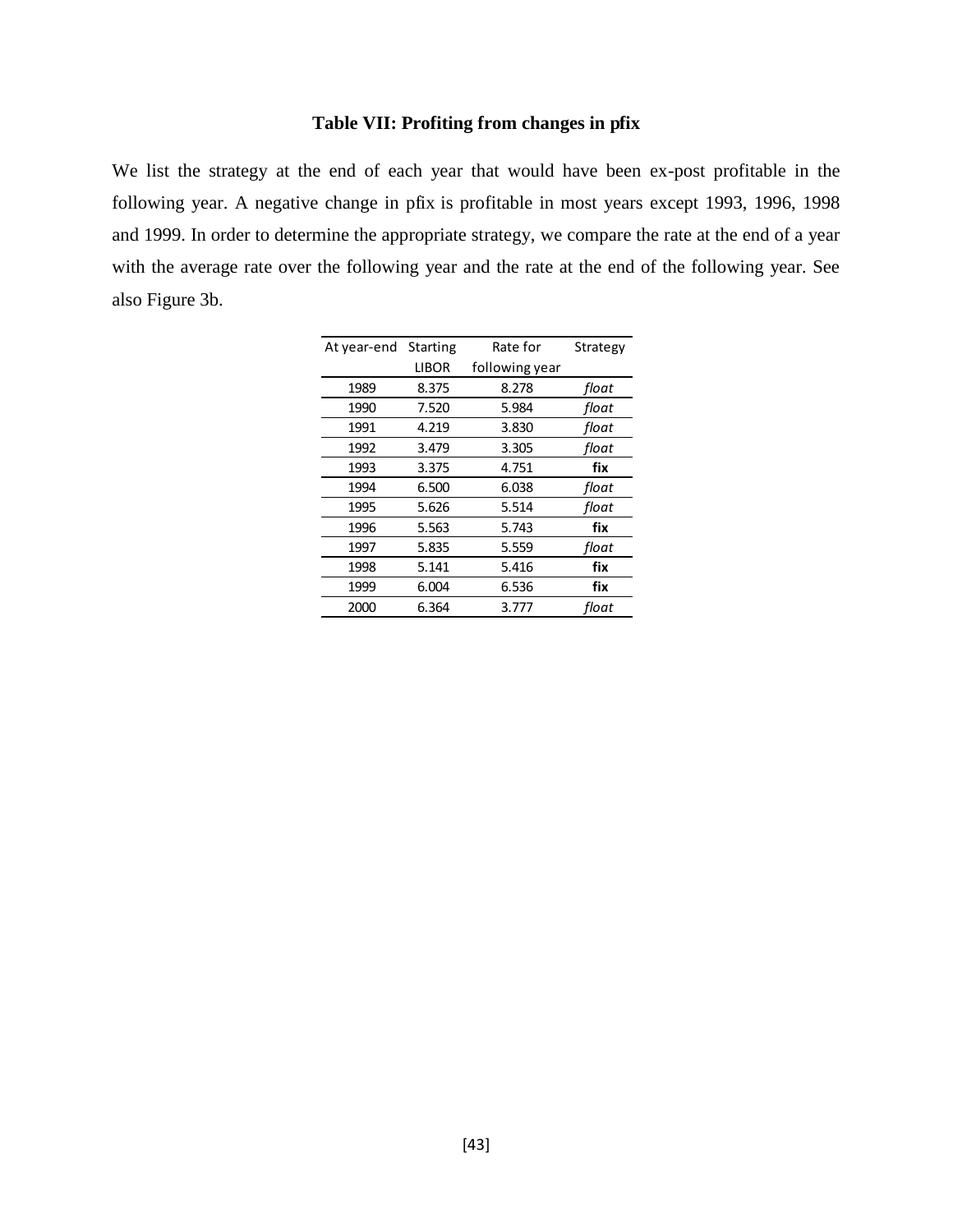# **Table VII: Profiting from changes in pfix**

We list the strategy at the end of each year that would have been ex-post profitable in the following year. A negative change in pfix is profitable in most years except 1993, 1996, 1998 and 1999. In order to determine the appropriate strategy, we compare the rate at the end of a year with the average rate over the following year and the rate at the end of the following year. See also Figure 3b.

| At year-end | <b>Starting</b> | Rate for       | Strategy |
|-------------|-----------------|----------------|----------|
|             | <b>LIBOR</b>    | following year |          |
| 1989        | 8.375           | 8.278          | float    |
| 1990        | 7.520           | 5.984          | float    |
| 1991        | 4.219           | 3.830          | float    |
| 1992        | 3.479           | 3.305          | float    |
| 1993        | 3.375           | 4.751          | fix      |
| 1994        | 6.500           | 6.038          | float    |
| 1995        | 5.626           | 5.514          | float    |
| 1996        | 5.563           | 5.743          | fix      |
| 1997        | 5.835           | 5.559          | float    |
| 1998        | 5.141           | 5.416          | fix      |
| 1999        | 6.004           | 6.536          | fix      |
| 2000        | 6.364           | 3.777          | float    |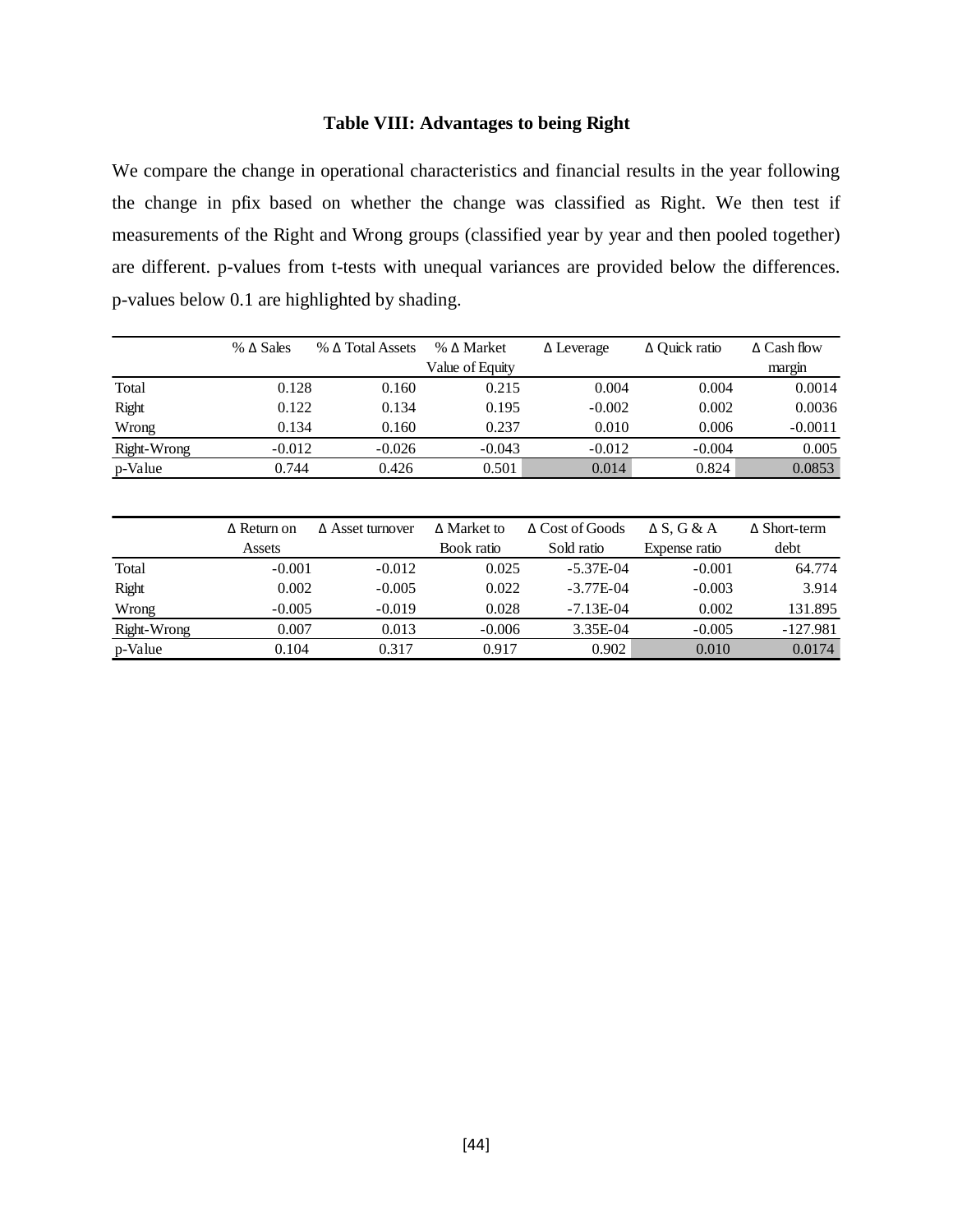# **Table VIII: Advantages to being Right**

We compare the change in operational characteristics and financial results in the year following the change in pfix based on whether the change was classified as Right. We then test if measurements of the Right and Wrong groups (classified year by year and then pooled together) are different. p-values from t-tests with unequal variances are provided below the differences. p-values below 0.1 are highlighted by shading.

|             | $% \Delta$ Sales | $%$ $\Delta$ Total Assets | % Δ Market      | $\Delta$ Leverage | $\Delta$ Ouick ratio | $\triangle$ Cash flow |
|-------------|------------------|---------------------------|-----------------|-------------------|----------------------|-----------------------|
|             |                  |                           | Value of Equity |                   |                      | margin                |
| Total       | 0.128            | 0.160                     | 0.215           | 0.004             | 0.004                | 0.0014                |
| Right       | 0.122            | 0.134                     | 0.195           | $-0.002$          | 0.002                | 0.0036                |
| Wrong       | 0.134            | 0.160                     | 0.237           | 0.010             | 0.006                | $-0.0011$             |
| Right-Wrong | $-0.012$         | $-0.026$                  | $-0.043$        | $-0.012$          | $-0.004$             | 0.005                 |
| p-Value     | 0.744            | 0.426                     | 0.501           | 0.014             | 0.824                | 0.0853                |

|             | $\triangle$ Return on | $\triangle$ Asset turnover | $\Delta$ Market to | Δ Cost of Goods | $\Delta S$ , G & A | $\Delta$ Short-term |
|-------------|-----------------------|----------------------------|--------------------|-----------------|--------------------|---------------------|
|             | Assets                |                            | Book ratio         | Sold ratio      | Expense ratio      | debt                |
| Total       | $-0.001$              | $-0.012$                   | 0.025              | $-5.37E-04$     | $-0.001$           | 64.774              |
| Right       | 0.002                 | $-0.005$                   | 0.022              | $-3.77E-04$     | $-0.003$           | 3.914               |
| Wrong       | $-0.005$              | $-0.019$                   | 0.028              | $-7.13E-04$     | 0.002              | 131.895             |
| Right-Wrong | 0.007                 | 0.013                      | $-0.006$           | 3.35E-04        | $-0.005$           | $-127.981$          |
| p-Value     | 0.104                 | 0.317                      | 0.917              | 0.902           | 0.010              | 0.0174              |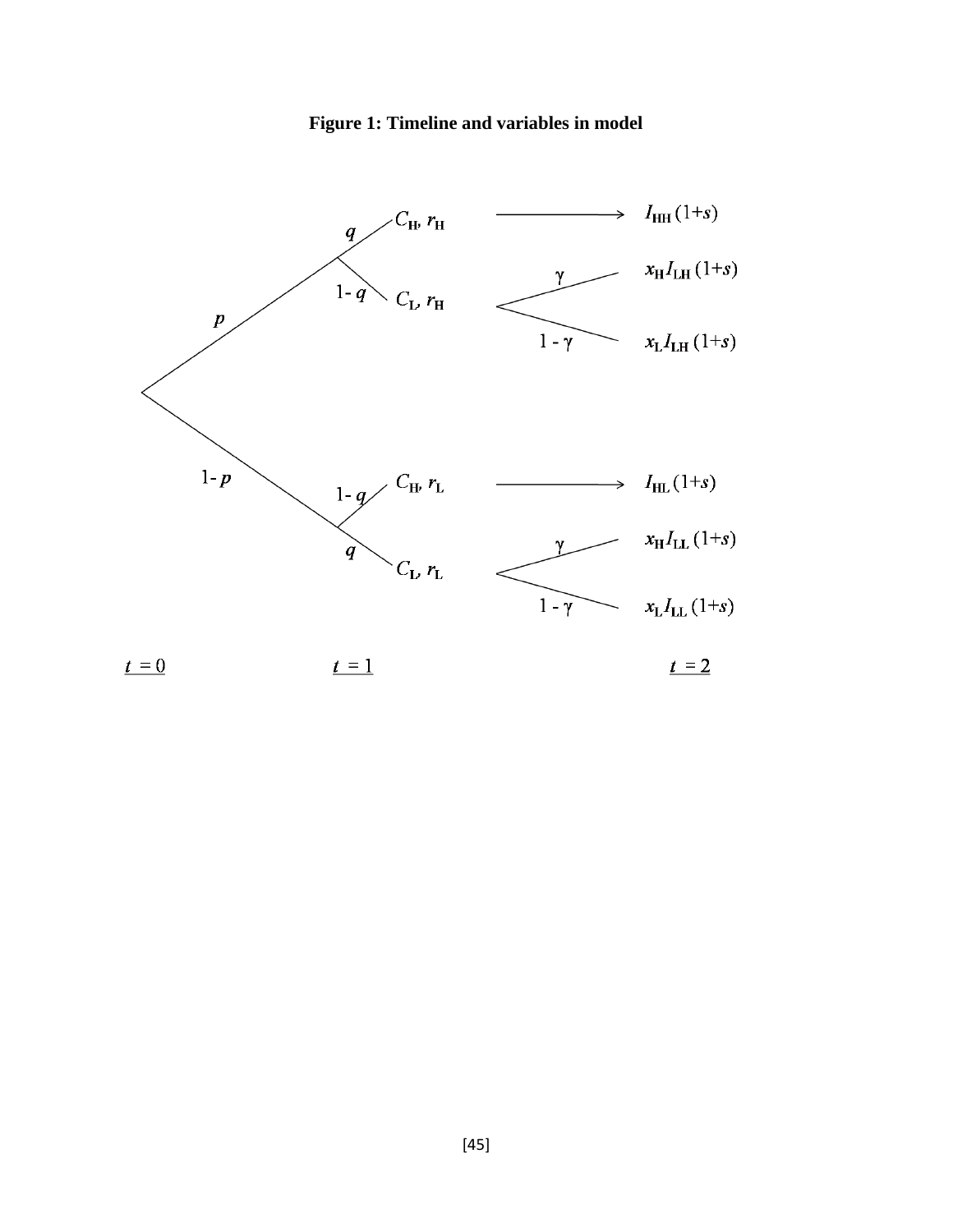

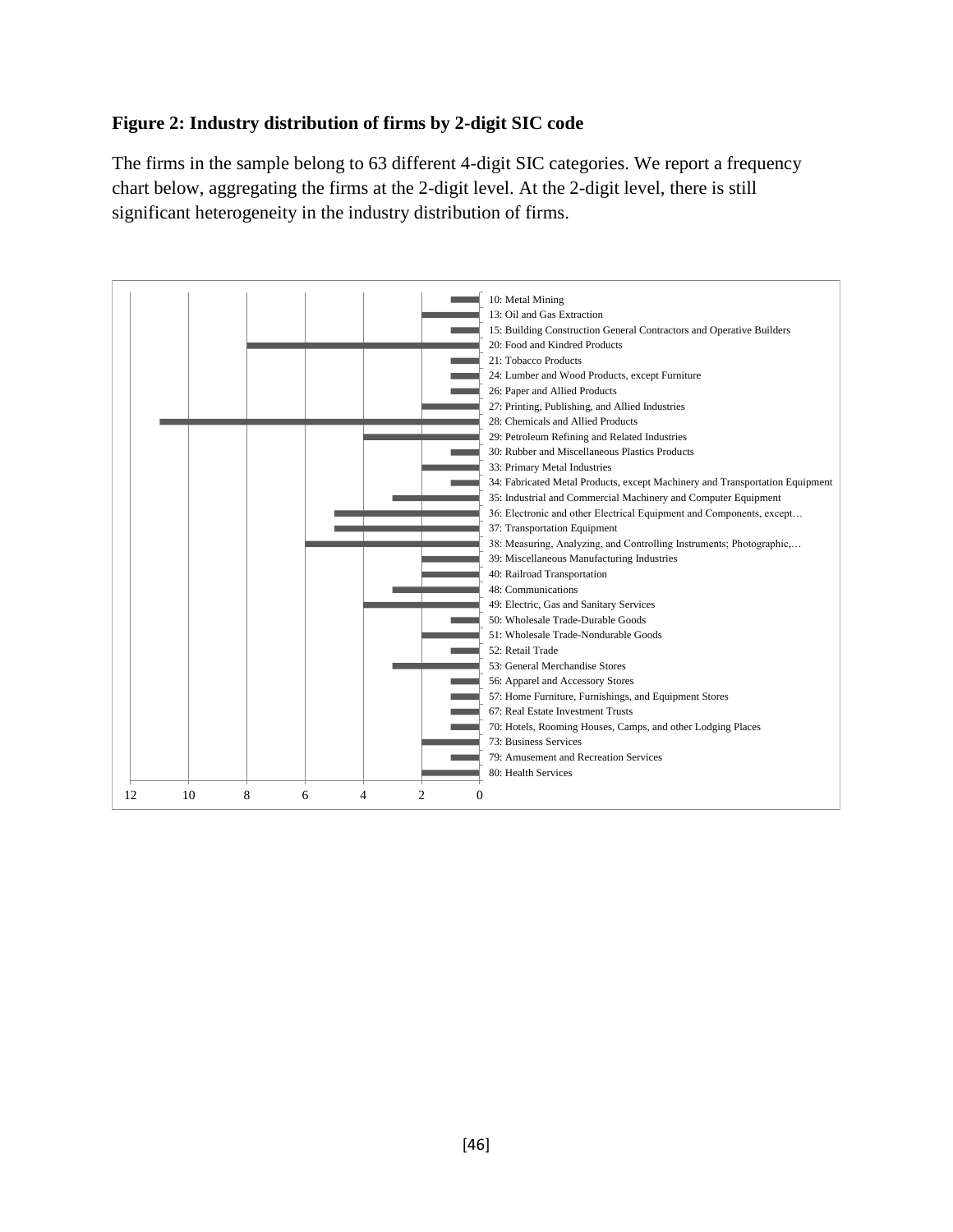# **Figure 2: Industry distribution of firms by 2-digit SIC code**

The firms in the sample belong to 63 different 4-digit SIC categories. We report a frequency chart below, aggregating the firms at the 2-digit level. At the 2-digit level, there is still significant heterogeneity in the industry distribution of firms.

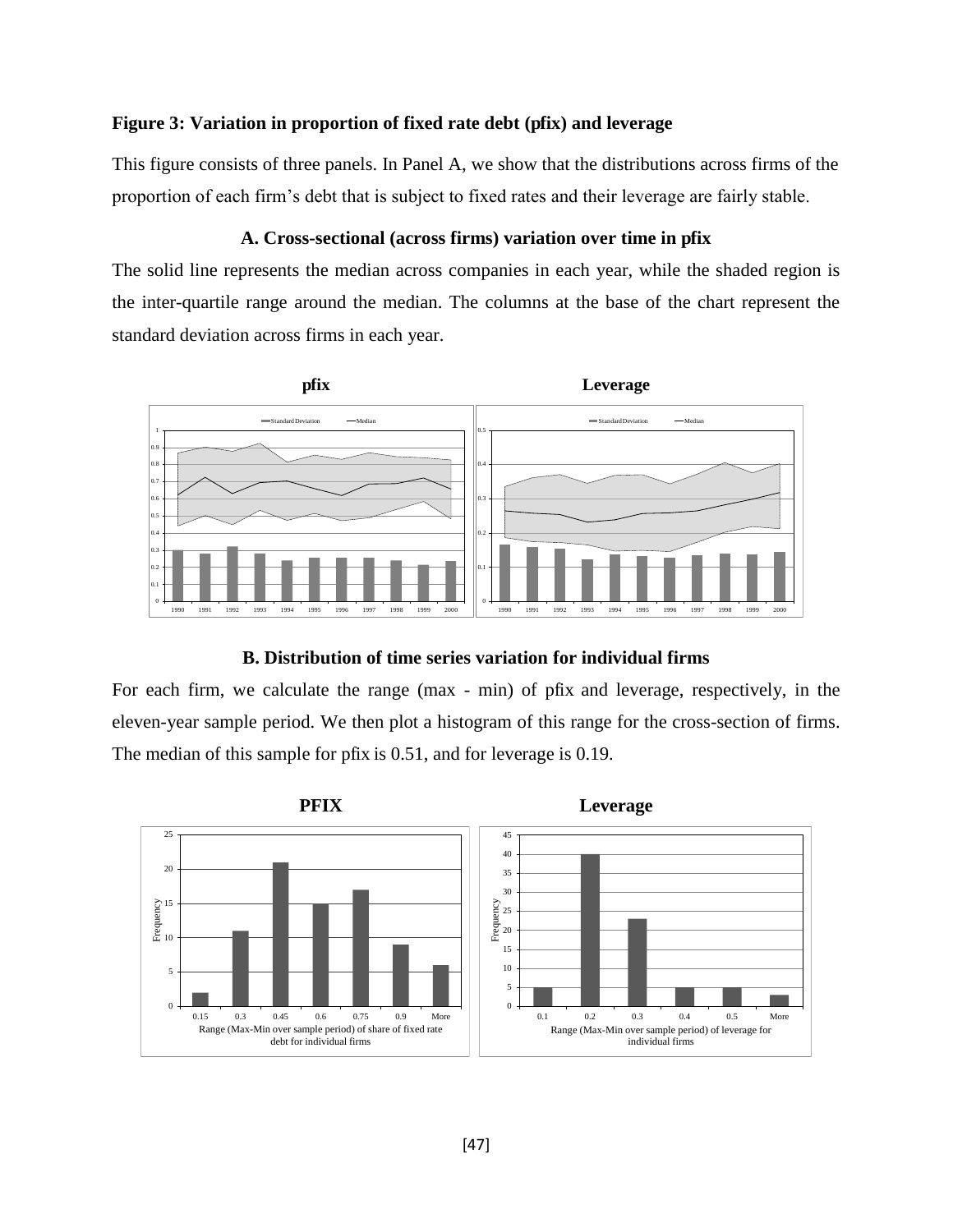## **Figure 3: Variation in proportion of fixed rate debt (pfix) and leverage**

This figure consists of three panels. In Panel A, we show that the distributions across firms of the proportion of each firm's debt that is subject to fixed rates and their leverage are fairly stable.

#### **A. Cross-sectional (across firms) variation over time in pfix**

The solid line represents the median across companies in each year, while the shaded region is the inter-quartile range around the median. The columns at the base of the chart represent the standard deviation across firms in each year.



#### **B. Distribution of time series variation for individual firms**

For each firm, we calculate the range (max - min) of pfix and leverage, respectively, in the eleven-year sample period. We then plot a histogram of this range for the cross-section of firms. The median of this sample for pfix is 0.51, and for leverage is 0.19.

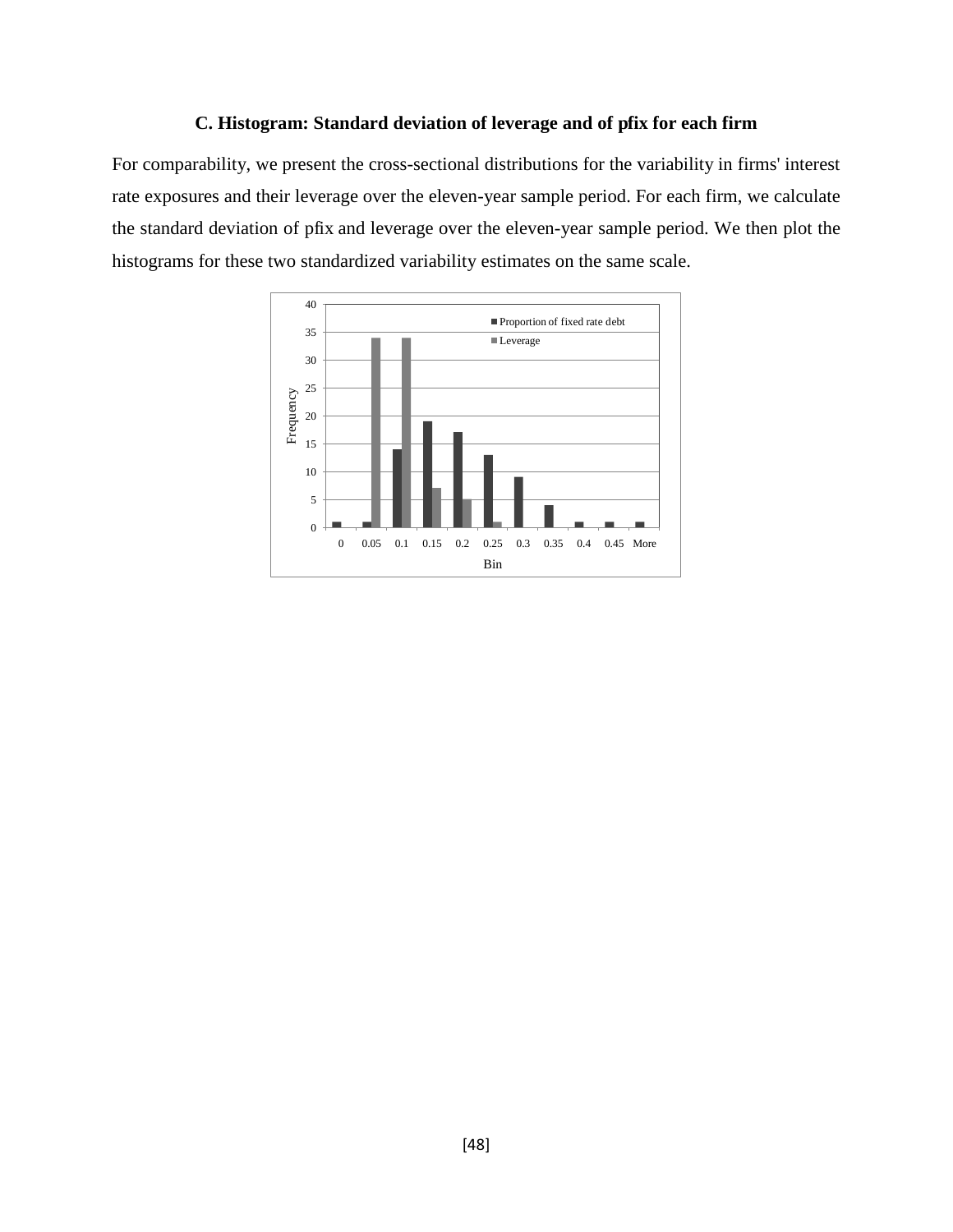# **C. Histogram: Standard deviation of leverage and of pfix for each firm**

For comparability, we present the cross-sectional distributions for the variability in firms' interest rate exposures and their leverage over the eleven-year sample period. For each firm, we calculate the standard deviation of pfix and leverage over the eleven-year sample period. We then plot the histograms for these two standardized variability estimates on the same scale.

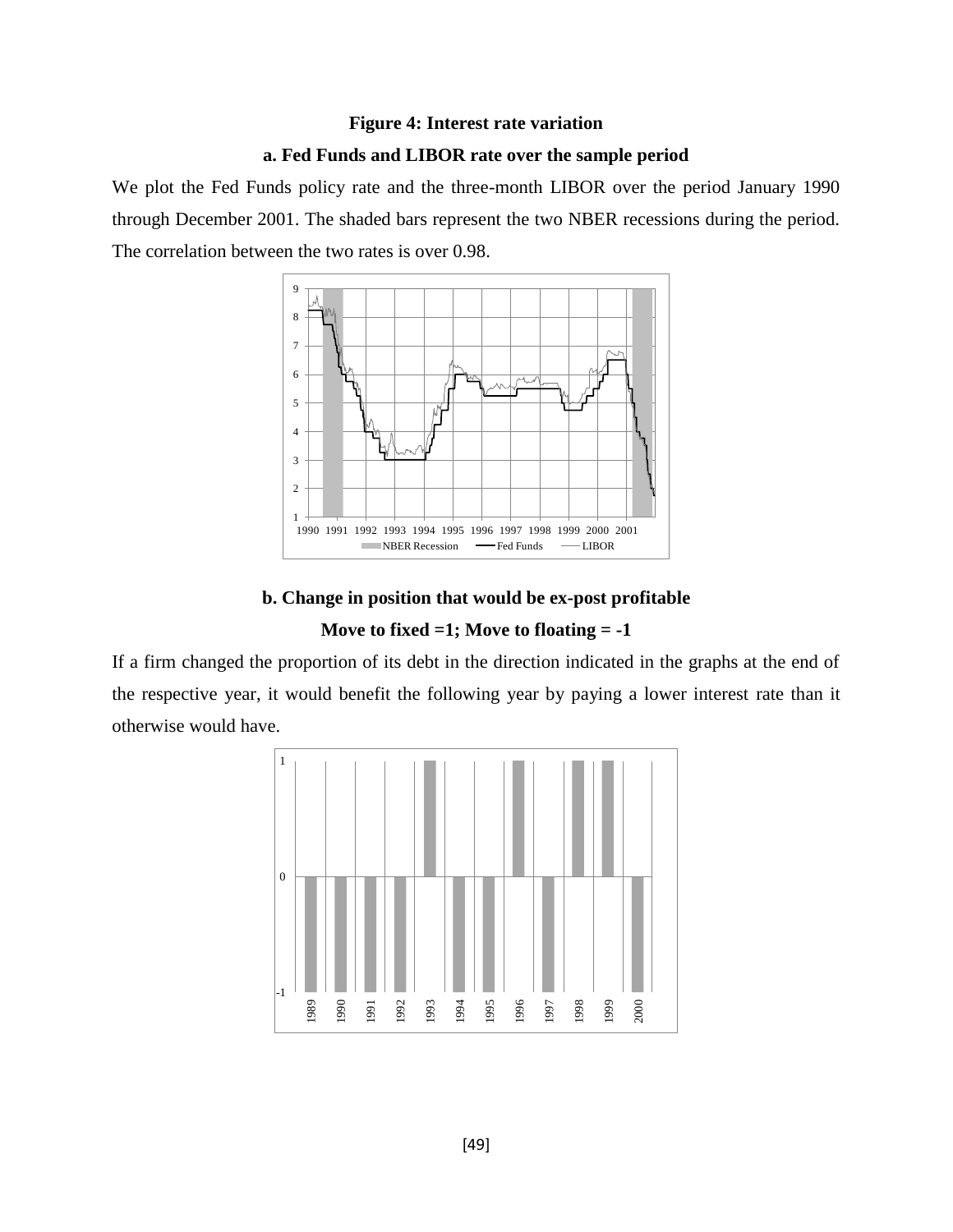# **Figure 4: Interest rate variation a. Fed Funds and LIBOR rate over the sample period**

We plot the Fed Funds policy rate and the three-month LIBOR over the period January 1990 through December 2001. The shaded bars represent the two NBER recessions during the period. The correlation between the two rates is over 0.98.



# **b. Change in position that would be ex-post profitable Move to fixed =1; Move to floating = -1**

If a firm changed the proportion of its debt in the direction indicated in the graphs at the end of the respective year, it would benefit the following year by paying a lower interest rate than it otherwise would have.

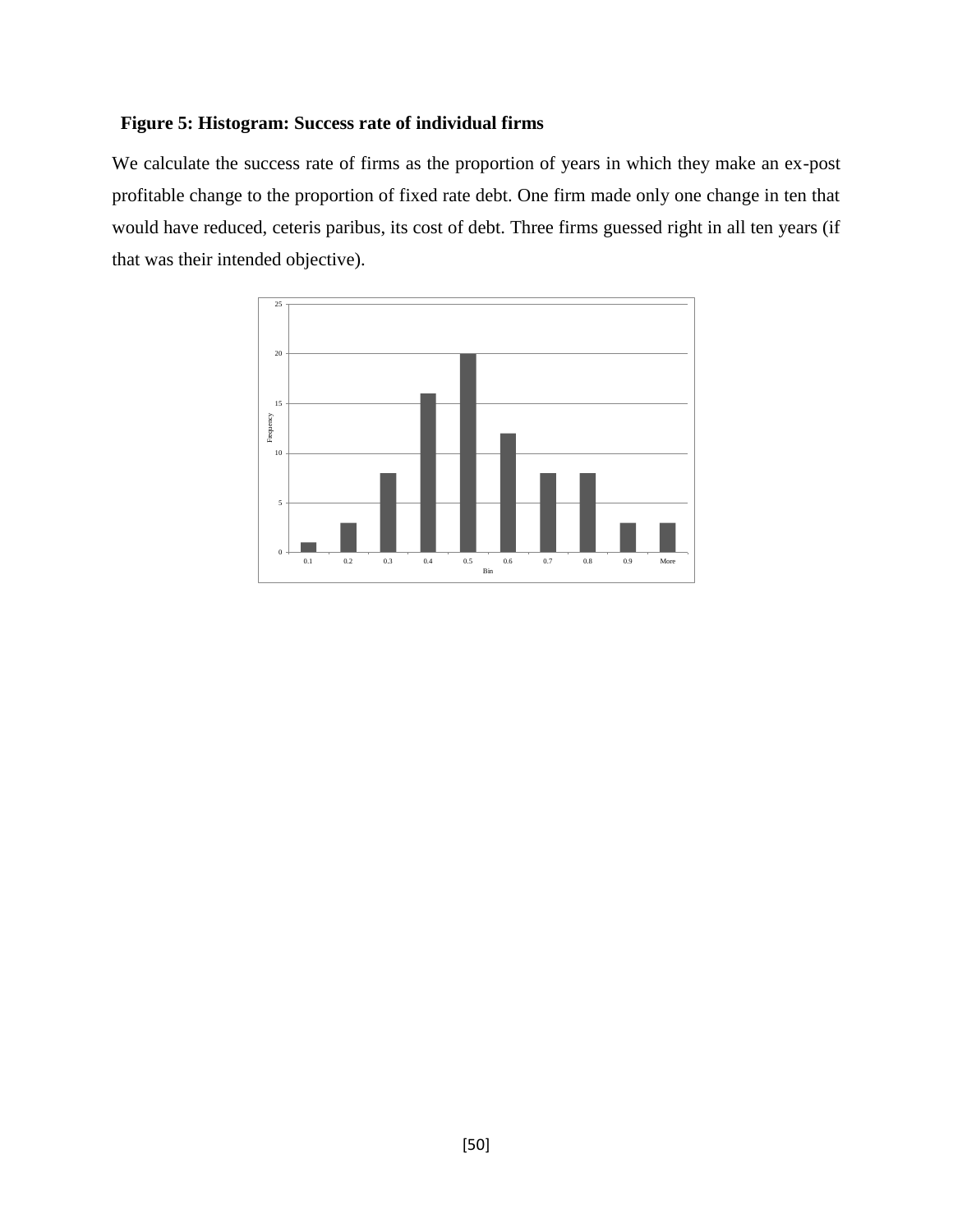# **Figure 5: Histogram: Success rate of individual firms**

We calculate the success rate of firms as the proportion of years in which they make an ex-post profitable change to the proportion of fixed rate debt. One firm made only one change in ten that would have reduced, ceteris paribus, its cost of debt. Three firms guessed right in all ten years (if that was their intended objective).